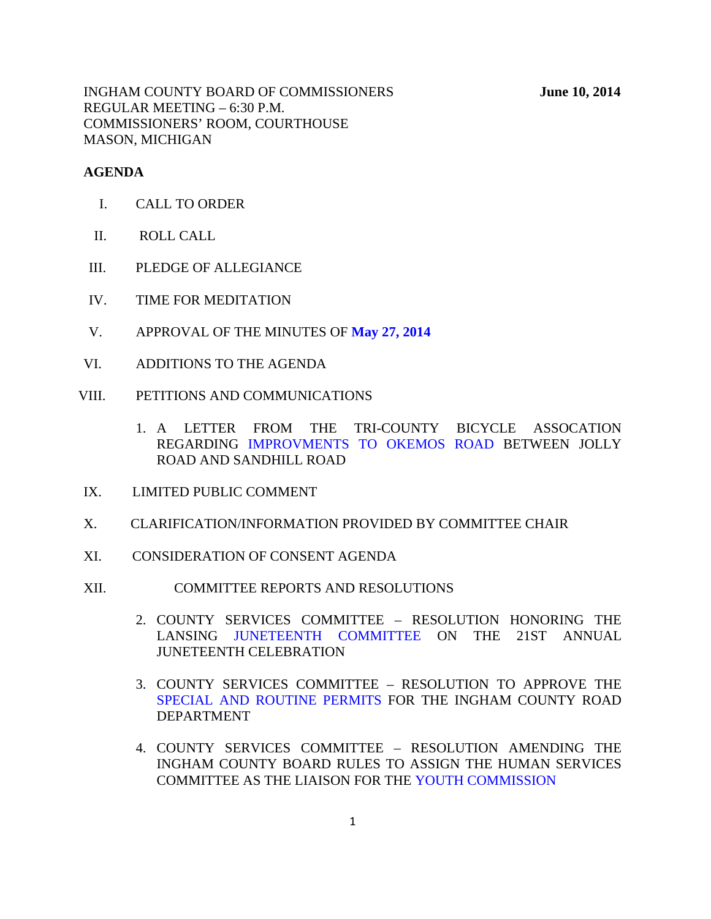INGHAM COUNTY BOARD OF COMMISSIONERS **June 10, 2014** REGULAR MEETING – 6:30 P.M. COMMISSIONERS' ROOM, COURTHOUSE MASON, MICHIGAN

#### **AGENDA**

- I. CALL TO ORDER
- II. ROLL CALL
- III. PLEDGE OF ALLEGIANCE
- IV. TIME FOR MEDITATION
- V. APPROVAL OF THE MINUTES OF **[May 27, 2014](#page-3-0)**
- VI. ADDITIONS TO THE AGENDA
- VIII. PETITIONS AND COMMUNICATIONS
	- 1. A LET[TER FROM THE TRI-COUNTY BICYC](#page-54-0)LE ASSOCATION REGARDING IMPROVMENTS TO OKEMOS ROAD BETWEEN JOLLY ROAD AND SANDHILL ROAD
- IX. LIMITED PUBLIC COMMENT
- X. CLARIFICATION/INFORMATION PROVIDED BY COMMITTEE CHAIR
- XI. CONSIDERATION OF CONSENT AGENDA
- XII. COMMITTEE REPORTS AND RESOLUTIONS
	- 2. COUNTY [SERVICES COMMITTEE RESOLU](#page-55-0)TION HONORING THE LANSING JUNETEENTH COMMITTEE ON THE 21ST ANNUAL JUNETEENTH CELEBRATION
	- 3. COUNTY SERVICES COMMITTEE RESOLUTION TO APPROVE THE [SPECIAL AND ROUTINE PERMITS FOR TH](#page-56-0)E INGHAM COUNTY ROAD DEPARTMENT
	- 4. COUNTY SERVICES COMMITTEE RESOLUTION AMENDING THE INGHAM COUNTY BOARD RULES [TO ASSIGN THE HUMAN SERVI](#page-58-0)CES COMMITTEE AS THE LIAISON FOR THE YOUTH COMMISSION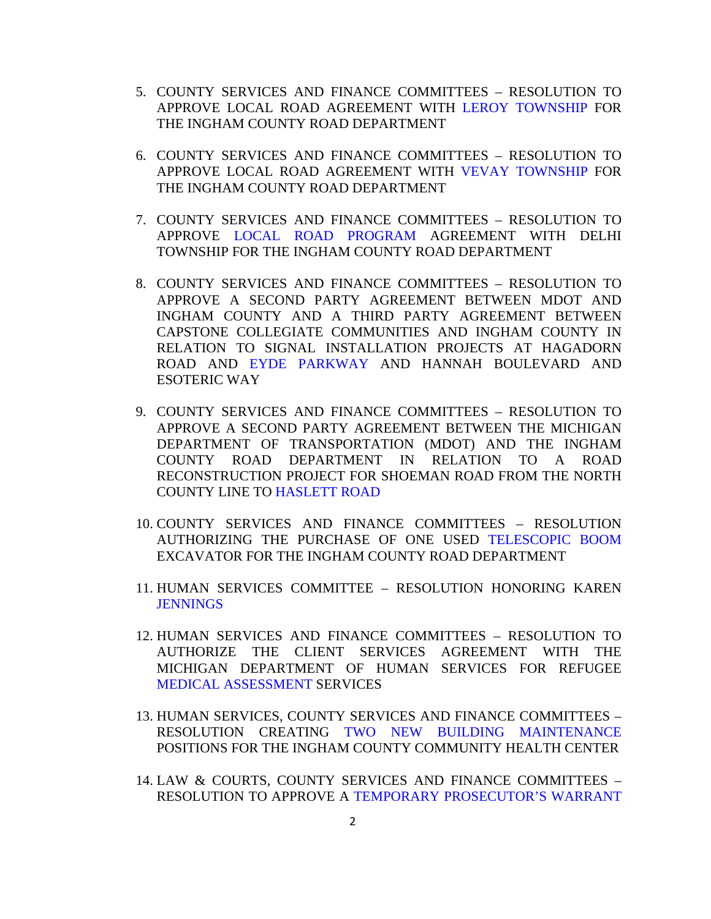- 5. COUNTY SERVICES AND FINANCE COMMITTEES RESOLUTION TO APPROVE LOCAL ROAD AGREEMENT WITH [LEROY TOWNSHIP FO](#page-59-0)R THE INGHAM COUNTY ROAD DEPARTMENT
- 6. COUNTY SERVICES AND FINANCE COMMITTEES RESOLUTION TO APPROVE LOCAL ROAD AGREEMENT WI[TH VEVAY TOWNSHIP FOR](#page-61-0) THE INGHAM COUNTY ROAD DEPARTMENT
- 7. COUNTY SERVICES AND FINANCE COMMITTEES RESOLUTION TO APPRO[VE LOCAL ROAD PROGRAM](#page-63-0) AGREEMENT WITH DELHI TOWNSHIP FOR THE INGHAM COUNTY ROAD DEPARTMENT
- 8. COUNTY SERVICES AND FINANCE COMMITTEES RESOLUTION TO APPROVE A SECOND PARTY AGREEMENT BETWEEN MDOT AND INGHAM COUNTY AND A THIRD PARTY AGREEMENT BETWEEN CAPSTONE [COLLEGIATE COMMUNITIES A](#page-65-0)ND INGHAM COUNTY IN RELATION TO SIGNAL INSTALLATION PROJECTS AT HAGADORN ROAD AND EYDE PARKWAY AND HANNAH BOULEVARD AND ESOTERIC WAY
- 9. COUNTY SERVICES AND FINANCE COMMITTEES RESOLUTION TO APPROVE A SECOND PARTY AGREEMENT BETWEEN THE MICHIGAN DEPARTMENT OF TRANSPORTATION (MDOT) AND THE INGHAM COUNTY ROAD DEPARTMENT IN RELATION TO A ROAD RECONSTRUCTION PROJECT FOR SHOEMAN ROAD FROM THE NORTH COUNTY LIN[E TO HASLETT ROAD](#page-67-0)
- 10. COUNTY SERVICES AND FINANCE COMMITTEES RESOLUTION AUTHORIZING THE PURCHASE OF ONE USE[D TELESCOPIC BOOM](#page-68-0) EXCAVATOR FOR THE INGHAM COUNTY ROAD DEPARTMENT
- 11. [HUMAN SERVICE](#page-69-0)S COMMITTEE RESOLUTION HONORING KAREN **JENNINGS**
- 12. HUMAN SERVICES AND FINANCE COMMITTEES RESOLUTION TO AUTHORIZE THE CLIENT SERVICES AGREEMENT WITH THE MICHIGAN DEPARTMENT OF HUMAN SERVICES FOR REFUGEE [MEDICAL ASSESSMENT SERVI](#page-71-0)CES
- 13. HUMAN SERVICES, COUNTY SERVICES AND FINANCE COMMITTEES RESOLUTION CREATING [TWO NEW BUILDING MAINTENANCE](#page-73-0) POSITIONS FOR THE INGHAM COUNTY COMMUNITY HEALTH CENTER
- 14. LAW & COURTS, COUNTY SERVICES AND FINANCE COMMITTEES RESOLUTION TO APPRO[VE A TEMPORARY PROSECUTOR'S WARRANT](#page-74-0)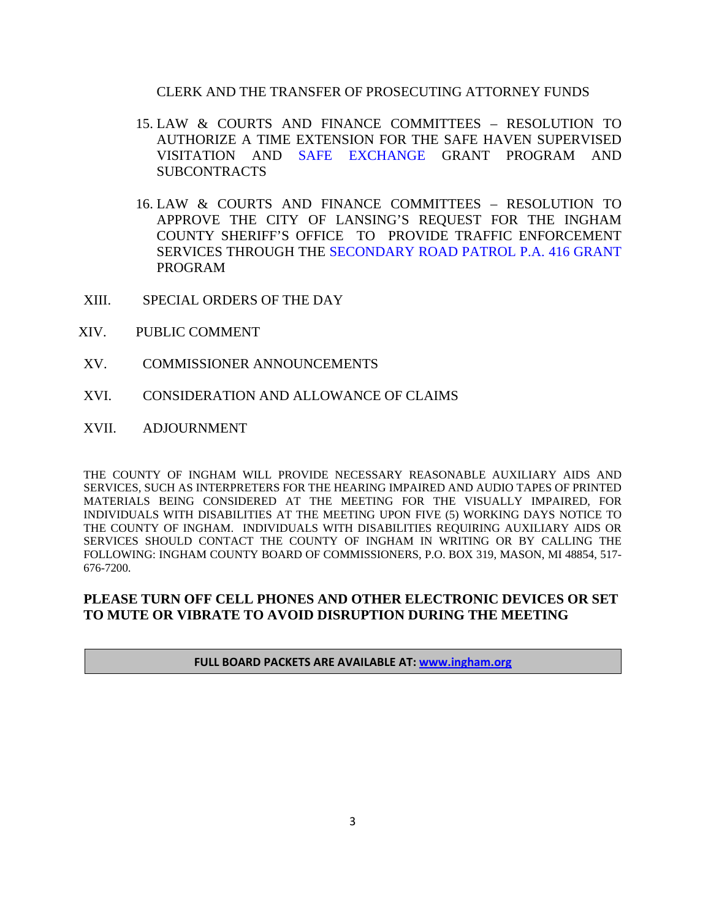#### CLERK AND THE TRANSFER OF PROSECUTING ATTORNEY FUNDS

- 15. LAW & COURTS AND FINANCE COMMITTEES RESOLUTION TO AUTHORIZE A TIM[E EXTENSION FOR THE SAF](#page-76-0)E HAVEN SUPERVISED VISITATION AND SAFE EXCHANGE GRANT PROGRAM AND **SUBCONTRACTS**
- 16. LAW & COURTS AND FINANCE COMMITTEES RESOLUTION TO APPROVE THE CITY OF LANSING'S REQUEST FOR THE INGHAM COUNTY SHERIFF'S OFFICE TO PROVIDE TRAFFIC ENFORCEMENT SERVICES THROUGH [THE SECONDARY ROAD PATROL P.A. 416 GRANT](#page-78-0) PROGRAM
- XIII. SPECIAL ORDERS OF THE DAY
- XIV. PUBLIC COMMENT
- XV. COMMISSIONER ANNOUNCEMENTS
- XVI. CONSIDERATION AND ALLOWANCE OF CLAIMS
- XVII. ADJOURNMENT

THE COUNTY OF INGHAM WILL PROVIDE NECESSARY REASONABLE AUXILIARY AIDS AND SERVICES, SUCH AS INTERPRETERS FOR THE HEARING IMPAIRED AND AUDIO TAPES OF PRINTED MATERIALS BEING CONSIDERED AT THE MEETING FOR THE VISUALLY IMPAIRED, FOR INDIVIDUALS WITH DISABILITIES AT THE MEETING UPON FIVE (5) WORKING DAYS NOTICE TO THE COUNTY OF INGHAM. INDIVIDUALS WITH DISABILITIES REQUIRING AUXILIARY AIDS OR SERVICES SHOULD CONTACT THE COUNTY OF INGHAM IN WRITING OR BY CALLING THE FOLLOWING: INGHAM COUNTY BOARD OF COMMISSIONERS, P.O. BOX 319, MASON, MI 48854, 517- 676-7200.

#### **PLEASE TURN OFF CELL PHONES AND OTHER ELECTRONIC DEVICES OR SET TO MUTE OR VIBRATE TO AVOID DISRUPTION DURING THE MEETING**

**FULL BOARD PACKETS ARE AVAILABLE AT: www.ingham.org**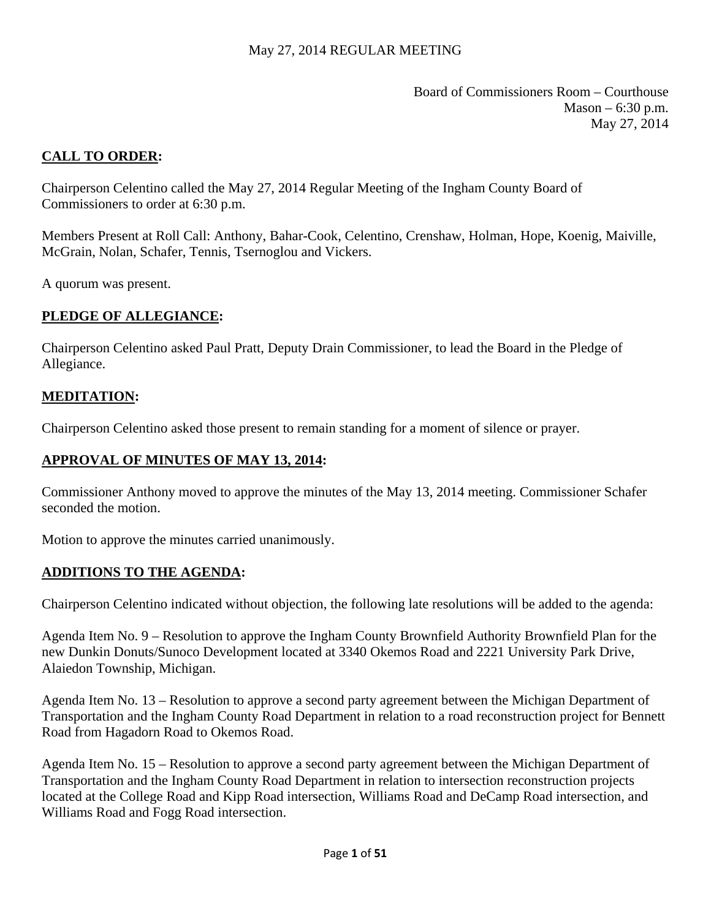Board of Commissioners Room – Courthouse  $Mason - 6:30 p.m.$ May 27, 2014

# <span id="page-3-0"></span>**CALL TO ORDER:**

Chairperson Celentino called the May 27, 2014 Regular Meeting of the Ingham County Board of Commissioners to order at 6:30 p.m.

Members Present at Roll Call: Anthony, Bahar-Cook, Celentino, Crenshaw, Holman, Hope, Koenig, Maiville, McGrain, Nolan, Schafer, Tennis, Tsernoglou and Vickers.

A quorum was present.

#### **PLEDGE OF ALLEGIANCE:**

Chairperson Celentino asked Paul Pratt, Deputy Drain Commissioner, to lead the Board in the Pledge of Allegiance.

#### **MEDITATION:**

Chairperson Celentino asked those present to remain standing for a moment of silence or prayer.

#### **APPROVAL OF MINUTES OF MAY 13, 2014:**

Commissioner Anthony moved to approve the minutes of the May 13, 2014 meeting. Commissioner Schafer seconded the motion.

Motion to approve the minutes carried unanimously.

#### **ADDITIONS TO THE AGENDA:**

Chairperson Celentino indicated without objection, the following late resolutions will be added to the agenda:

Agenda Item No. 9 – Resolution to approve the Ingham County Brownfield Authority Brownfield Plan for the new Dunkin Donuts/Sunoco Development located at 3340 Okemos Road and 2221 University Park Drive, Alaiedon Township, Michigan.

Agenda Item No. 13 – Resolution to approve a second party agreement between the Michigan Department of Transportation and the Ingham County Road Department in relation to a road reconstruction project for Bennett Road from Hagadorn Road to Okemos Road.

Agenda Item No. 15 – Resolution to approve a second party agreement between the Michigan Department of Transportation and the Ingham County Road Department in relation to intersection reconstruction projects located at the College Road and Kipp Road intersection, Williams Road and DeCamp Road intersection, and Williams Road and Fogg Road intersection.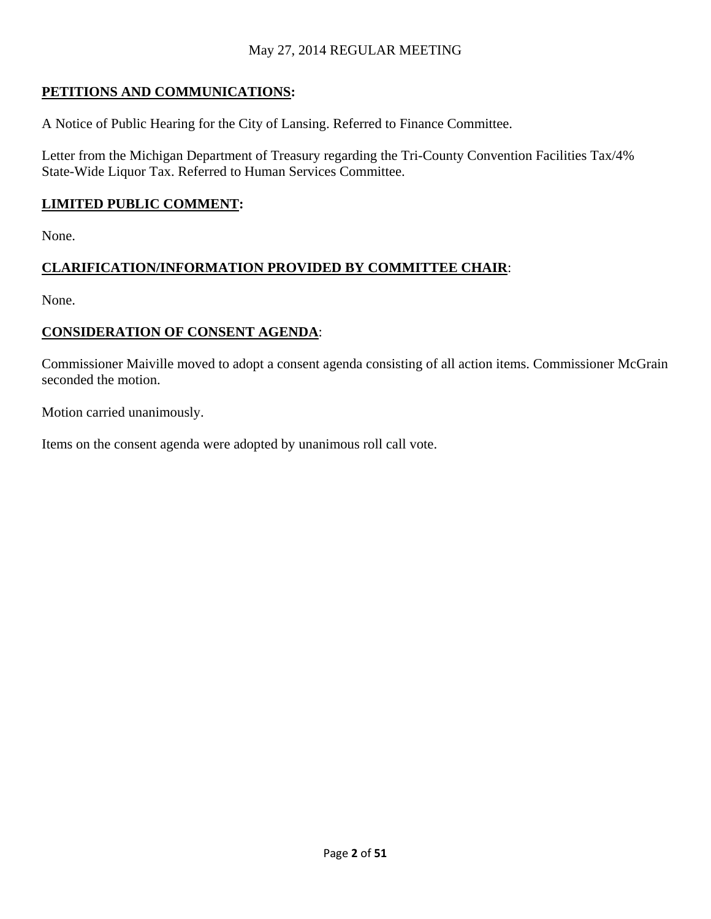# **PETITIONS AND COMMUNICATIONS:**

A Notice of Public Hearing for the City of Lansing. Referred to Finance Committee.

Letter from the Michigan Department of Treasury regarding the Tri-County Convention Facilities Tax/4% State-Wide Liquor Tax. Referred to Human Services Committee.

# **LIMITED PUBLIC COMMENT:**

None.

# **CLARIFICATION/INFORMATION PROVIDED BY COMMITTEE CHAIR**:

None.

# **CONSIDERATION OF CONSENT AGENDA**:

Commissioner Maiville moved to adopt a consent agenda consisting of all action items. Commissioner McGrain seconded the motion.

Motion carried unanimously.

Items on the consent agenda were adopted by unanimous roll call vote.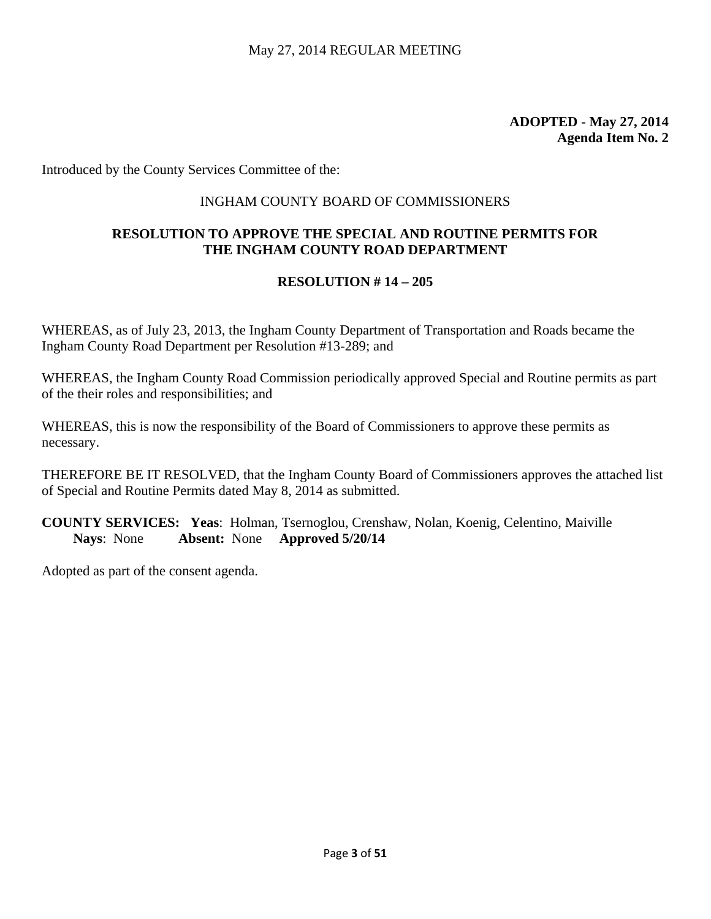Introduced by the County Services Committee of the:

#### INGHAM COUNTY BOARD OF COMMISSIONERS

# **RESOLUTION TO APPROVE THE SPECIAL AND ROUTINE PERMITS FOR THE INGHAM COUNTY ROAD DEPARTMENT**

#### **RESOLUTION # 14 – 205**

WHEREAS, as of July 23, 2013, the Ingham County Department of Transportation and Roads became the Ingham County Road Department per Resolution #13-289; and

WHEREAS, the Ingham County Road Commission periodically approved Special and Routine permits as part of the their roles and responsibilities; and

WHEREAS, this is now the responsibility of the Board of Commissioners to approve these permits as necessary.

THEREFORE BE IT RESOLVED, that the Ingham County Board of Commissioners approves the attached list of Special and Routine Permits dated May 8, 2014 as submitted.

**COUNTY SERVICES: Yeas**: Holman, Tsernoglou, Crenshaw, Nolan, Koenig, Celentino, Maiville **Nays**: None **Absent:** None **Approved 5/20/14**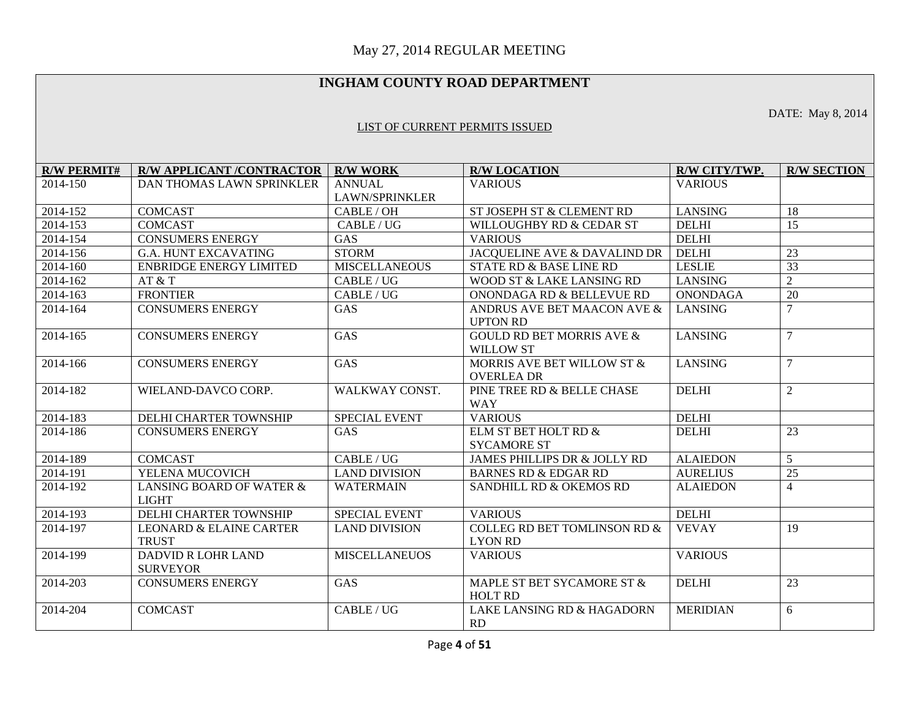## **INGHAM COUNTY ROAD DEPARTMENT**

DATE: May 8, 2014

#### LIST OF CURRENT PERMITS ISSUED

| <b>R/W PERMIT#</b> | <b>R/W APPLICANT /CONTRACTOR</b>                   | <b>R/W WORK</b>       | <b>R/W LOCATION</b>                                       | R/W CITY/TWP.   | <b>R/W SECTION</b> |
|--------------------|----------------------------------------------------|-----------------------|-----------------------------------------------------------|-----------------|--------------------|
| 2014-150           | <b>DAN THOMAS LAWN SPRINKLER</b>                   | <b>ANNUAL</b>         | <b>VARIOUS</b>                                            | <b>VARIOUS</b>  |                    |
|                    |                                                    | <b>LAWN/SPRINKLER</b> |                                                           |                 |                    |
| 2014-152           | <b>COMCAST</b>                                     | CABLE/OH              | ST JOSEPH ST & CLEMENT RD                                 | <b>LANSING</b>  | 18                 |
| 2014-153           | <b>COMCAST</b>                                     | CABLE / UG            | WILLOUGHBY RD & CEDAR ST                                  | <b>DELHI</b>    | 15                 |
| 2014-154           | <b>CONSUMERS ENERGY</b>                            | <b>GAS</b>            | <b>VARIOUS</b>                                            | <b>DELHI</b>    |                    |
| 2014-156           | <b>G.A. HUNT EXCAVATING</b>                        | <b>STORM</b>          | JACQUELINE AVE & DAVALIND DR                              | <b>DELHI</b>    | 23                 |
| 2014-160           | <b>ENBRIDGE ENERGY LIMITED</b>                     | <b>MISCELLANEOUS</b>  | STATE RD & BASE LINE RD                                   | <b>LESLIE</b>   | 33                 |
| 2014-162           | AT & T                                             | CABLE/UG              | WOOD ST & LAKE LANSING RD                                 | <b>LANSING</b>  | $\overline{2}$     |
| 2014-163           | <b>FRONTIER</b>                                    | CABLE / UG            | ONONDAGA RD & BELLEVUE RD                                 | <b>ONONDAGA</b> | 20                 |
| 2014-164           | <b>CONSUMERS ENERGY</b>                            | GAS                   | ANDRUS AVE BET MAACON AVE &<br><b>UPTON RD</b>            | <b>LANSING</b>  | $\overline{7}$     |
| 2014-165           | <b>CONSUMERS ENERGY</b>                            | GAS                   | <b>GOULD RD BET MORRIS AVE &amp;</b><br><b>WILLOW ST</b>  | <b>LANSING</b>  | $\overline{7}$     |
| 2014-166           | <b>CONSUMERS ENERGY</b>                            | GAS                   | MORRIS AVE BET WILLOW ST &<br><b>OVERLEA DR</b>           | <b>LANSING</b>  | $\tau$             |
| 2014-182           | WIELAND-DAVCO CORP.                                | WALKWAY CONST.        | PINE TREE RD & BELLE CHASE<br><b>WAY</b>                  | <b>DELHI</b>    | $\overline{2}$     |
| 2014-183           | DELHI CHARTER TOWNSHIP                             | <b>SPECIAL EVENT</b>  | <b>VARIOUS</b>                                            | <b>DELHI</b>    |                    |
| 2014-186           | <b>CONSUMERS ENERGY</b>                            | <b>GAS</b>            | ELM ST BET HOLT RD &<br><b>SYCAMORE ST</b>                | <b>DELHI</b>    | $\overline{23}$    |
| 2014-189           | <b>COMCAST</b>                                     | CABLE/UG              | JAMES PHILLIPS DR & JOLLY RD                              | <b>ALAIEDON</b> | 5                  |
| 2014-191           | YELENA MUCOVICH                                    | <b>LAND DIVISION</b>  | <b>BARNES RD &amp; EDGAR RD</b>                           | <b>AURELIUS</b> | 25                 |
| 2014-192           | LANSING BOARD OF WATER &<br><b>LIGHT</b>           | <b>WATERMAIN</b>      | SANDHILL RD & OKEMOS RD                                   | <b>ALAIEDON</b> | $\overline{4}$     |
| 2014-193           | DELHI CHARTER TOWNSHIP                             | <b>SPECIAL EVENT</b>  | <b>VARIOUS</b>                                            | <b>DELHI</b>    |                    |
| 2014-197           | <b>LEONARD &amp; ELAINE CARTER</b><br><b>TRUST</b> | <b>LAND DIVISION</b>  | <b>COLLEG RD BET TOMLINSON RD &amp;</b><br><b>LYON RD</b> | <b>VEVAY</b>    | 19                 |
| 2014-199           | <b>DADVID R LOHR LAND</b><br><b>SURVEYOR</b>       | <b>MISCELLANEUOS</b>  | <b>VARIOUS</b>                                            | <b>VARIOUS</b>  |                    |
| 2014-203           | <b>CONSUMERS ENERGY</b>                            | GAS                   | MAPLE ST BET SYCAMORE ST &<br><b>HOLT RD</b>              | <b>DELHI</b>    | 23                 |
| 2014-204           | <b>COMCAST</b>                                     | CABLE/UG              | LAKE LANSING RD & HAGADORN<br><b>RD</b>                   | <b>MERIDIAN</b> | 6                  |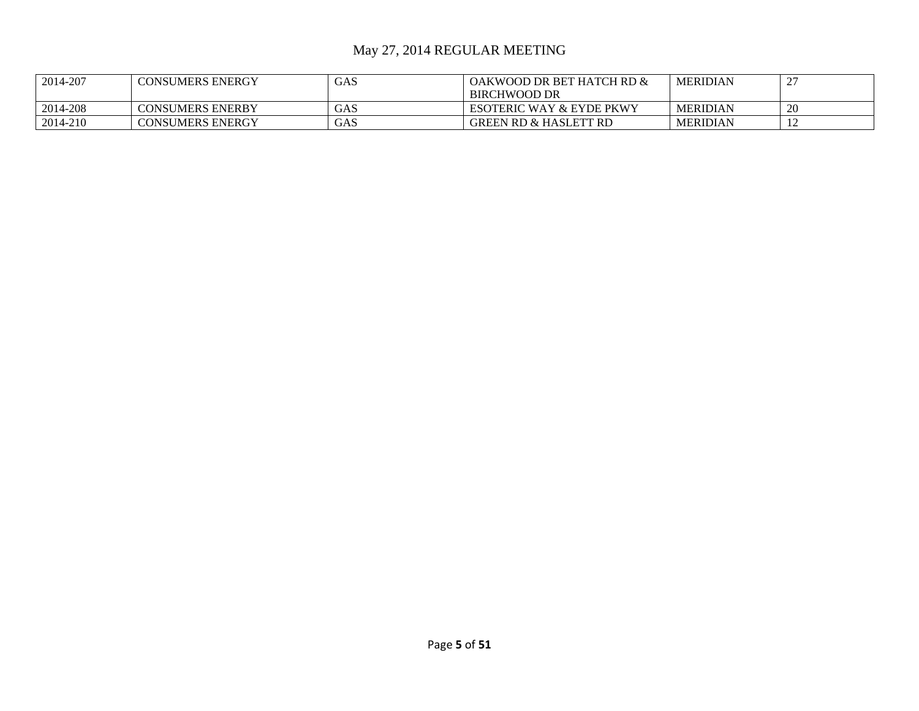| 2014-207 | <b>CONSUMERS ENERGY</b> | GAS | OAKWOOD DR BET HATCH RD &           | <b>MERIDIAN</b> | $\sim$<br>$\overline{\phantom{0}}$ |
|----------|-------------------------|-----|-------------------------------------|-----------------|------------------------------------|
|          |                         |     | BIRCHWOOD DR                        |                 |                                    |
| 2014-208 | <b>CONSUMERS ENERBY</b> | GAS | <b>ESOTERIC WAY &amp; EYDE PKWY</b> | <b>MERIDIAN</b> | <b>20</b>                          |
| 2014-210 | <b>CONSUMERS ENERGY</b> | GAS | <b>GREEN RD &amp; HASLETT RD</b>    | <b>MERIDIAN</b> | ∸                                  |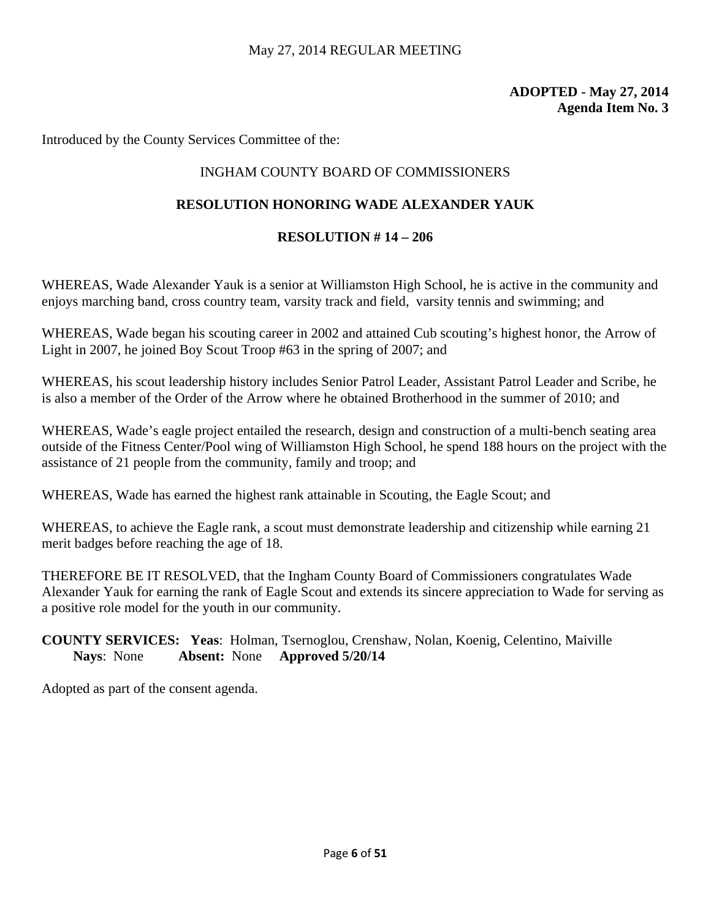Introduced by the County Services Committee of the:

# INGHAM COUNTY BOARD OF COMMISSIONERS

# **RESOLUTION HONORING WADE ALEXANDER YAUK**

## **RESOLUTION # 14 – 206**

WHEREAS, Wade Alexander Yauk is a senior at Williamston High School, he is active in the community and enjoys marching band, cross country team, varsity track and field, varsity tennis and swimming; and

WHEREAS, Wade began his scouting career in 2002 and attained Cub scouting's highest honor, the Arrow of Light in 2007, he joined Boy Scout Troop #63 in the spring of 2007; and

WHEREAS, his scout leadership history includes Senior Patrol Leader, Assistant Patrol Leader and Scribe, he is also a member of the Order of the Arrow where he obtained Brotherhood in the summer of 2010; and

WHEREAS, Wade's eagle project entailed the research, design and construction of a multi-bench seating area outside of the Fitness Center/Pool wing of Williamston High School, he spend 188 hours on the project with the assistance of 21 people from the community, family and troop; and

WHEREAS, Wade has earned the highest rank attainable in Scouting, the Eagle Scout; and

WHEREAS, to achieve the Eagle rank, a scout must demonstrate leadership and citizenship while earning 21 merit badges before reaching the age of 18.

THEREFORE BE IT RESOLVED, that the Ingham County Board of Commissioners congratulates Wade Alexander Yauk for earning the rank of Eagle Scout and extends its sincere appreciation to Wade for serving as a positive role model for the youth in our community.

# **COUNTY SERVICES: Yeas**: Holman, Tsernoglou, Crenshaw, Nolan, Koenig, Celentino, Maiville **Nays**: None **Absent:** None **Approved 5/20/14**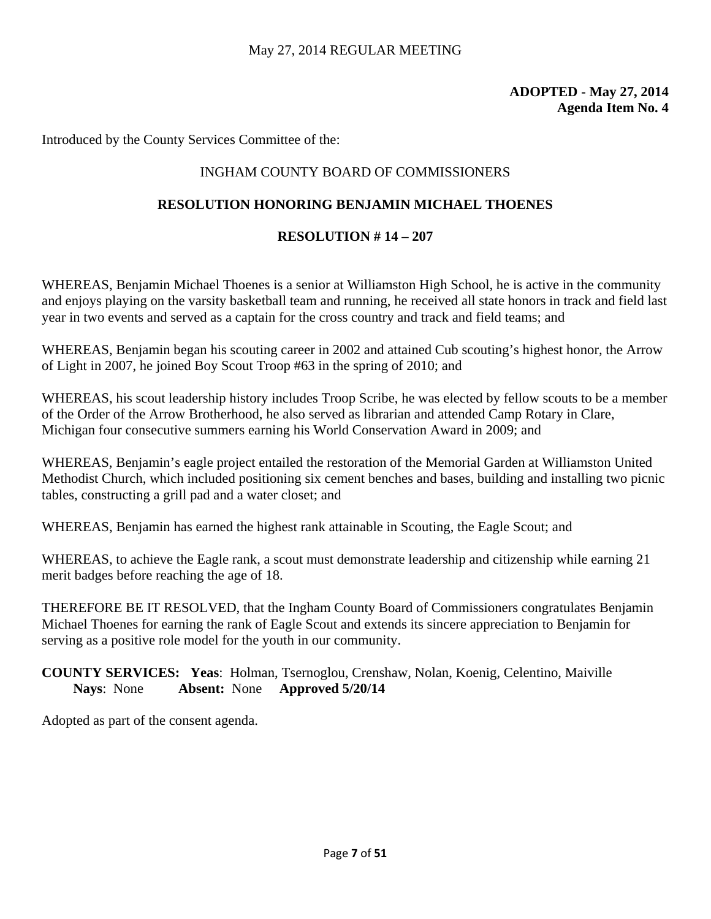Introduced by the County Services Committee of the:

# INGHAM COUNTY BOARD OF COMMISSIONERS

# **RESOLUTION HONORING BENJAMIN MICHAEL THOENES**

#### **RESOLUTION # 14 – 207**

WHEREAS, Benjamin Michael Thoenes is a senior at Williamston High School, he is active in the community and enjoys playing on the varsity basketball team and running, he received all state honors in track and field last year in two events and served as a captain for the cross country and track and field teams; and

WHEREAS, Benjamin began his scouting career in 2002 and attained Cub scouting's highest honor, the Arrow of Light in 2007, he joined Boy Scout Troop #63 in the spring of 2010; and

WHEREAS, his scout leadership history includes Troop Scribe, he was elected by fellow scouts to be a member of the Order of the Arrow Brotherhood, he also served as librarian and attended Camp Rotary in Clare, Michigan four consecutive summers earning his World Conservation Award in 2009; and

WHEREAS, Benjamin's eagle project entailed the restoration of the Memorial Garden at Williamston United Methodist Church, which included positioning six cement benches and bases, building and installing two picnic tables, constructing a grill pad and a water closet; and

WHEREAS, Benjamin has earned the highest rank attainable in Scouting, the Eagle Scout; and

WHEREAS, to achieve the Eagle rank, a scout must demonstrate leadership and citizenship while earning 21 merit badges before reaching the age of 18.

THEREFORE BE IT RESOLVED, that the Ingham County Board of Commissioners congratulates Benjamin Michael Thoenes for earning the rank of Eagle Scout and extends its sincere appreciation to Benjamin for serving as a positive role model for the youth in our community.

**COUNTY SERVICES: Yeas**: Holman, Tsernoglou, Crenshaw, Nolan, Koenig, Celentino, Maiville **Nays**: None **Absent:** None **Approved 5/20/14**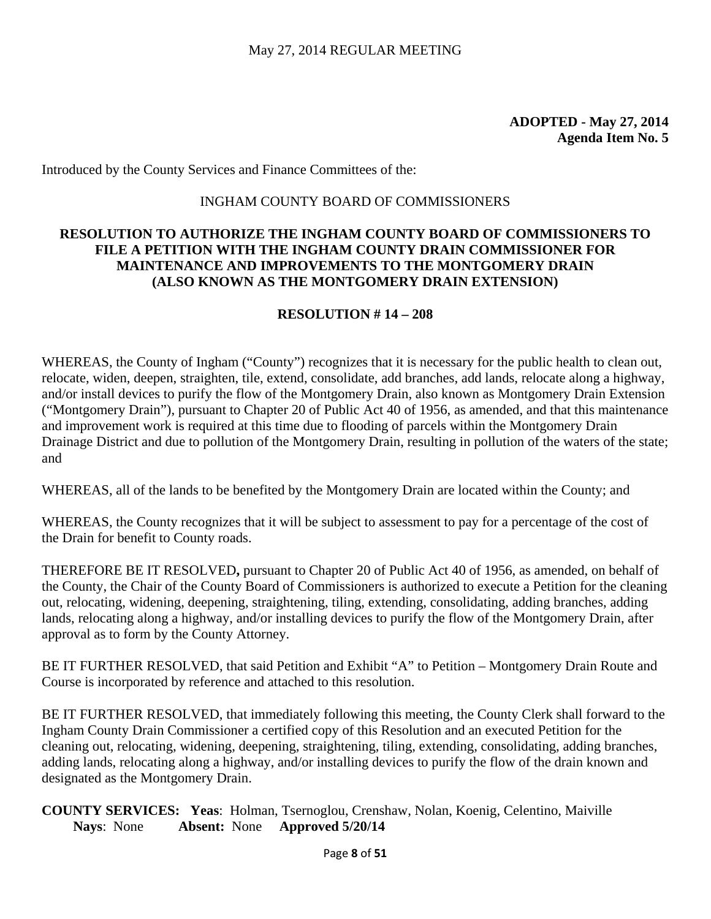Introduced by the County Services and Finance Committees of the:

#### INGHAM COUNTY BOARD OF COMMISSIONERS

## **RESOLUTION TO AUTHORIZE THE INGHAM COUNTY BOARD OF COMMISSIONERS TO FILE A PETITION WITH THE INGHAM COUNTY DRAIN COMMISSIONER FOR MAINTENANCE AND IMPROVEMENTS TO THE MONTGOMERY DRAIN (ALSO KNOWN AS THE MONTGOMERY DRAIN EXTENSION)**

#### **RESOLUTION # 14 – 208**

WHEREAS, the County of Ingham ("County") recognizes that it is necessary for the public health to clean out, relocate, widen, deepen, straighten, tile, extend, consolidate, add branches, add lands, relocate along a highway, and/or install devices to purify the flow of the Montgomery Drain, also known as Montgomery Drain Extension ("Montgomery Drain"), pursuant to Chapter 20 of Public Act 40 of 1956, as amended, and that this maintenance and improvement work is required at this time due to flooding of parcels within the Montgomery Drain Drainage District and due to pollution of the Montgomery Drain, resulting in pollution of the waters of the state; and

WHEREAS, all of the lands to be benefited by the Montgomery Drain are located within the County; and

WHEREAS, the County recognizes that it will be subject to assessment to pay for a percentage of the cost of the Drain for benefit to County roads.

THEREFORE BE IT RESOLVED**,** pursuant to Chapter 20 of Public Act 40 of 1956, as amended, on behalf of the County, the Chair of the County Board of Commissioners is authorized to execute a Petition for the cleaning out, relocating, widening, deepening, straightening, tiling, extending, consolidating, adding branches, adding lands, relocating along a highway, and/or installing devices to purify the flow of the Montgomery Drain, after approval as to form by the County Attorney.

BE IT FURTHER RESOLVED, that said Petition and Exhibit "A" to Petition – Montgomery Drain Route and Course is incorporated by reference and attached to this resolution.

BE IT FURTHER RESOLVED, that immediately following this meeting, the County Clerk shall forward to the Ingham County Drain Commissioner a certified copy of this Resolution and an executed Petition for the cleaning out, relocating, widening, deepening, straightening, tiling, extending, consolidating, adding branches, adding lands, relocating along a highway, and/or installing devices to purify the flow of the drain known and designated as the Montgomery Drain.

**COUNTY SERVICES: Yeas**: Holman, Tsernoglou, Crenshaw, Nolan, Koenig, Celentino, Maiville **Nays**: None **Absent:** None **Approved 5/20/14**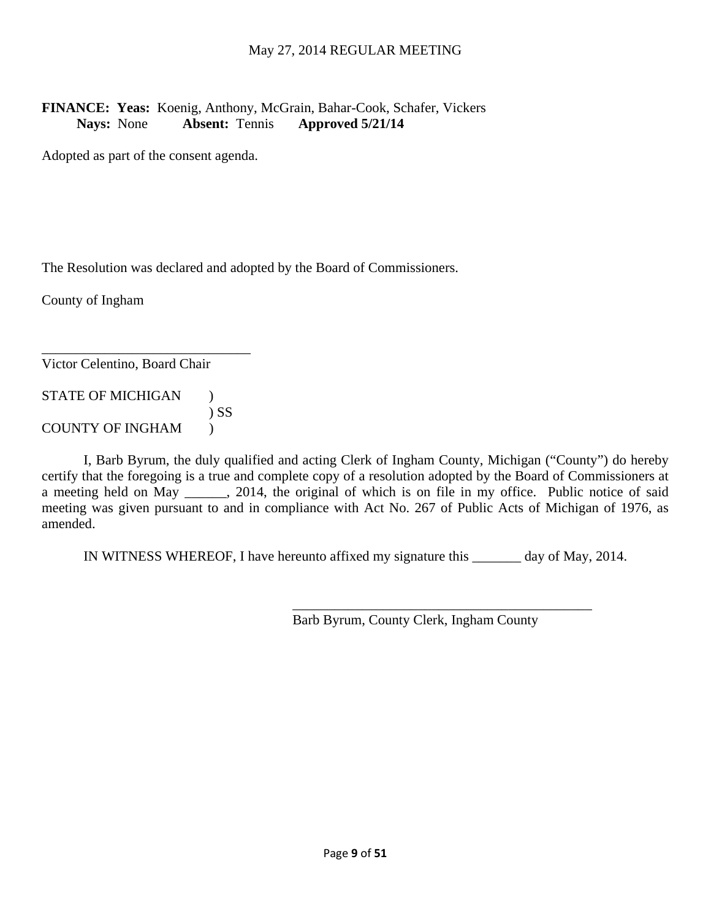# **FINANCE: Yeas:** Koenig, Anthony, McGrain, Bahar-Cook, Schafer, Vickers **Nays:** None **Absent:** Tennis **Approved 5/21/14**

Adopted as part of the consent agenda.

The Resolution was declared and adopted by the Board of Commissioners.

County of Ingham

Victor Celentino, Board Chair

STATE OF MICHIGAN ) ) SS COUNTY OF INGHAM )

\_\_\_\_\_\_\_\_\_\_\_\_\_\_\_\_\_\_\_\_\_\_\_\_\_\_\_\_\_\_

 I, Barb Byrum, the duly qualified and acting Clerk of Ingham County, Michigan ("County") do hereby certify that the foregoing is a true and complete copy of a resolution adopted by the Board of Commissioners at a meeting held on May 12014, the original of which is on file in my office. Public notice of said meeting was given pursuant to and in compliance with Act No. 267 of Public Acts of Michigan of 1976, as amended.

IN WITNESS WHEREOF, I have hereunto affixed my signature this \_\_\_\_\_\_\_ day of May, 2014.

 $\overline{\phantom{a}}$  , which is a set of the set of the set of the set of the set of the set of the set of the set of the set of the set of the set of the set of the set of the set of the set of the set of the set of the set of th

Barb Byrum, County Clerk, Ingham County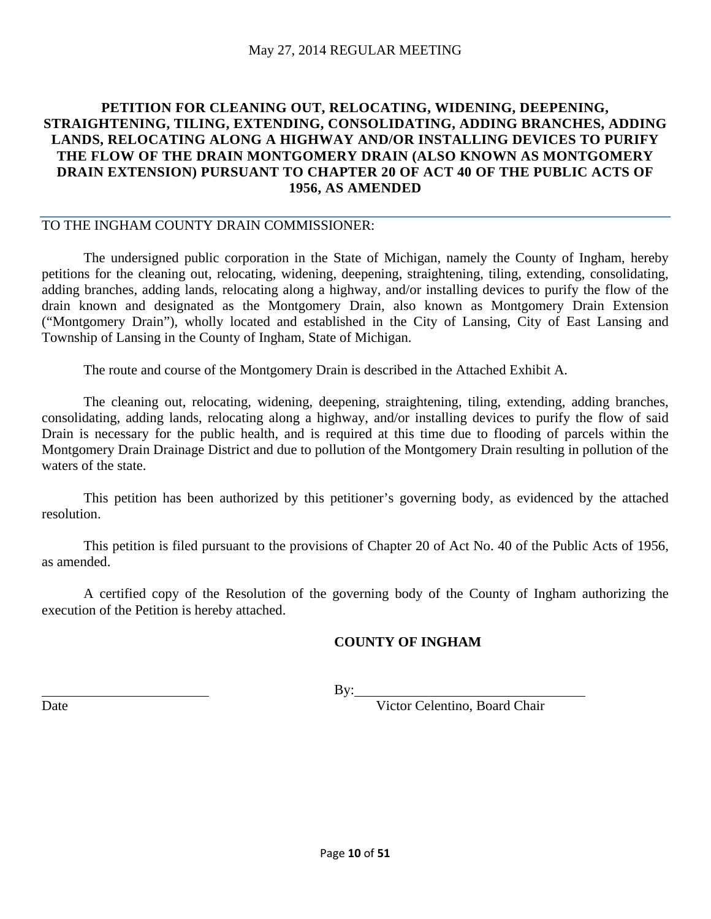# **PETITION FOR CLEANING OUT, RELOCATING, WIDENING, DEEPENING, STRAIGHTENING, TILING, EXTENDING, CONSOLIDATING, ADDING BRANCHES, ADDING LANDS, RELOCATING ALONG A HIGHWAY AND/OR INSTALLING DEVICES TO PURIFY THE FLOW OF THE DRAIN MONTGOMERY DRAIN (ALSO KNOWN AS MONTGOMERY DRAIN EXTENSION) PURSUANT TO CHAPTER 20 OF ACT 40 OF THE PUBLIC ACTS OF 1956, AS AMENDED**

#### TO THE INGHAM COUNTY DRAIN COMMISSIONER:

 The undersigned public corporation in the State of Michigan, namely the County of Ingham, hereby petitions for the cleaning out, relocating, widening, deepening, straightening, tiling, extending, consolidating, adding branches, adding lands, relocating along a highway, and/or installing devices to purify the flow of the drain known and designated as the Montgomery Drain, also known as Montgomery Drain Extension ("Montgomery Drain"), wholly located and established in the City of Lansing, City of East Lansing and Township of Lansing in the County of Ingham, State of Michigan.

The route and course of the Montgomery Drain is described in the Attached Exhibit A.

 The cleaning out, relocating, widening, deepening, straightening, tiling, extending, adding branches, consolidating, adding lands, relocating along a highway, and/or installing devices to purify the flow of said Drain is necessary for the public health, and is required at this time due to flooding of parcels within the Montgomery Drain Drainage District and due to pollution of the Montgomery Drain resulting in pollution of the waters of the state.

 This petition has been authorized by this petitioner's governing body, as evidenced by the attached resolution.

 This petition is filed pursuant to the provisions of Chapter 20 of Act No. 40 of the Public Acts of 1956, as amended.

A certified copy of the Resolution of the governing body of the County of Ingham authorizing the execution of the Petition is hereby attached.

# **COUNTY OF INGHAM**

By:

Date Victor Celentino, Board Chair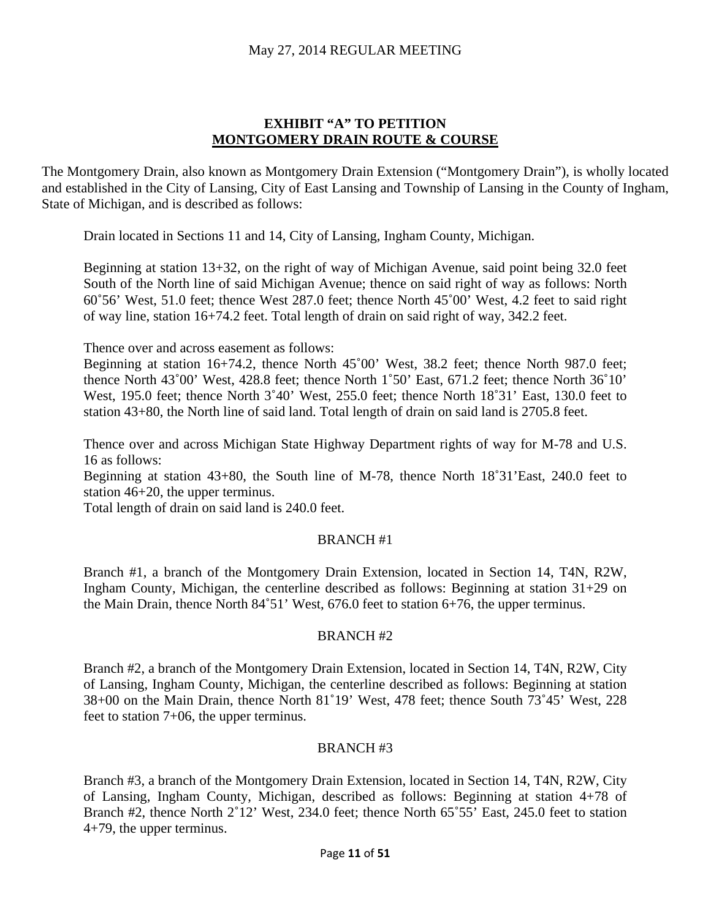#### **EXHIBIT "A" TO PETITION MONTGOMERY DRAIN ROUTE & COURSE**

The Montgomery Drain, also known as Montgomery Drain Extension ("Montgomery Drain"), is wholly located and established in the City of Lansing, City of East Lansing and Township of Lansing in the County of Ingham, State of Michigan, and is described as follows:

Drain located in Sections 11 and 14, City of Lansing, Ingham County, Michigan.

Beginning at station 13+32, on the right of way of Michigan Avenue, said point being 32.0 feet South of the North line of said Michigan Avenue; thence on said right of way as follows: North 60˚56' West, 51.0 feet; thence West 287.0 feet; thence North 45˚00' West, 4.2 feet to said right of way line, station 16+74.2 feet. Total length of drain on said right of way, 342.2 feet.

Thence over and across easement as follows:

Beginning at station 16+74.2, thence North 45˚00' West, 38.2 feet; thence North 987.0 feet; thence North 43˚00' West, 428.8 feet; thence North 1˚50' East, 671.2 feet; thence North 36˚10' West, 195.0 feet; thence North 3°40' West, 255.0 feet; thence North 18°31' East, 130.0 feet to station 43+80, the North line of said land. Total length of drain on said land is 2705.8 feet.

Thence over and across Michigan State Highway Department rights of way for M-78 and U.S. 16 as follows:

Beginning at station 43+80, the South line of M-78, thence North 18˚31'East, 240.0 feet to station 46+20, the upper terminus.

Total length of drain on said land is 240.0 feet.

#### BRANCH #1

Branch #1, a branch of the Montgomery Drain Extension, located in Section 14, T4N, R2W, Ingham County, Michigan, the centerline described as follows: Beginning at station 31+29 on the Main Drain, thence North 84˚51' West, 676.0 feet to station 6+76, the upper terminus.

#### BRANCH #2

Branch #2, a branch of the Montgomery Drain Extension, located in Section 14, T4N, R2W, City of Lansing, Ingham County, Michigan, the centerline described as follows: Beginning at station 38+00 on the Main Drain, thence North 81˚19' West, 478 feet; thence South 73˚45' West, 228 feet to station 7+06, the upper terminus.

#### BRANCH #3

Branch #3, a branch of the Montgomery Drain Extension, located in Section 14, T4N, R2W, City of Lansing, Ingham County, Michigan, described as follows: Beginning at station 4+78 of Branch #2, thence North 2°12' West, 234.0 feet; thence North 65°55' East, 245.0 feet to station 4+79, the upper terminus.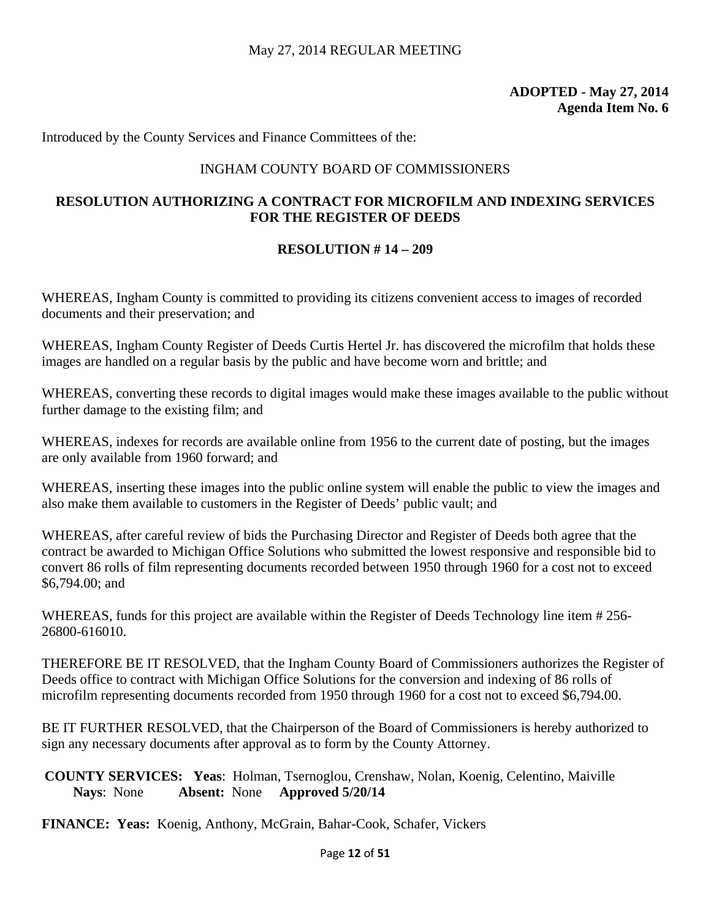Introduced by the County Services and Finance Committees of the:

# INGHAM COUNTY BOARD OF COMMISSIONERS

# **RESOLUTION AUTHORIZING A CONTRACT FOR MICROFILM AND INDEXING SERVICES FOR THE REGISTER OF DEEDS**

#### **RESOLUTION # 14 – 209**

WHEREAS, Ingham County is committed to providing its citizens convenient access to images of recorded documents and their preservation; and

WHEREAS, Ingham County Register of Deeds Curtis Hertel Jr. has discovered the microfilm that holds these images are handled on a regular basis by the public and have become worn and brittle; and

WHEREAS, converting these records to digital images would make these images available to the public without further damage to the existing film; and

WHEREAS, indexes for records are available online from 1956 to the current date of posting, but the images are only available from 1960 forward; and

WHEREAS, inserting these images into the public online system will enable the public to view the images and also make them available to customers in the Register of Deeds' public vault; and

WHEREAS, after careful review of bids the Purchasing Director and Register of Deeds both agree that the contract be awarded to Michigan Office Solutions who submitted the lowest responsive and responsible bid to convert 86 rolls of film representing documents recorded between 1950 through 1960 for a cost not to exceed \$6,794.00; and

WHEREAS, funds for this project are available within the Register of Deeds Technology line item # 256- 26800-616010.

THEREFORE BE IT RESOLVED, that the Ingham County Board of Commissioners authorizes the Register of Deeds office to contract with Michigan Office Solutions for the conversion and indexing of 86 rolls of microfilm representing documents recorded from 1950 through 1960 for a cost not to exceed \$6,794.00.

BE IT FURTHER RESOLVED, that the Chairperson of the Board of Commissioners is hereby authorized to sign any necessary documents after approval as to form by the County Attorney.

**COUNTY SERVICES: Yeas**: Holman, Tsernoglou, Crenshaw, Nolan, Koenig, Celentino, Maiville **Nays**: None **Absent:** None **Approved 5/20/14** 

**FINANCE: Yeas:** Koenig, Anthony, McGrain, Bahar-Cook, Schafer, Vickers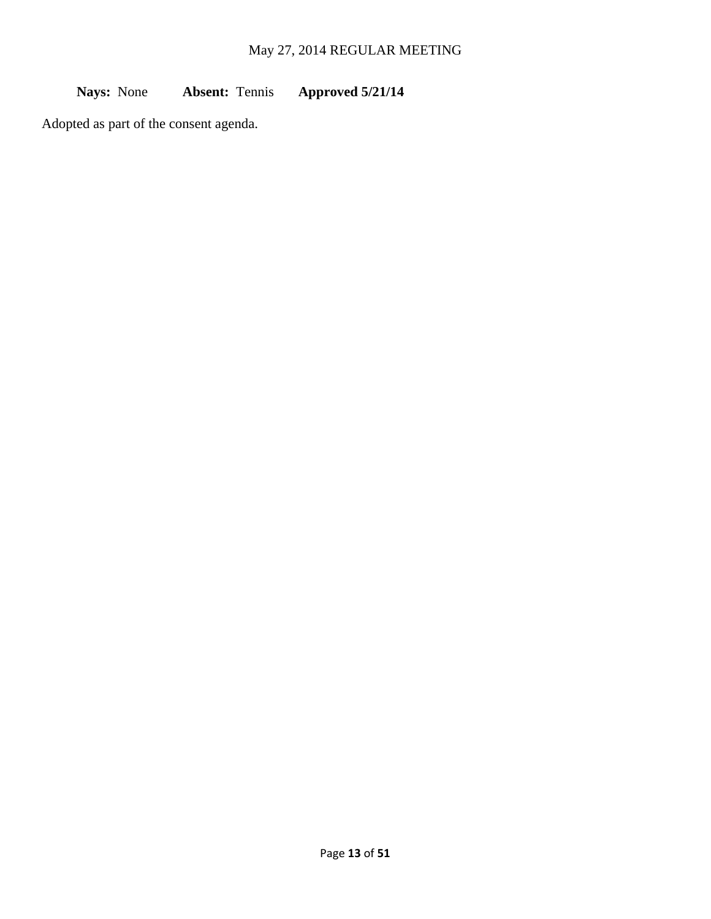**Nays:** None **Absent:** Tennis **Approved 5/21/14**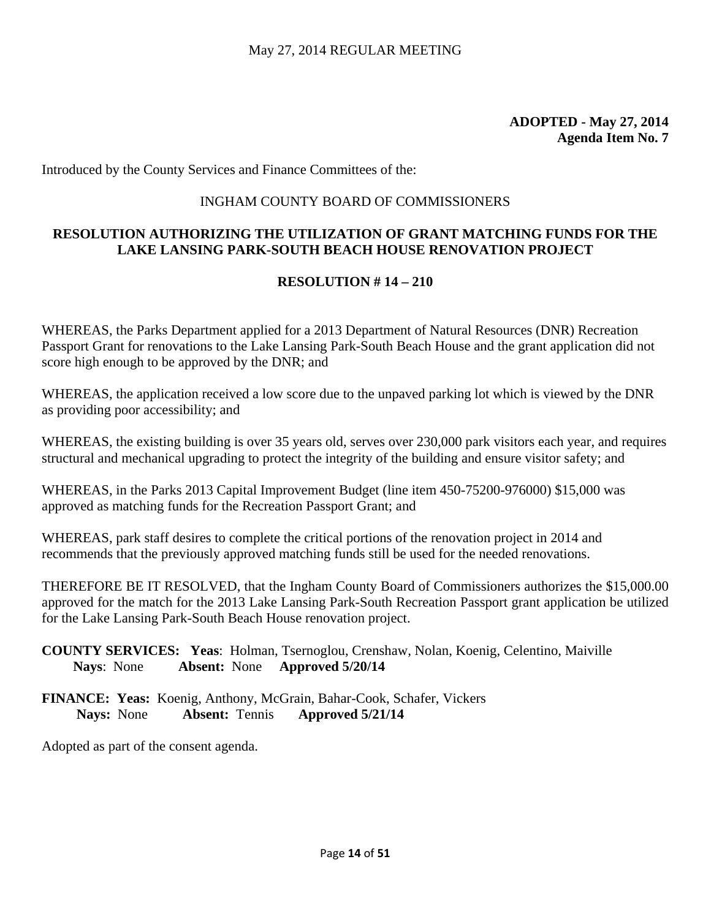Introduced by the County Services and Finance Committees of the:

#### INGHAM COUNTY BOARD OF COMMISSIONERS

# **RESOLUTION AUTHORIZING THE UTILIZATION OF GRANT MATCHING FUNDS FOR THE LAKE LANSING PARK-SOUTH BEACH HOUSE RENOVATION PROJECT**

#### **RESOLUTION # 14 – 210**

WHEREAS, the Parks Department applied for a 2013 Department of Natural Resources (DNR) Recreation Passport Grant for renovations to the Lake Lansing Park-South Beach House and the grant application did not score high enough to be approved by the DNR; and

WHEREAS, the application received a low score due to the unpaved parking lot which is viewed by the DNR as providing poor accessibility; and

WHEREAS, the existing building is over 35 years old, serves over 230,000 park visitors each year, and requires structural and mechanical upgrading to protect the integrity of the building and ensure visitor safety; and

WHEREAS, in the Parks 2013 Capital Improvement Budget (line item 450-75200-976000) \$15,000 was approved as matching funds for the Recreation Passport Grant; and

WHEREAS, park staff desires to complete the critical portions of the renovation project in 2014 and recommends that the previously approved matching funds still be used for the needed renovations.

THEREFORE BE IT RESOLVED, that the Ingham County Board of Commissioners authorizes the \$15,000.00 approved for the match for the 2013 Lake Lansing Park-South Recreation Passport grant application be utilized for the Lake Lansing Park-South Beach House renovation project.

- **COUNTY SERVICES: Yeas**: Holman, Tsernoglou, Crenshaw, Nolan, Koenig, Celentino, Maiville **Nays**: None **Absent:** None **Approved 5/20/14**
- **FINANCE: Yeas:** Koenig, Anthony, McGrain, Bahar-Cook, Schafer, Vickers **Nays:** None **Absent:** Tennis **Approved 5/21/14**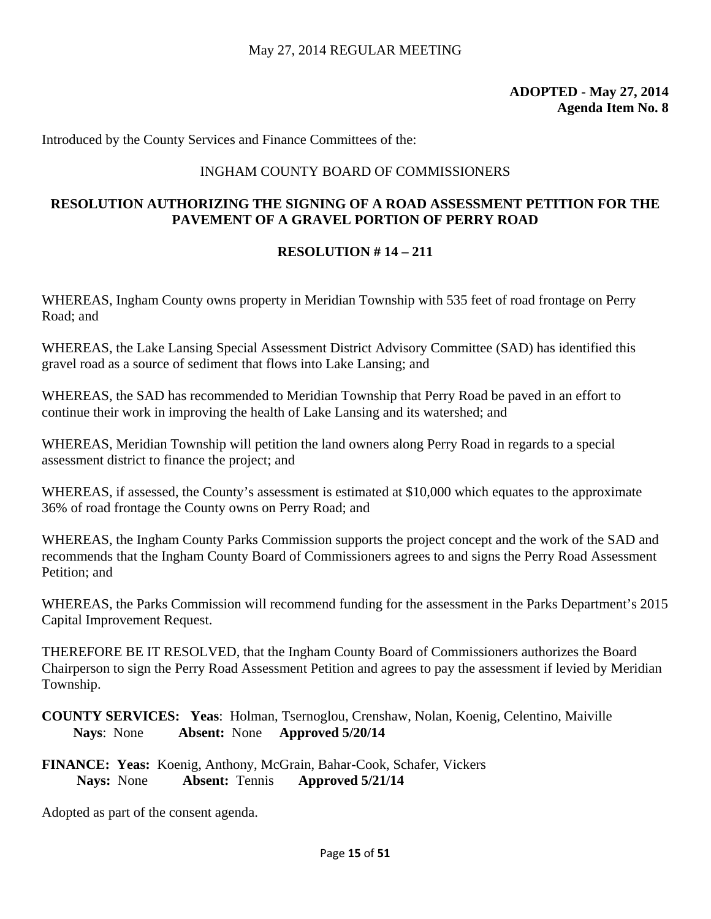Introduced by the County Services and Finance Committees of the:

#### INGHAM COUNTY BOARD OF COMMISSIONERS

# **RESOLUTION AUTHORIZING THE SIGNING OF A ROAD ASSESSMENT PETITION FOR THE PAVEMENT OF A GRAVEL PORTION OF PERRY ROAD**

#### **RESOLUTION # 14 – 211**

WHEREAS, Ingham County owns property in Meridian Township with 535 feet of road frontage on Perry Road; and

WHEREAS, the Lake Lansing Special Assessment District Advisory Committee (SAD) has identified this gravel road as a source of sediment that flows into Lake Lansing; and

WHEREAS, the SAD has recommended to Meridian Township that Perry Road be paved in an effort to continue their work in improving the health of Lake Lansing and its watershed; and

WHEREAS, Meridian Township will petition the land owners along Perry Road in regards to a special assessment district to finance the project; and

WHEREAS, if assessed, the County's assessment is estimated at \$10,000 which equates to the approximate 36% of road frontage the County owns on Perry Road; and

WHEREAS, the Ingham County Parks Commission supports the project concept and the work of the SAD and recommends that the Ingham County Board of Commissioners agrees to and signs the Perry Road Assessment Petition; and

WHEREAS, the Parks Commission will recommend funding for the assessment in the Parks Department's 2015 Capital Improvement Request.

THEREFORE BE IT RESOLVED, that the Ingham County Board of Commissioners authorizes the Board Chairperson to sign the Perry Road Assessment Petition and agrees to pay the assessment if levied by Meridian Township.

**COUNTY SERVICES: Yeas**: Holman, Tsernoglou, Crenshaw, Nolan, Koenig, Celentino, Maiville **Nays**: None **Absent:** None **Approved 5/20/14** 

**FINANCE: Yeas:** Koenig, Anthony, McGrain, Bahar-Cook, Schafer, Vickers **Nays:** None **Absent:** Tennis **Approved 5/21/14**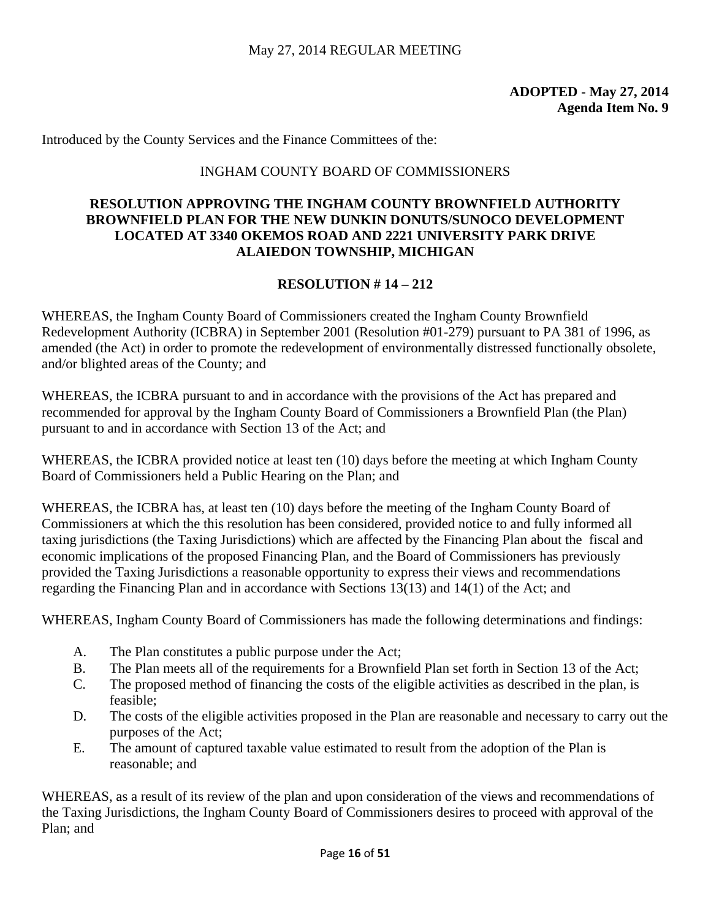Introduced by the County Services and the Finance Committees of the:

#### INGHAM COUNTY BOARD OF COMMISSIONERS

# **RESOLUTION APPROVING THE INGHAM COUNTY BROWNFIELD AUTHORITY BROWNFIELD PLAN FOR THE NEW DUNKIN DONUTS/SUNOCO DEVELOPMENT LOCATED AT 3340 OKEMOS ROAD AND 2221 UNIVERSITY PARK DRIVE ALAIEDON TOWNSHIP, MICHIGAN**

#### **RESOLUTION # 14 – 212**

WHEREAS, the Ingham County Board of Commissioners created the Ingham County Brownfield Redevelopment Authority (ICBRA) in September 2001 (Resolution #01-279) pursuant to PA 381 of 1996, as amended (the Act) in order to promote the redevelopment of environmentally distressed functionally obsolete, and/or blighted areas of the County; and

WHEREAS, the ICBRA pursuant to and in accordance with the provisions of the Act has prepared and recommended for approval by the Ingham County Board of Commissioners a Brownfield Plan (the Plan) pursuant to and in accordance with Section 13 of the Act; and

WHEREAS, the ICBRA provided notice at least ten (10) days before the meeting at which Ingham County Board of Commissioners held a Public Hearing on the Plan; and

WHEREAS, the ICBRA has, at least ten (10) days before the meeting of the Ingham County Board of Commissioners at which the this resolution has been considered, provided notice to and fully informed all taxing jurisdictions (the Taxing Jurisdictions) which are affected by the Financing Plan about the fiscal and economic implications of the proposed Financing Plan, and the Board of Commissioners has previously provided the Taxing Jurisdictions a reasonable opportunity to express their views and recommendations regarding the Financing Plan and in accordance with Sections 13(13) and 14(1) of the Act; and

WHEREAS, Ingham County Board of Commissioners has made the following determinations and findings:

- A. The Plan constitutes a public purpose under the Act;
- B. The Plan meets all of the requirements for a Brownfield Plan set forth in Section 13 of the Act;
- C. The proposed method of financing the costs of the eligible activities as described in the plan, is feasible;
- D. The costs of the eligible activities proposed in the Plan are reasonable and necessary to carry out the purposes of the Act;
- E. The amount of captured taxable value estimated to result from the adoption of the Plan is reasonable; and

WHEREAS, as a result of its review of the plan and upon consideration of the views and recommendations of the Taxing Jurisdictions, the Ingham County Board of Commissioners desires to proceed with approval of the Plan; and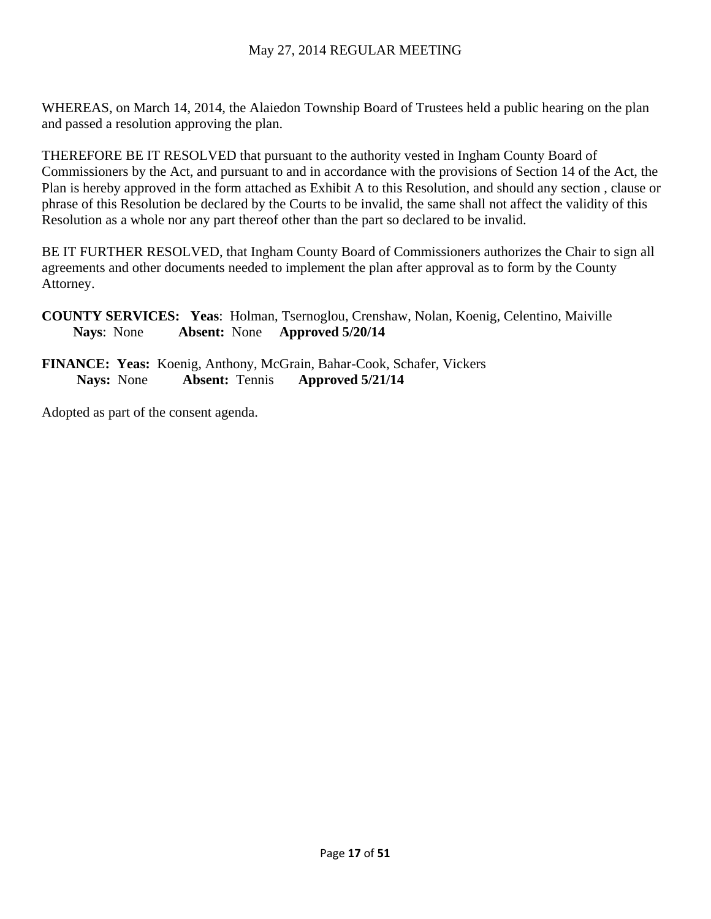WHEREAS, on March 14, 2014, the Alaiedon Township Board of Trustees held a public hearing on the plan and passed a resolution approving the plan.

THEREFORE BE IT RESOLVED that pursuant to the authority vested in Ingham County Board of Commissioners by the Act, and pursuant to and in accordance with the provisions of Section 14 of the Act, the Plan is hereby approved in the form attached as Exhibit A to this Resolution, and should any section , clause or phrase of this Resolution be declared by the Courts to be invalid, the same shall not affect the validity of this Resolution as a whole nor any part thereof other than the part so declared to be invalid.

BE IT FURTHER RESOLVED, that Ingham County Board of Commissioners authorizes the Chair to sign all agreements and other documents needed to implement the plan after approval as to form by the County Attorney.

**COUNTY SERVICES: Yeas**: Holman, Tsernoglou, Crenshaw, Nolan, Koenig, Celentino, Maiville **Nays**: None **Absent:** None **Approved 5/20/14** 

**FINANCE: Yeas:** Koenig, Anthony, McGrain, Bahar-Cook, Schafer, Vickers **Nays:** None **Absent:** Tennis **Approved 5/21/14**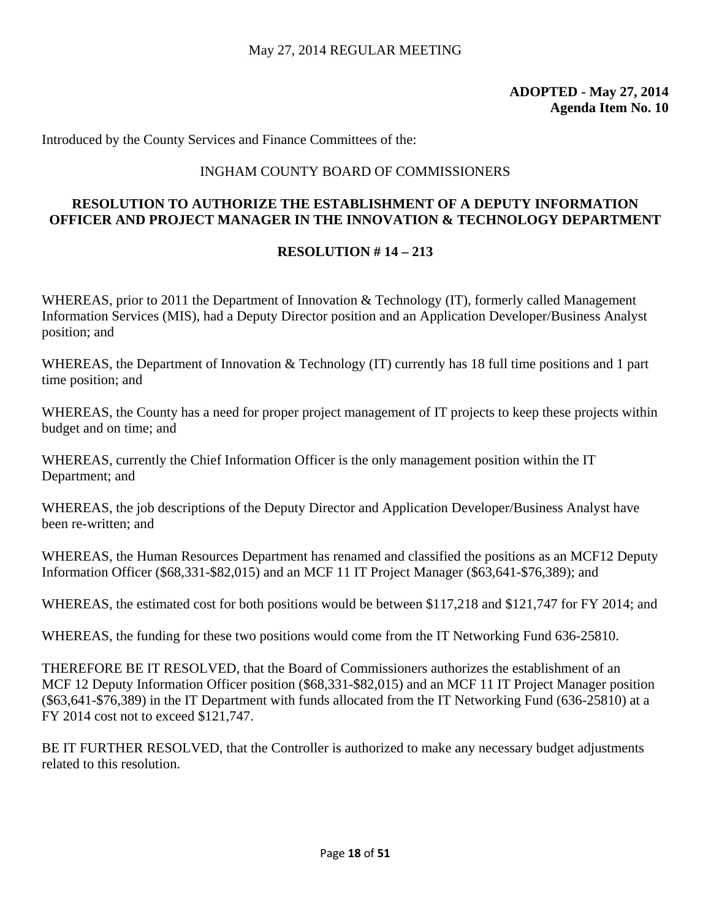Introduced by the County Services and Finance Committees of the:

# INGHAM COUNTY BOARD OF COMMISSIONERS

# **RESOLUTION TO AUTHORIZE THE ESTABLISHMENT OF A DEPUTY INFORMATION OFFICER AND PROJECT MANAGER IN THE INNOVATION & TECHNOLOGY DEPARTMENT**

# **RESOLUTION # 14 – 213**

WHEREAS, prior to 2011 the Department of Innovation & Technology (IT), formerly called Management Information Services (MIS), had a Deputy Director position and an Application Developer/Business Analyst position; and

WHEREAS, the Department of Innovation & Technology (IT) currently has 18 full time positions and 1 part time position; and

WHEREAS, the County has a need for proper project management of IT projects to keep these projects within budget and on time; and

WHEREAS, currently the Chief Information Officer is the only management position within the IT Department; and

WHEREAS, the job descriptions of the Deputy Director and Application Developer/Business Analyst have been re-written; and

WHEREAS, the Human Resources Department has renamed and classified the positions as an MCF12 Deputy Information Officer (\$68,331-\$82,015) and an MCF 11 IT Project Manager (\$63,641-\$76,389); and

WHEREAS, the estimated cost for both positions would be between \$117,218 and \$121,747 for FY 2014; and

WHEREAS, the funding for these two positions would come from the IT Networking Fund 636-25810.

THEREFORE BE IT RESOLVED, that the Board of Commissioners authorizes the establishment of an MCF 12 Deputy Information Officer position (\$68,331-\$82,015) and an MCF 11 IT Project Manager position (\$63,641-\$76,389) in the IT Department with funds allocated from the IT Networking Fund (636-25810) at a FY 2014 cost not to exceed \$121,747.

BE IT FURTHER RESOLVED, that the Controller is authorized to make any necessary budget adjustments related to this resolution.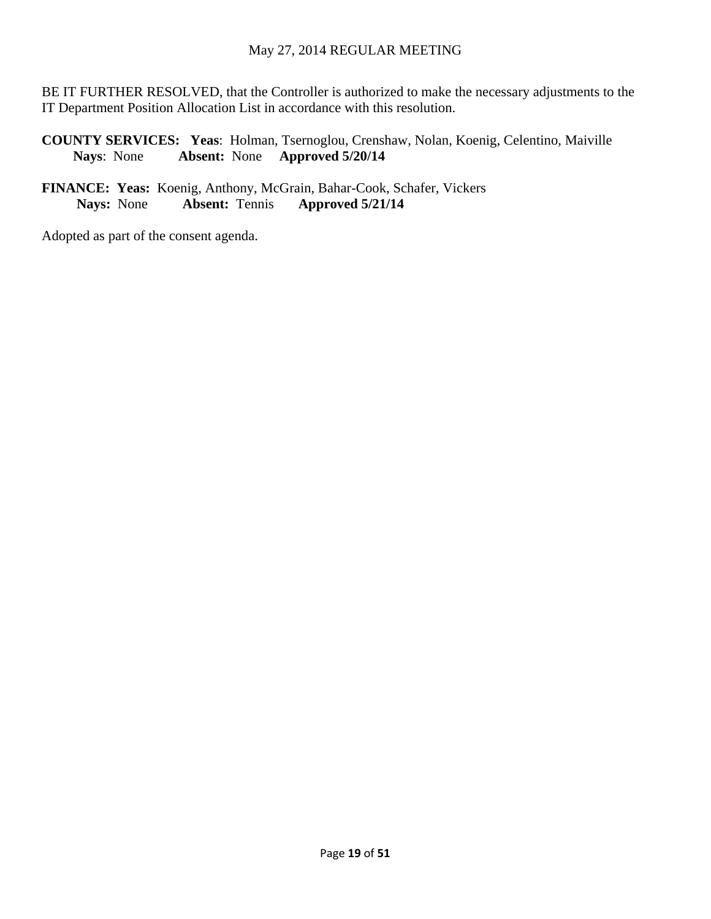BE IT FURTHER RESOLVED, that the Controller is authorized to make the necessary adjustments to the IT Department Position Allocation List in accordance with this resolution.

**COUNTY SERVICES: Yeas**: Holman, Tsernoglou, Crenshaw, Nolan, Koenig, Celentino, Maiville **Nays**: None **Absent:** None **Approved 5/20/14** 

## **FINANCE: Yeas:** Koenig, Anthony, McGrain, Bahar-Cook, Schafer, Vickers **Nays:** None **Absent:** Tennis **Approved 5/21/14**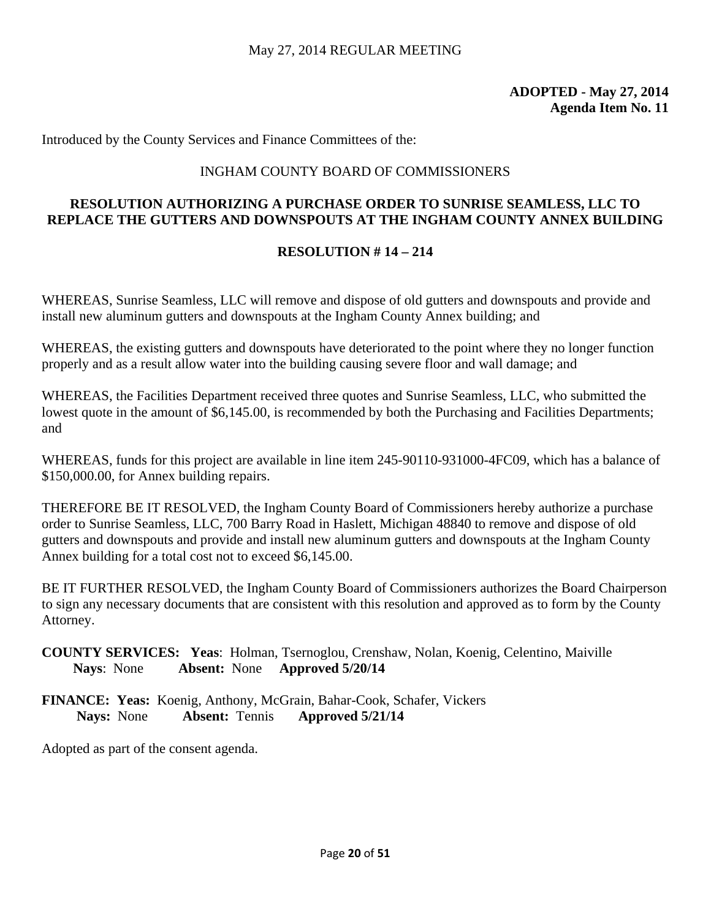Introduced by the County Services and Finance Committees of the:

# INGHAM COUNTY BOARD OF COMMISSIONERS

# **RESOLUTION AUTHORIZING A PURCHASE ORDER TO SUNRISE SEAMLESS, LLC TO REPLACE THE GUTTERS AND DOWNSPOUTS AT THE INGHAM COUNTY ANNEX BUILDING**

# **RESOLUTION # 14 – 214**

WHEREAS, Sunrise Seamless, LLC will remove and dispose of old gutters and downspouts and provide and install new aluminum gutters and downspouts at the Ingham County Annex building; and

WHEREAS, the existing gutters and downspouts have deteriorated to the point where they no longer function properly and as a result allow water into the building causing severe floor and wall damage; and

WHEREAS, the Facilities Department received three quotes and Sunrise Seamless, LLC, who submitted the lowest quote in the amount of \$6,145.00, is recommended by both the Purchasing and Facilities Departments; and

WHEREAS, funds for this project are available in line item 245-90110-931000-4FC09, which has a balance of \$150,000.00, for Annex building repairs.

THEREFORE BE IT RESOLVED, the Ingham County Board of Commissioners hereby authorize a purchase order to Sunrise Seamless, LLC, 700 Barry Road in Haslett, Michigan 48840 to remove and dispose of old gutters and downspouts and provide and install new aluminum gutters and downspouts at the Ingham County Annex building for a total cost not to exceed \$6,145.00.

BE IT FURTHER RESOLVED, the Ingham County Board of Commissioners authorizes the Board Chairperson to sign any necessary documents that are consistent with this resolution and approved as to form by the County Attorney.

**COUNTY SERVICES: Yeas**: Holman, Tsernoglou, Crenshaw, Nolan, Koenig, Celentino, Maiville **Nays**: None **Absent:** None **Approved 5/20/14** 

**FINANCE: Yeas:** Koenig, Anthony, McGrain, Bahar-Cook, Schafer, Vickers **Nays:** None **Absent:** Tennis **Approved 5/21/14**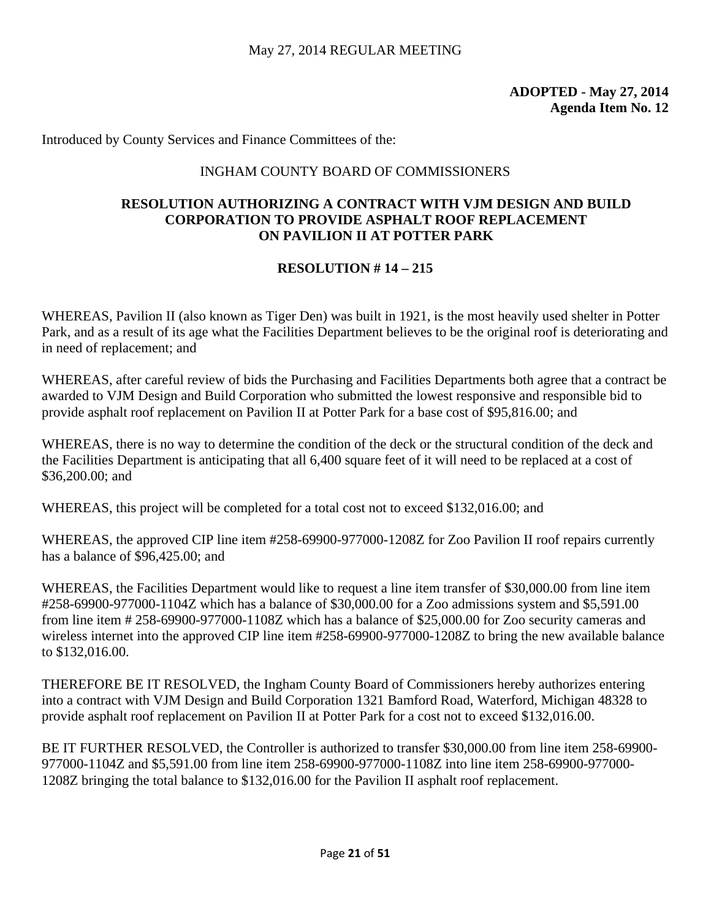Introduced by County Services and Finance Committees of the:

# INGHAM COUNTY BOARD OF COMMISSIONERS

# **RESOLUTION AUTHORIZING A CONTRACT WITH VJM DESIGN AND BUILD CORPORATION TO PROVIDE ASPHALT ROOF REPLACEMENT ON PAVILION II AT POTTER PARK**

# **RESOLUTION # 14 – 215**

WHEREAS, Pavilion II (also known as Tiger Den) was built in 1921, is the most heavily used shelter in Potter Park, and as a result of its age what the Facilities Department believes to be the original roof is deteriorating and in need of replacement; and

WHEREAS, after careful review of bids the Purchasing and Facilities Departments both agree that a contract be awarded to VJM Design and Build Corporation who submitted the lowest responsive and responsible bid to provide asphalt roof replacement on Pavilion II at Potter Park for a base cost of \$95,816.00; and

WHEREAS, there is no way to determine the condition of the deck or the structural condition of the deck and the Facilities Department is anticipating that all 6,400 square feet of it will need to be replaced at a cost of \$36,200.00; and

WHEREAS, this project will be completed for a total cost not to exceed \$132,016.00; and

WHEREAS, the approved CIP line item #258-69900-977000-1208Z for Zoo Pavilion II roof repairs currently has a balance of \$96,425.00; and

WHEREAS, the Facilities Department would like to request a line item transfer of \$30,000.00 from line item #258-69900-977000-1104Z which has a balance of \$30,000.00 for a Zoo admissions system and \$5,591.00 from line item # 258-69900-977000-1108Z which has a balance of \$25,000.00 for Zoo security cameras and wireless internet into the approved CIP line item #258-69900-977000-1208Z to bring the new available balance to \$132,016.00.

THEREFORE BE IT RESOLVED, the Ingham County Board of Commissioners hereby authorizes entering into a contract with VJM Design and Build Corporation 1321 Bamford Road, Waterford, Michigan 48328 to provide asphalt roof replacement on Pavilion II at Potter Park for a cost not to exceed \$132,016.00.

BE IT FURTHER RESOLVED, the Controller is authorized to transfer \$30,000.00 from line item 258-69900- 977000-1104Z and \$5,591.00 from line item 258-69900-977000-1108Z into line item 258-69900-977000- 1208Z bringing the total balance to \$132,016.00 for the Pavilion II asphalt roof replacement.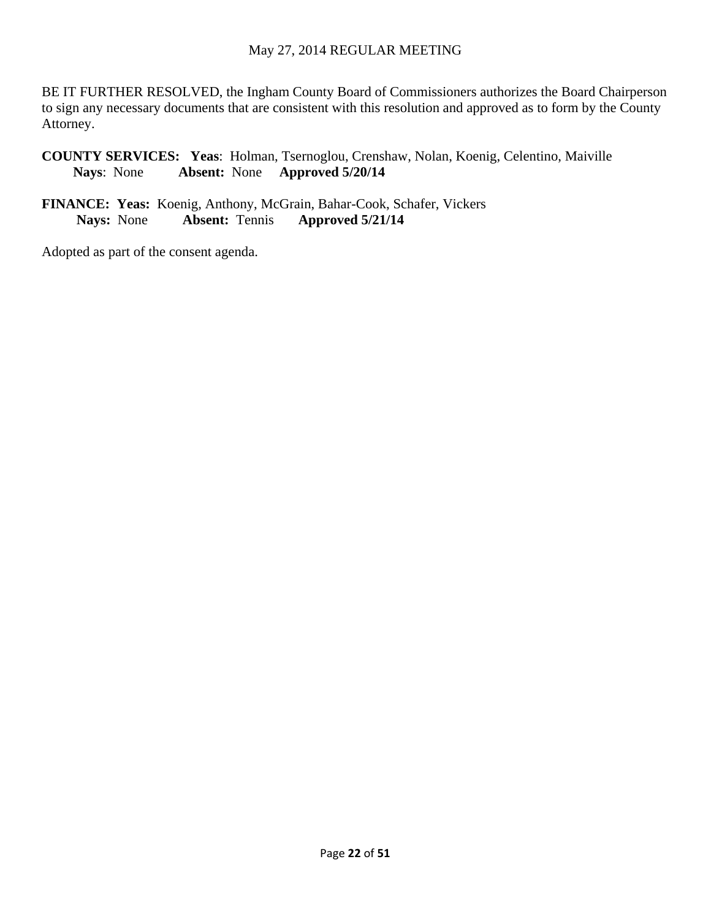BE IT FURTHER RESOLVED, the Ingham County Board of Commissioners authorizes the Board Chairperson to sign any necessary documents that are consistent with this resolution and approved as to form by the County Attorney.

**COUNTY SERVICES: Yeas**: Holman, Tsernoglou, Crenshaw, Nolan, Koenig, Celentino, Maiville **Nays**: None **Absent:** None **Approved 5/20/14** 

**FINANCE: Yeas:** Koenig, Anthony, McGrain, Bahar-Cook, Schafer, Vickers **Nays:** None **Absent:** Tennis **Approved 5/21/14**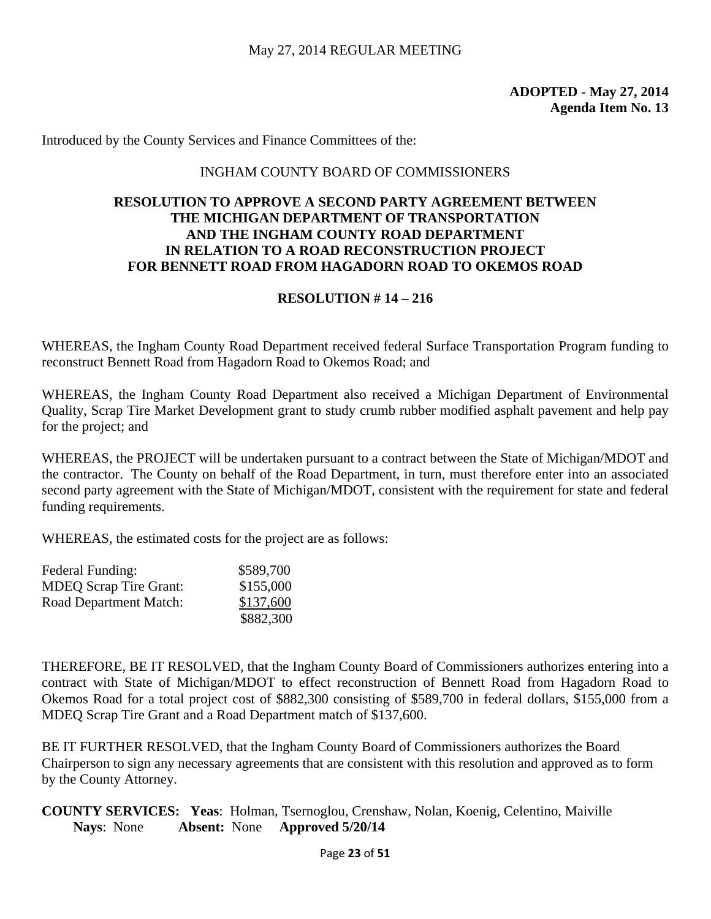Introduced by the County Services and Finance Committees of the:

#### INGHAM COUNTY BOARD OF COMMISSIONERS

#### **RESOLUTION TO APPROVE A SECOND PARTY AGREEMENT BETWEEN THE MICHIGAN DEPARTMENT OF TRANSPORTATION AND THE INGHAM COUNTY ROAD DEPARTMENT IN RELATION TO A ROAD RECONSTRUCTION PROJECT FOR BENNETT ROAD FROM HAGADORN ROAD TO OKEMOS ROAD**

#### **RESOLUTION # 14 – 216**

WHEREAS, the Ingham County Road Department received federal Surface Transportation Program funding to reconstruct Bennett Road from Hagadorn Road to Okemos Road; and

WHEREAS, the Ingham County Road Department also received a Michigan Department of Environmental Quality, Scrap Tire Market Development grant to study crumb rubber modified asphalt pavement and help pay for the project; and

WHEREAS, the PROJECT will be undertaken pursuant to a contract between the State of Michigan/MDOT and the contractor. The County on behalf of the Road Department, in turn, must therefore enter into an associated second party agreement with the State of Michigan/MDOT, consistent with the requirement for state and federal funding requirements.

WHEREAS, the estimated costs for the project are as follows:

| Federal Funding:              | \$589,700 |
|-------------------------------|-----------|
| <b>MDEQ Scrap Tire Grant:</b> | \$155,000 |
| Road Department Match:        | \$137,600 |
|                               | \$882,300 |

THEREFORE, BE IT RESOLVED, that the Ingham County Board of Commissioners authorizes entering into a contract with State of Michigan/MDOT to effect reconstruction of Bennett Road from Hagadorn Road to Okemos Road for a total project cost of \$882,300 consisting of \$589,700 in federal dollars, \$155,000 from a MDEQ Scrap Tire Grant and a Road Department match of \$137,600.

BE IT FURTHER RESOLVED, that the Ingham County Board of Commissioners authorizes the Board Chairperson to sign any necessary agreements that are consistent with this resolution and approved as to form by the County Attorney.

**COUNTY SERVICES: Yeas**: Holman, Tsernoglou, Crenshaw, Nolan, Koenig, Celentino, Maiville **Nays**: None **Absent:** None **Approved 5/20/14**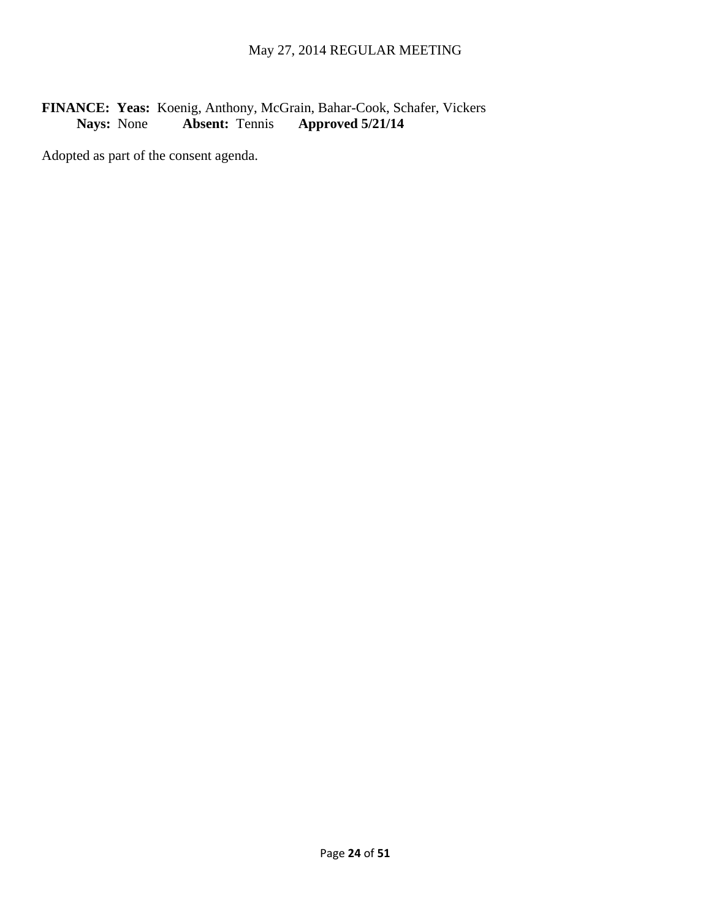# FINANCE: Yeas: Koenig, Anthony, McGrain, Bahar-Cook, Schafer, Vickers<br>Nays: None **Absent:** Tennis **Approved 5/21/14 Nays:** None **Absent:** Tennis **Approved 5/21/14**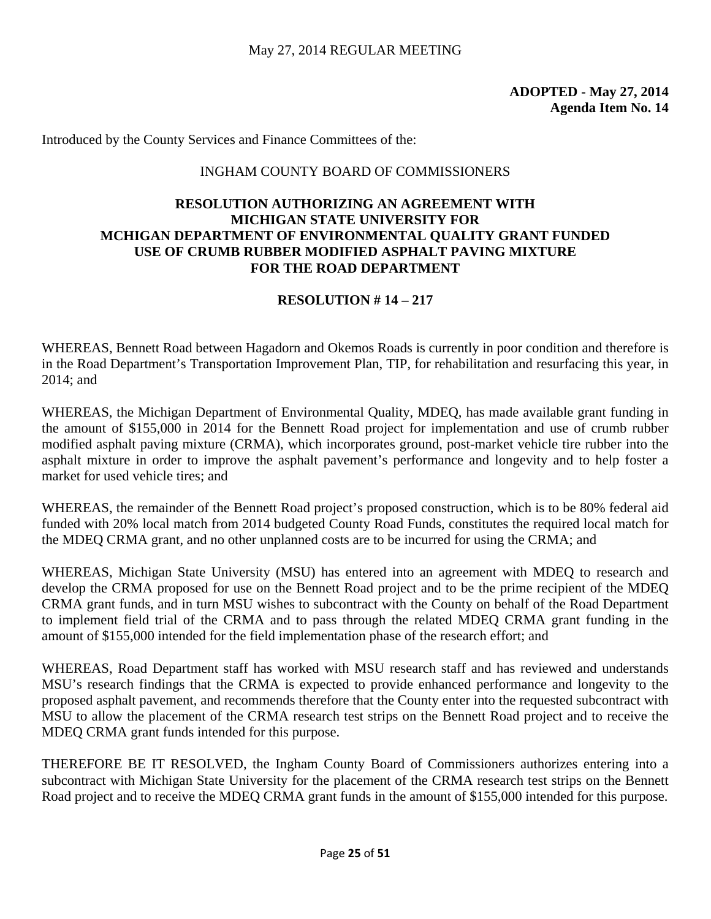Introduced by the County Services and Finance Committees of the:

#### INGHAM COUNTY BOARD OF COMMISSIONERS

## **RESOLUTION AUTHORIZING AN AGREEMENT WITH MICHIGAN STATE UNIVERSITY FOR MCHIGAN DEPARTMENT OF ENVIRONMENTAL QUALITY GRANT FUNDED USE OF CRUMB RUBBER MODIFIED ASPHALT PAVING MIXTURE FOR THE ROAD DEPARTMENT**

# **RESOLUTION # 14 – 217**

WHEREAS, Bennett Road between Hagadorn and Okemos Roads is currently in poor condition and therefore is in the Road Department's Transportation Improvement Plan, TIP, for rehabilitation and resurfacing this year, in 2014; and

WHEREAS, the Michigan Department of Environmental Quality, MDEQ, has made available grant funding in the amount of \$155,000 in 2014 for the Bennett Road project for implementation and use of crumb rubber modified asphalt paving mixture (CRMA), which incorporates ground, post-market vehicle tire rubber into the asphalt mixture in order to improve the asphalt pavement's performance and longevity and to help foster a market for used vehicle tires; and

WHEREAS, the remainder of the Bennett Road project's proposed construction, which is to be 80% federal aid funded with 20% local match from 2014 budgeted County Road Funds, constitutes the required local match for the MDEQ CRMA grant, and no other unplanned costs are to be incurred for using the CRMA; and

WHEREAS, Michigan State University (MSU) has entered into an agreement with MDEQ to research and develop the CRMA proposed for use on the Bennett Road project and to be the prime recipient of the MDEQ CRMA grant funds, and in turn MSU wishes to subcontract with the County on behalf of the Road Department to implement field trial of the CRMA and to pass through the related MDEQ CRMA grant funding in the amount of \$155,000 intended for the field implementation phase of the research effort; and

WHEREAS, Road Department staff has worked with MSU research staff and has reviewed and understands MSU's research findings that the CRMA is expected to provide enhanced performance and longevity to the proposed asphalt pavement, and recommends therefore that the County enter into the requested subcontract with MSU to allow the placement of the CRMA research test strips on the Bennett Road project and to receive the MDEQ CRMA grant funds intended for this purpose.

THEREFORE BE IT RESOLVED, the Ingham County Board of Commissioners authorizes entering into a subcontract with Michigan State University for the placement of the CRMA research test strips on the Bennett Road project and to receive the MDEQ CRMA grant funds in the amount of \$155,000 intended for this purpose.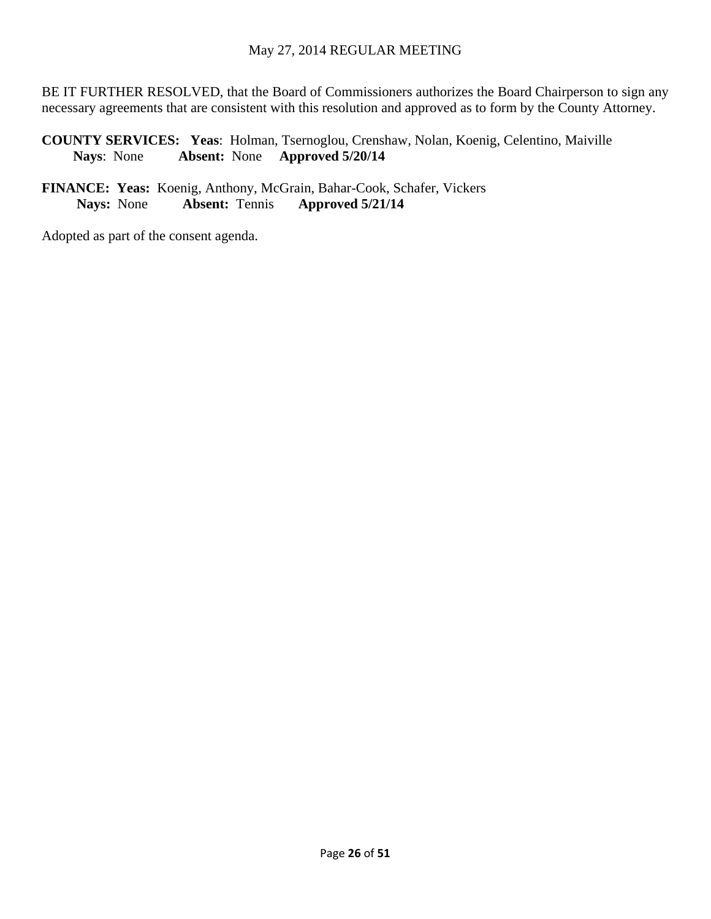BE IT FURTHER RESOLVED, that the Board of Commissioners authorizes the Board Chairperson to sign any necessary agreements that are consistent with this resolution and approved as to form by the County Attorney.

**COUNTY SERVICES: Yeas**: Holman, Tsernoglou, Crenshaw, Nolan, Koenig, Celentino, Maiville **Nays**: None **Absent:** None **Approved 5/20/14** 

**FINANCE: Yeas:** Koenig, Anthony, McGrain, Bahar-Cook, Schafer, Vickers **Nays:** None **Absent:** Tennis **Approved 5/21/14**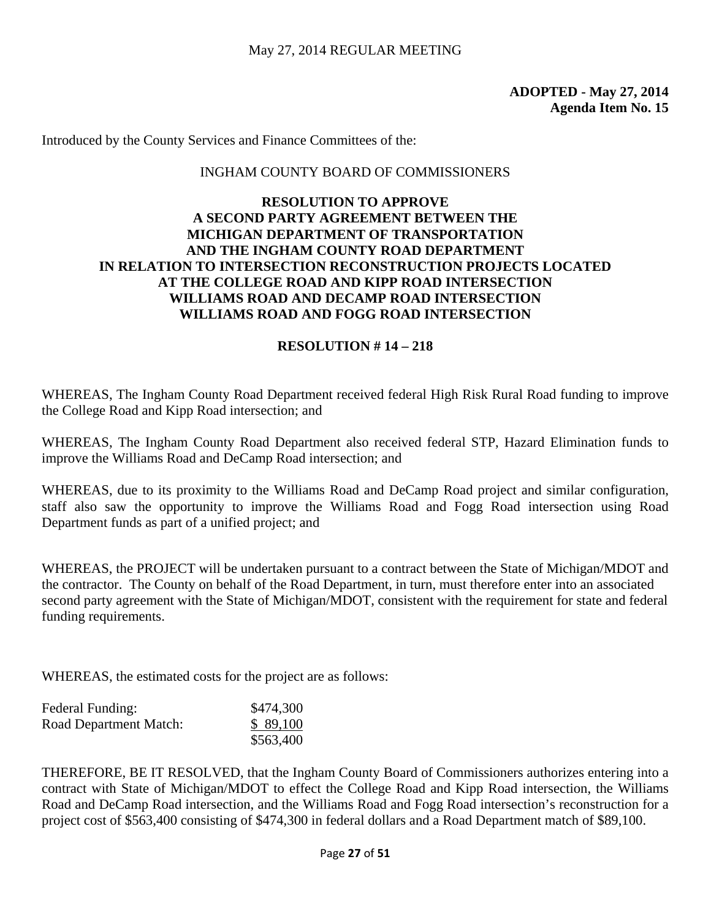Introduced by the County Services and Finance Committees of the:

#### INGHAM COUNTY BOARD OF COMMISSIONERS

# **RESOLUTION TO APPROVE A SECOND PARTY AGREEMENT BETWEEN THE MICHIGAN DEPARTMENT OF TRANSPORTATION AND THE INGHAM COUNTY ROAD DEPARTMENT IN RELATION TO INTERSECTION RECONSTRUCTION PROJECTS LOCATED AT THE COLLEGE ROAD AND KIPP ROAD INTERSECTION WILLIAMS ROAD AND DECAMP ROAD INTERSECTION WILLIAMS ROAD AND FOGG ROAD INTERSECTION**

#### **RESOLUTION # 14 – 218**

WHEREAS, The Ingham County Road Department received federal High Risk Rural Road funding to improve the College Road and Kipp Road intersection; and

WHEREAS, The Ingham County Road Department also received federal STP, Hazard Elimination funds to improve the Williams Road and DeCamp Road intersection; and

WHEREAS, due to its proximity to the Williams Road and DeCamp Road project and similar configuration, staff also saw the opportunity to improve the Williams Road and Fogg Road intersection using Road Department funds as part of a unified project; and

WHEREAS, the PROJECT will be undertaken pursuant to a contract between the State of Michigan/MDOT and the contractor. The County on behalf of the Road Department, in turn, must therefore enter into an associated second party agreement with the State of Michigan/MDOT, consistent with the requirement for state and federal funding requirements.

WHEREAS, the estimated costs for the project are as follows:

| <b>Federal Funding:</b> | \$474,300 |
|-------------------------|-----------|
| Road Department Match:  | \$89,100  |
|                         | \$563,400 |

THEREFORE, BE IT RESOLVED, that the Ingham County Board of Commissioners authorizes entering into a contract with State of Michigan/MDOT to effect the College Road and Kipp Road intersection, the Williams Road and DeCamp Road intersection, and the Williams Road and Fogg Road intersection's reconstruction for a project cost of \$563,400 consisting of \$474,300 in federal dollars and a Road Department match of \$89,100.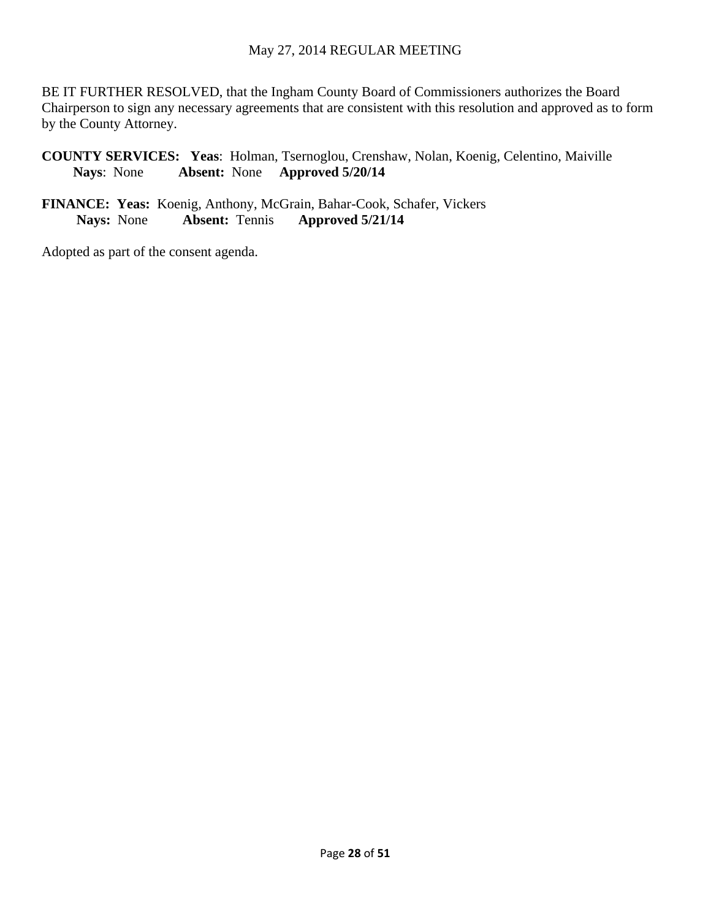BE IT FURTHER RESOLVED, that the Ingham County Board of Commissioners authorizes the Board Chairperson to sign any necessary agreements that are consistent with this resolution and approved as to form by the County Attorney.

**COUNTY SERVICES: Yeas**: Holman, Tsernoglou, Crenshaw, Nolan, Koenig, Celentino, Maiville **Nays**: None **Absent:** None **Approved 5/20/14** 

**FINANCE: Yeas:** Koenig, Anthony, McGrain, Bahar-Cook, Schafer, Vickers **Nays:** None **Absent:** Tennis **Approved 5/21/14**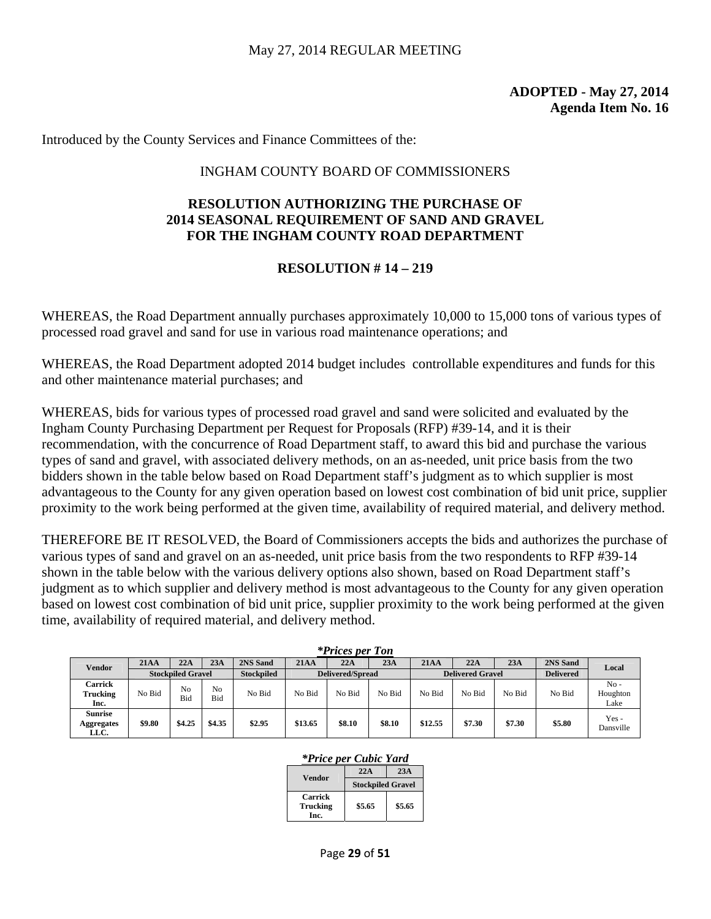Introduced by the County Services and Finance Committees of the:

#### INGHAM COUNTY BOARD OF COMMISSIONERS

#### **RESOLUTION AUTHORIZING THE PURCHASE OF 2014 SEASONAL REQUIREMENT OF SAND AND GRAVEL FOR THE INGHAM COUNTY ROAD DEPARTMENT**

# **RESOLUTION # 14 – 219**

WHEREAS, the Road Department annually purchases approximately 10,000 to 15,000 tons of various types of processed road gravel and sand for use in various road maintenance operations; and

WHEREAS, the Road Department adopted 2014 budget includes controllable expenditures and funds for this and other maintenance material purchases; and

WHEREAS, bids for various types of processed road gravel and sand were solicited and evaluated by the Ingham County Purchasing Department per Request for Proposals (RFP) #39-14, and it is their recommendation, with the concurrence of Road Department staff, to award this bid and purchase the various types of sand and gravel, with associated delivery methods, on an as-needed, unit price basis from the two bidders shown in the table below based on Road Department staff's judgment as to which supplier is most advantageous to the County for any given operation based on lowest cost combination of bid unit price, supplier proximity to the work being performed at the given time, availability of required material, and delivery method.

THEREFORE BE IT RESOLVED, the Board of Commissioners accepts the bids and authorizes the purchase of various types of sand and gravel on an as-needed, unit price basis from the two respondents to RFP #39-14 shown in the table below with the various delivery options also shown, based on Road Department staff's judgment as to which supplier and delivery method is most advantageous to the County for any given operation based on lowest cost combination of bid unit price, supplier proximity to the work being performed at the given time, availability of required material, and delivery method.

| <i>*Prices per Ton</i>                      |                          |           |                       |                   |                         |        |        |                         |        |        |                  |                            |
|---------------------------------------------|--------------------------|-----------|-----------------------|-------------------|-------------------------|--------|--------|-------------------------|--------|--------|------------------|----------------------------|
| Vendor                                      | 21AA                     | 22A       | 23A                   | 2NS Sand          | 21AA                    | 22A    | 23A    | 21AA                    | 22A    | 23A    | 2NS Sand         | Local                      |
|                                             | <b>Stockpiled Gravel</b> |           |                       | <b>Stockpiled</b> | <b>Delivered/Spread</b> |        |        | <b>Delivered Gravel</b> |        |        | <b>Delivered</b> |                            |
| Carrick<br>Trucking<br>Inc.                 | No Bid                   | No<br>Bid | N <sub>o</sub><br>Bid | No Bid            | No Bid                  | No Bid | No Bid | No Bid                  | No Bid | No Bid | No Bid           | $No -$<br>Houghton<br>Lake |
| <b>Sunrise</b><br><b>Aggregates</b><br>LLC. | \$9.80                   | \$4.25    | \$4.35                | \$2.95            | \$13.65                 | \$8.10 | \$8.10 | \$12.55                 | \$7.30 | \$7.30 | \$5.80           | Yes -<br>Dansville         |

#### *\*Prices per Ton*

#### *\*Price per Cubic Yard*

| Vendor                             | 22A                      | 23A    |  |  |
|------------------------------------|--------------------------|--------|--|--|
|                                    | <b>Stockpiled Gravel</b> |        |  |  |
| <b>Carrick</b><br>Trucking<br>Inc. | \$5.65                   | \$5.65 |  |  |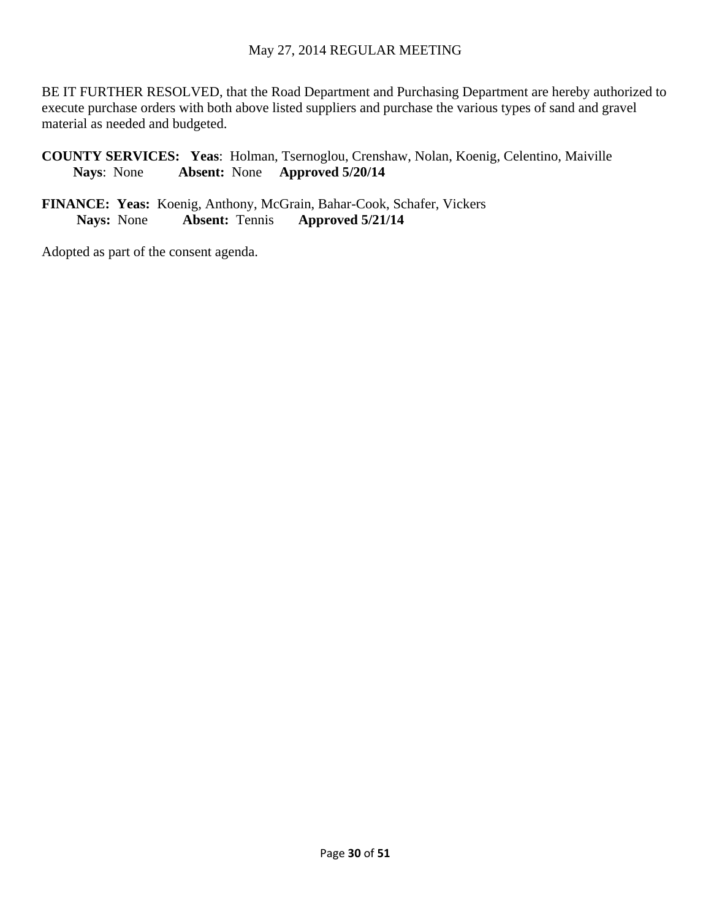BE IT FURTHER RESOLVED, that the Road Department and Purchasing Department are hereby authorized to execute purchase orders with both above listed suppliers and purchase the various types of sand and gravel material as needed and budgeted.

**COUNTY SERVICES: Yeas**: Holman, Tsernoglou, Crenshaw, Nolan, Koenig, Celentino, Maiville **Nays**: None **Absent:** None **Approved 5/20/14** 

**FINANCE: Yeas:** Koenig, Anthony, McGrain, Bahar-Cook, Schafer, Vickers **Nays:** None **Absent:** Tennis **Approved 5/21/14**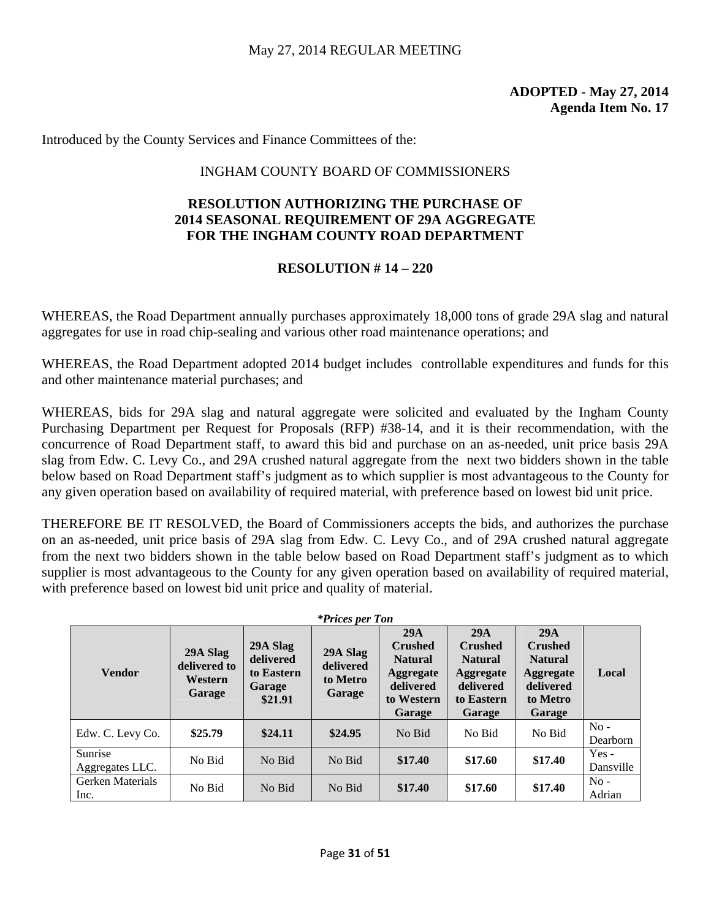Introduced by the County Services and Finance Committees of the:

#### INGHAM COUNTY BOARD OF COMMISSIONERS

#### **RESOLUTION AUTHORIZING THE PURCHASE OF 2014 SEASONAL REQUIREMENT OF 29A AGGREGATE FOR THE INGHAM COUNTY ROAD DEPARTMENT**

# **RESOLUTION # 14 – 220**

WHEREAS, the Road Department annually purchases approximately 18,000 tons of grade 29A slag and natural aggregates for use in road chip-sealing and various other road maintenance operations; and

WHEREAS, the Road Department adopted 2014 budget includes controllable expenditures and funds for this and other maintenance material purchases; and

WHEREAS, bids for 29A slag and natural aggregate were solicited and evaluated by the Ingham County Purchasing Department per Request for Proposals (RFP) #38-14, and it is their recommendation, with the concurrence of Road Department staff, to award this bid and purchase on an as-needed, unit price basis 29A slag from Edw. C. Levy Co., and 29A crushed natural aggregate from the next two bidders shown in the table below based on Road Department staff's judgment as to which supplier is most advantageous to the County for any given operation based on availability of required material, with preference based on lowest bid unit price.

THEREFORE BE IT RESOLVED, the Board of Commissioners accepts the bids, and authorizes the purchase on an as-needed, unit price basis of 29A slag from Edw. C. Levy Co., and of 29A crushed natural aggregate from the next two bidders shown in the table below based on Road Department staff's judgment as to which supplier is most advantageous to the County for any given operation based on availability of required material, with preference based on lowest bid unit price and quality of material.

| <i>*Prices per Ton</i>     |                                               |                                                                                                         |         |                                                                                                  |                                                                                                  |                                                                                                |                      |  |  |  |
|----------------------------|-----------------------------------------------|---------------------------------------------------------------------------------------------------------|---------|--------------------------------------------------------------------------------------------------|--------------------------------------------------------------------------------------------------|------------------------------------------------------------------------------------------------|----------------------|--|--|--|
| <b>Vendor</b>              | 29A Slag<br>delivered to<br>Western<br>Garage | 29A Slag<br>29A Slag<br>delivered<br>delivered<br>to Eastern<br>to Metro<br>Garage<br>Garage<br>\$21.91 |         | 29A<br><b>Crushed</b><br><b>Natural</b><br><b>Aggregate</b><br>delivered<br>to Western<br>Garage | 29A<br><b>Crushed</b><br><b>Natural</b><br><b>Aggregate</b><br>delivered<br>to Eastern<br>Garage | 29A<br><b>Crushed</b><br><b>Natural</b><br><b>Aggregate</b><br>delivered<br>to Metro<br>Garage | Local                |  |  |  |
| Edw. C. Levy Co.           | \$25.79                                       | \$24.11                                                                                                 | \$24.95 | No Bid                                                                                           | No Bid                                                                                           | No Bid                                                                                         | $No -$<br>Dearborn   |  |  |  |
| Sunrise<br>Aggregates LLC. | No Bid                                        | No Bid                                                                                                  | No Bid  | \$17.40                                                                                          | \$17.60                                                                                          | \$17.40                                                                                        | $Yes -$<br>Dansville |  |  |  |
| Gerken Materials<br>Inc.   | No Bid                                        | No Bid                                                                                                  | No Bid  | \$17.40                                                                                          | \$17.60                                                                                          | \$17.40                                                                                        | $No -$<br>Adrian     |  |  |  |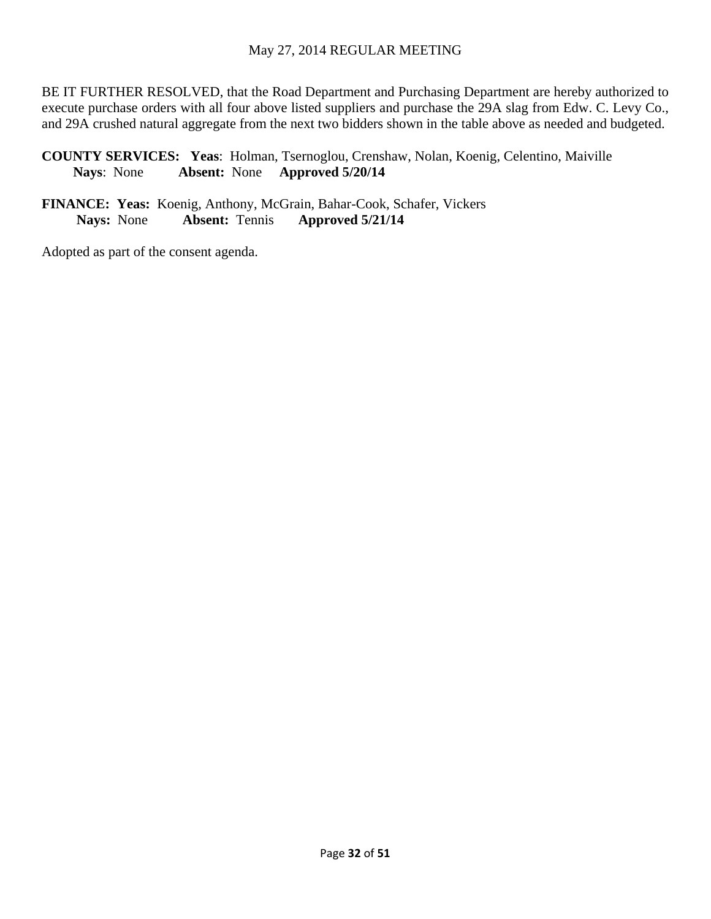BE IT FURTHER RESOLVED, that the Road Department and Purchasing Department are hereby authorized to execute purchase orders with all four above listed suppliers and purchase the 29A slag from Edw. C. Levy Co., and 29A crushed natural aggregate from the next two bidders shown in the table above as needed and budgeted.

**COUNTY SERVICES: Yeas**: Holman, Tsernoglou, Crenshaw, Nolan, Koenig, Celentino, Maiville **Nays**: None **Absent:** None **Approved 5/20/14** 

**FINANCE: Yeas:** Koenig, Anthony, McGrain, Bahar-Cook, Schafer, Vickers **Nays:** None **Absent:** Tennis **Approved 5/21/14**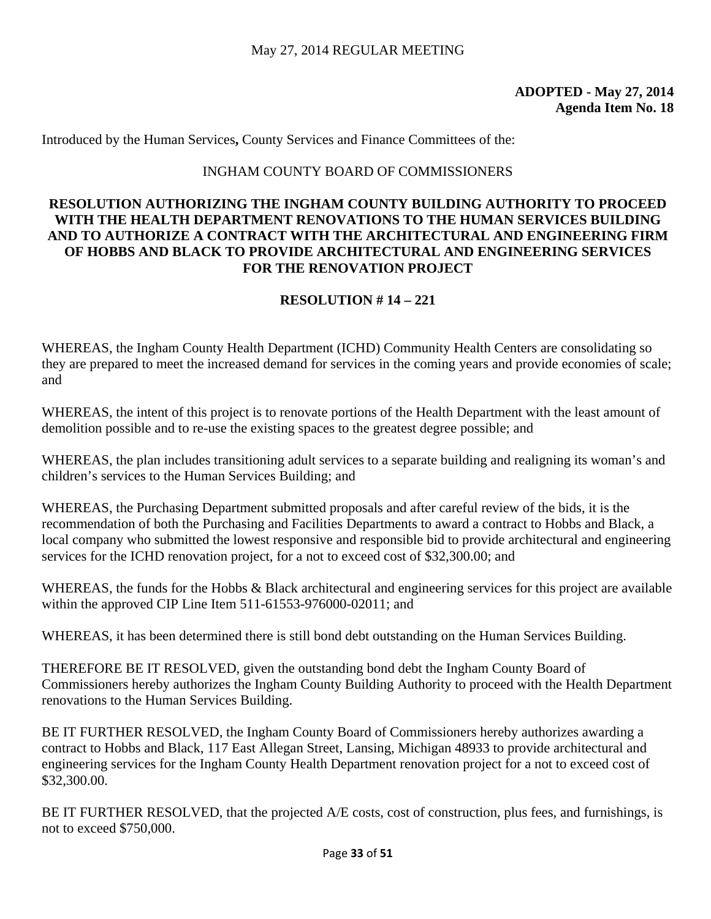Introduced by the Human Services**,** County Services and Finance Committees of the:

# INGHAM COUNTY BOARD OF COMMISSIONERS

# **RESOLUTION AUTHORIZING THE INGHAM COUNTY BUILDING AUTHORITY TO PROCEED WITH THE HEALTH DEPARTMENT RENOVATIONS TO THE HUMAN SERVICES BUILDING AND TO AUTHORIZE A CONTRACT WITH THE ARCHITECTURAL AND ENGINEERING FIRM OF HOBBS AND BLACK TO PROVIDE ARCHITECTURAL AND ENGINEERING SERVICES FOR THE RENOVATION PROJECT**

# **RESOLUTION # 14 – 221**

WHEREAS, the Ingham County Health Department (ICHD) Community Health Centers are consolidating so they are prepared to meet the increased demand for services in the coming years and provide economies of scale; and

WHEREAS, the intent of this project is to renovate portions of the Health Department with the least amount of demolition possible and to re-use the existing spaces to the greatest degree possible; and

WHEREAS, the plan includes transitioning adult services to a separate building and realigning its woman's and children's services to the Human Services Building; and

WHEREAS, the Purchasing Department submitted proposals and after careful review of the bids, it is the recommendation of both the Purchasing and Facilities Departments to award a contract to Hobbs and Black, a local company who submitted the lowest responsive and responsible bid to provide architectural and engineering services for the ICHD renovation project, for a not to exceed cost of \$32,300.00; and

WHEREAS, the funds for the Hobbs & Black architectural and engineering services for this project are available within the approved CIP Line Item 511-61553-976000-02011; and

WHEREAS, it has been determined there is still bond debt outstanding on the Human Services Building.

THEREFORE BE IT RESOLVED, given the outstanding bond debt the Ingham County Board of Commissioners hereby authorizes the Ingham County Building Authority to proceed with the Health Department renovations to the Human Services Building.

BE IT FURTHER RESOLVED, the Ingham County Board of Commissioners hereby authorizes awarding a contract to Hobbs and Black, 117 East Allegan Street, Lansing, Michigan 48933 to provide architectural and engineering services for the Ingham County Health Department renovation project for a not to exceed cost of \$32,300.00.

BE IT FURTHER RESOLVED, that the projected A/E costs, cost of construction, plus fees, and furnishings, is not to exceed \$750,000.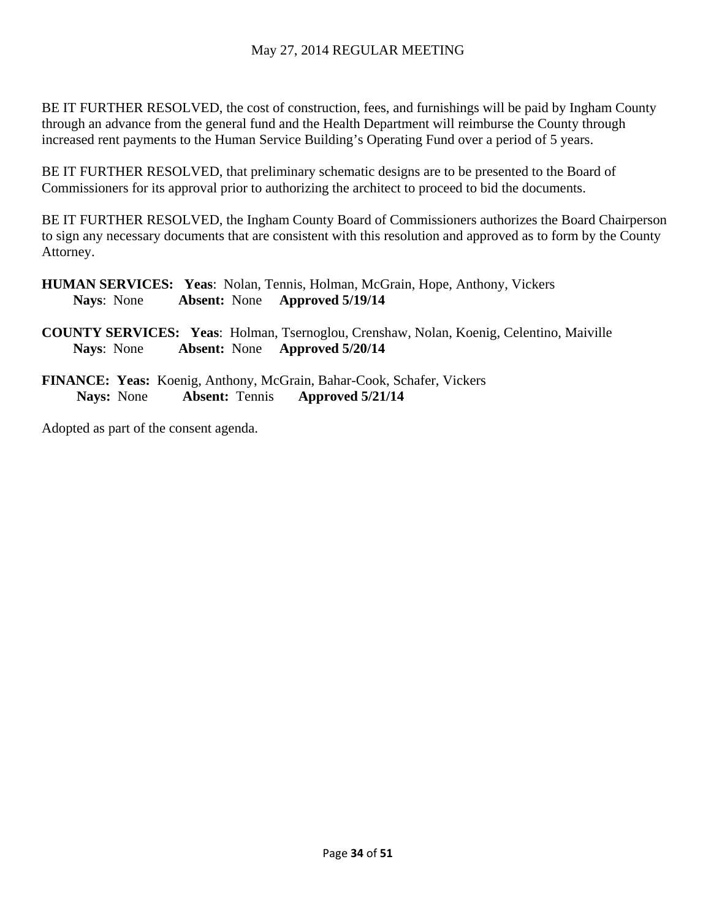# May 27, 2014 REGULAR MEETING

BE IT FURTHER RESOLVED, the cost of construction, fees, and furnishings will be paid by Ingham County through an advance from the general fund and the Health Department will reimburse the County through increased rent payments to the Human Service Building's Operating Fund over a period of 5 years.

BE IT FURTHER RESOLVED, that preliminary schematic designs are to be presented to the Board of Commissioners for its approval prior to authorizing the architect to proceed to bid the documents.

BE IT FURTHER RESOLVED, the Ingham County Board of Commissioners authorizes the Board Chairperson to sign any necessary documents that are consistent with this resolution and approved as to form by the County Attorney.

- **HUMAN SERVICES: Yeas**: Nolan, Tennis, Holman, McGrain, Hope, Anthony, Vickers **Nays**: None **Absent:** None **Approved 5/19/14**
- **COUNTY SERVICES: Yeas**: Holman, Tsernoglou, Crenshaw, Nolan, Koenig, Celentino, Maiville **Nays**: None **Absent:** None **Approved 5/20/14**
- **FINANCE: Yeas:** Koenig, Anthony, McGrain, Bahar-Cook, Schafer, Vickers **Nays:** None **Absent:** Tennis **Approved 5/21/14**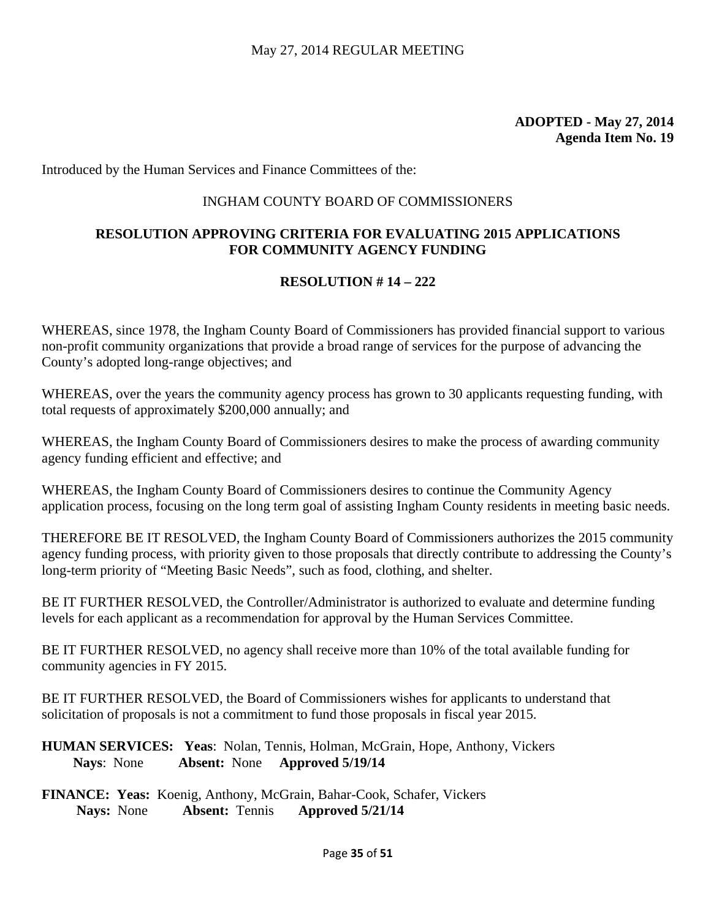Introduced by the Human Services and Finance Committees of the:

### INGHAM COUNTY BOARD OF COMMISSIONERS

# **RESOLUTION APPROVING CRITERIA FOR EVALUATING 2015 APPLICATIONS FOR COMMUNITY AGENCY FUNDING**

### **RESOLUTION # 14 – 222**

WHEREAS, since 1978, the Ingham County Board of Commissioners has provided financial support to various non-profit community organizations that provide a broad range of services for the purpose of advancing the County's adopted long-range objectives; and

WHEREAS, over the years the community agency process has grown to 30 applicants requesting funding, with total requests of approximately \$200,000 annually; and

WHEREAS, the Ingham County Board of Commissioners desires to make the process of awarding community agency funding efficient and effective; and

WHEREAS, the Ingham County Board of Commissioners desires to continue the Community Agency application process, focusing on the long term goal of assisting Ingham County residents in meeting basic needs.

THEREFORE BE IT RESOLVED, the Ingham County Board of Commissioners authorizes the 2015 community agency funding process, with priority given to those proposals that directly contribute to addressing the County's long-term priority of "Meeting Basic Needs", such as food, clothing, and shelter.

BE IT FURTHER RESOLVED, the Controller/Administrator is authorized to evaluate and determine funding levels for each applicant as a recommendation for approval by the Human Services Committee.

BE IT FURTHER RESOLVED, no agency shall receive more than 10% of the total available funding for community agencies in FY 2015.

BE IT FURTHER RESOLVED, the Board of Commissioners wishes for applicants to understand that solicitation of proposals is not a commitment to fund those proposals in fiscal year 2015.

**HUMAN SERVICES: Yeas**: Nolan, Tennis, Holman, McGrain, Hope, Anthony, Vickers **Nays**: None **Absent:** None **Approved 5/19/14** 

**FINANCE: Yeas:** Koenig, Anthony, McGrain, Bahar-Cook, Schafer, Vickers **Nays:** None **Absent:** Tennis **Approved 5/21/14**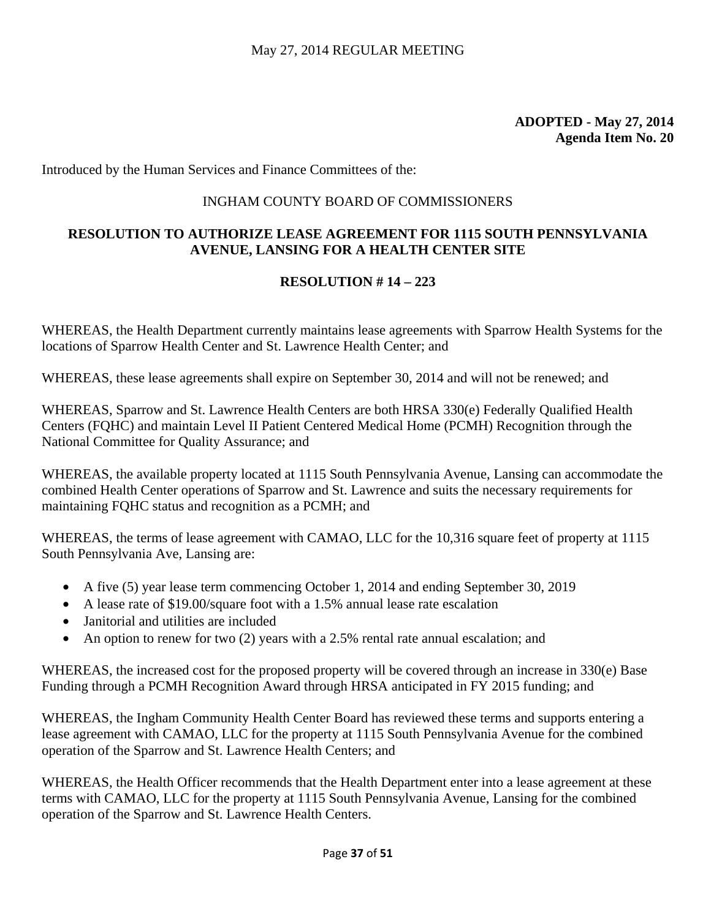Introduced by the Human Services and Finance Committees of the:

### INGHAM COUNTY BOARD OF COMMISSIONERS

# **RESOLUTION TO AUTHORIZE LEASE AGREEMENT FOR 1115 SOUTH PENNSYLVANIA AVENUE, LANSING FOR A HEALTH CENTER SITE**

### **RESOLUTION # 14 – 223**

WHEREAS, the Health Department currently maintains lease agreements with Sparrow Health Systems for the locations of Sparrow Health Center and St. Lawrence Health Center; and

WHEREAS, these lease agreements shall expire on September 30, 2014 and will not be renewed; and

WHEREAS, Sparrow and St. Lawrence Health Centers are both HRSA 330(e) Federally Qualified Health Centers (FQHC) and maintain Level II Patient Centered Medical Home (PCMH) Recognition through the National Committee for Quality Assurance; and

WHEREAS, the available property located at 1115 South Pennsylvania Avenue, Lansing can accommodate the combined Health Center operations of Sparrow and St. Lawrence and suits the necessary requirements for maintaining FQHC status and recognition as a PCMH; and

WHEREAS, the terms of lease agreement with CAMAO, LLC for the 10,316 square feet of property at 1115 South Pennsylvania Ave, Lansing are:

- A five (5) year lease term commencing October 1, 2014 and ending September 30, 2019
- A lease rate of \$19.00/square foot with a 1.5% annual lease rate escalation
- Janitorial and utilities are included
- An option to renew for two (2) years with a 2.5% rental rate annual escalation; and

WHEREAS, the increased cost for the proposed property will be covered through an increase in 330(e) Base Funding through a PCMH Recognition Award through HRSA anticipated in FY 2015 funding; and

WHEREAS, the Ingham Community Health Center Board has reviewed these terms and supports entering a lease agreement with CAMAO, LLC for the property at 1115 South Pennsylvania Avenue for the combined operation of the Sparrow and St. Lawrence Health Centers; and

WHEREAS, the Health Officer recommends that the Health Department enter into a lease agreement at these terms with CAMAO, LLC for the property at 1115 South Pennsylvania Avenue, Lansing for the combined operation of the Sparrow and St. Lawrence Health Centers.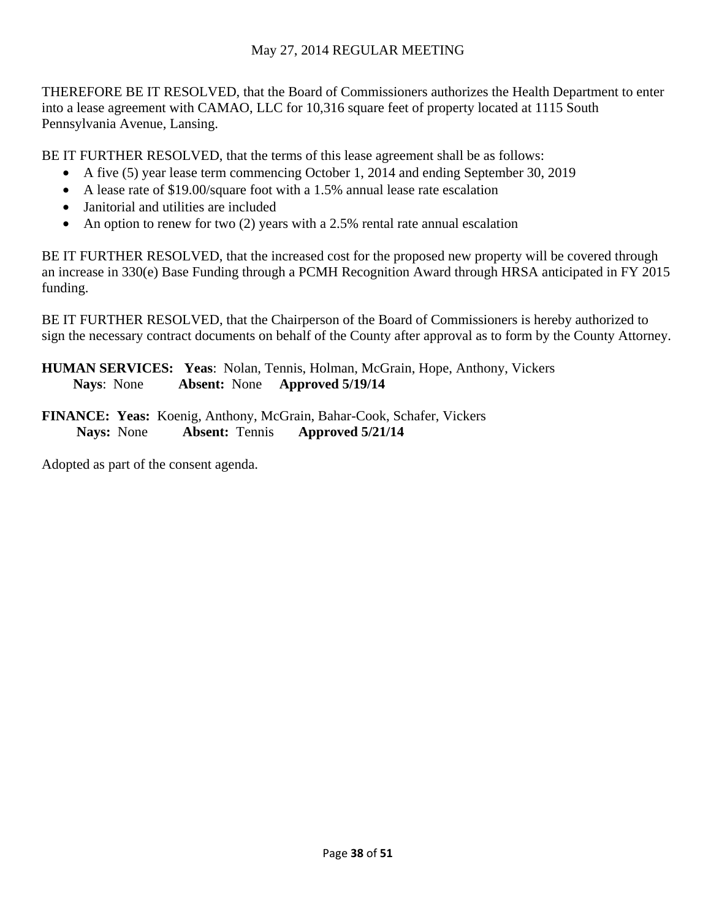# May 27, 2014 REGULAR MEETING

THEREFORE BE IT RESOLVED, that the Board of Commissioners authorizes the Health Department to enter into a lease agreement with CAMAO, LLC for 10,316 square feet of property located at 1115 South Pennsylvania Avenue, Lansing.

BE IT FURTHER RESOLVED, that the terms of this lease agreement shall be as follows:

- A five (5) year lease term commencing October 1, 2014 and ending September 30, 2019
- A lease rate of \$19.00/square foot with a 1.5% annual lease rate escalation
- Janitorial and utilities are included
- An option to renew for two  $(2)$  years with a 2.5% rental rate annual escalation

BE IT FURTHER RESOLVED, that the increased cost for the proposed new property will be covered through an increase in 330(e) Base Funding through a PCMH Recognition Award through HRSA anticipated in FY 2015 funding.

BE IT FURTHER RESOLVED, that the Chairperson of the Board of Commissioners is hereby authorized to sign the necessary contract documents on behalf of the County after approval as to form by the County Attorney.

**HUMAN SERVICES: Yeas**: Nolan, Tennis, Holman, McGrain, Hope, Anthony, Vickers **Nays**: None **Absent:** None **Approved 5/19/14** 

**FINANCE: Yeas:** Koenig, Anthony, McGrain, Bahar-Cook, Schafer, Vickers **Nays:** None **Absent:** Tennis **Approved 5/21/14**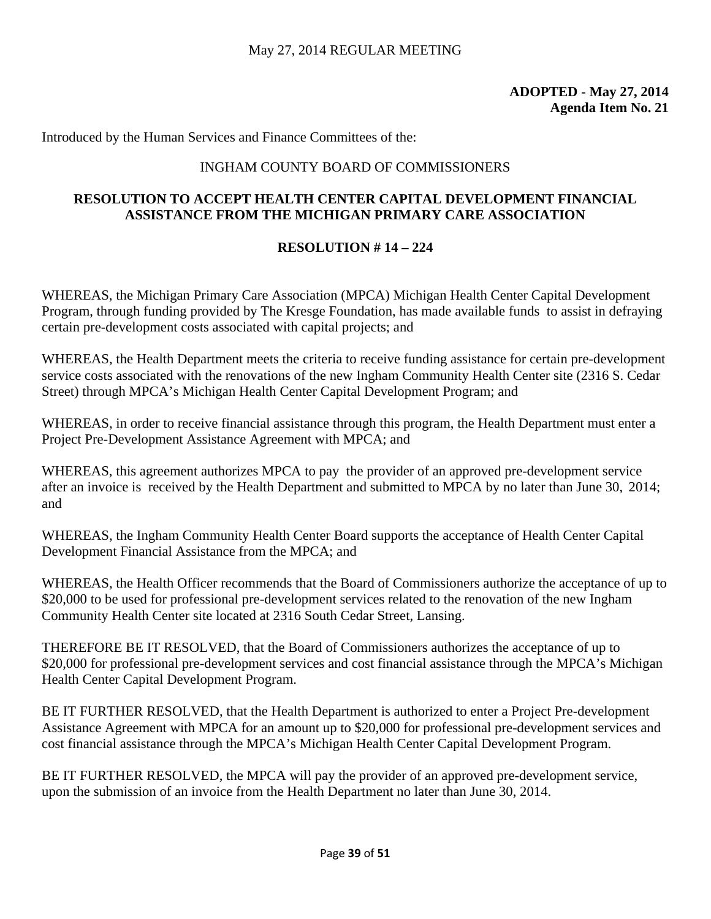# **ADOPTED - May 27, 2014 Agenda Item No. 21**

Introduced by the Human Services and Finance Committees of the:

# INGHAM COUNTY BOARD OF COMMISSIONERS

# **RESOLUTION TO ACCEPT HEALTH CENTER CAPITAL DEVELOPMENT FINANCIAL ASSISTANCE FROM THE MICHIGAN PRIMARY CARE ASSOCIATION**

# **RESOLUTION # 14 – 224**

WHEREAS, the Michigan Primary Care Association (MPCA) Michigan Health Center Capital Development Program, through funding provided by The Kresge Foundation, has made available funds to assist in defraying certain pre-development costs associated with capital projects; and

WHEREAS, the Health Department meets the criteria to receive funding assistance for certain pre-development service costs associated with the renovations of the new Ingham Community Health Center site (2316 S. Cedar Street) through MPCA's Michigan Health Center Capital Development Program; and

WHEREAS, in order to receive financial assistance through this program, the Health Department must enter a Project Pre-Development Assistance Agreement with MPCA; and

WHEREAS, this agreement authorizes MPCA to pay the provider of an approved pre-development service after an invoice is received by the Health Department and submitted to MPCA by no later than June 30, 2014; and

WHEREAS, the Ingham Community Health Center Board supports the acceptance of Health Center Capital Development Financial Assistance from the MPCA; and

WHEREAS, the Health Officer recommends that the Board of Commissioners authorize the acceptance of up to \$20,000 to be used for professional pre-development services related to the renovation of the new Ingham Community Health Center site located at 2316 South Cedar Street, Lansing.

THEREFORE BE IT RESOLVED, that the Board of Commissioners authorizes the acceptance of up to \$20,000 for professional pre-development services and cost financial assistance through the MPCA's Michigan Health Center Capital Development Program.

BE IT FURTHER RESOLVED, that the Health Department is authorized to enter a Project Pre-development Assistance Agreement with MPCA for an amount up to \$20,000 for professional pre-development services and cost financial assistance through the MPCA's Michigan Health Center Capital Development Program.

BE IT FURTHER RESOLVED, the MPCA will pay the provider of an approved pre-development service, upon the submission of an invoice from the Health Department no later than June 30, 2014.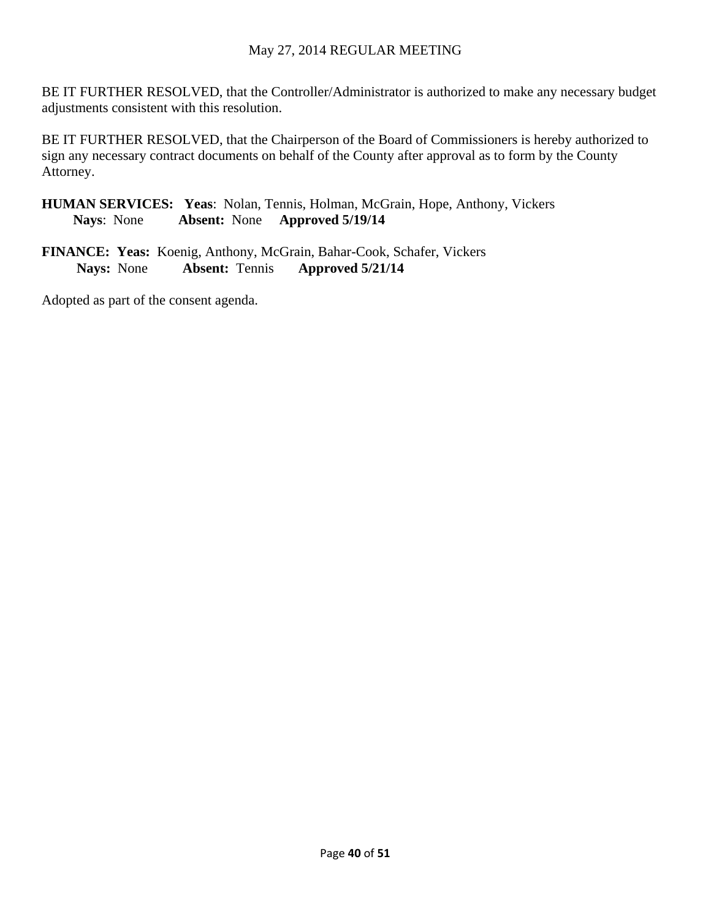# May 27, 2014 REGULAR MEETING

BE IT FURTHER RESOLVED, that the Controller/Administrator is authorized to make any necessary budget adjustments consistent with this resolution.

BE IT FURTHER RESOLVED, that the Chairperson of the Board of Commissioners is hereby authorized to sign any necessary contract documents on behalf of the County after approval as to form by the County Attorney.

**HUMAN SERVICES: Yeas**: Nolan, Tennis, Holman, McGrain, Hope, Anthony, Vickers **Nays**: None **Absent:** None **Approved 5/19/14** 

**FINANCE: Yeas:** Koenig, Anthony, McGrain, Bahar-Cook, Schafer, Vickers **Nays:** None **Absent:** Tennis **Approved 5/21/14**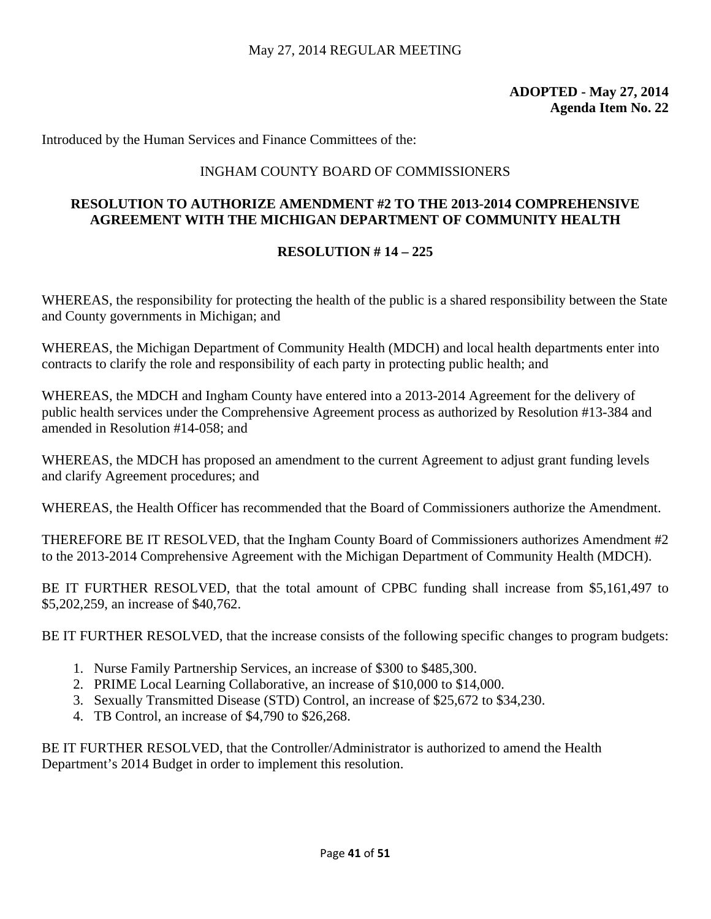# **ADOPTED - May 27, 2014 Agenda Item No. 22**

Introduced by the Human Services and Finance Committees of the:

### INGHAM COUNTY BOARD OF COMMISSIONERS

# **RESOLUTION TO AUTHORIZE AMENDMENT #2 TO THE 2013-2014 COMPREHENSIVE AGREEMENT WITH THE MICHIGAN DEPARTMENT OF COMMUNITY HEALTH**

### **RESOLUTION # 14 – 225**

WHEREAS, the responsibility for protecting the health of the public is a shared responsibility between the State and County governments in Michigan; and

WHEREAS, the Michigan Department of Community Health (MDCH) and local health departments enter into contracts to clarify the role and responsibility of each party in protecting public health; and

WHEREAS, the MDCH and Ingham County have entered into a 2013-2014 Agreement for the delivery of public health services under the Comprehensive Agreement process as authorized by Resolution #13-384 and amended in Resolution #14-058; and

WHEREAS, the MDCH has proposed an amendment to the current Agreement to adjust grant funding levels and clarify Agreement procedures; and

WHEREAS, the Health Officer has recommended that the Board of Commissioners authorize the Amendment.

THEREFORE BE IT RESOLVED, that the Ingham County Board of Commissioners authorizes Amendment #2 to the 2013-2014 Comprehensive Agreement with the Michigan Department of Community Health (MDCH).

BE IT FURTHER RESOLVED, that the total amount of CPBC funding shall increase from \$5,161,497 to \$5,202,259, an increase of \$40,762.

BE IT FURTHER RESOLVED, that the increase consists of the following specific changes to program budgets:

- 1. Nurse Family Partnership Services, an increase of \$300 to \$485,300.
- 2. PRIME Local Learning Collaborative, an increase of \$10,000 to \$14,000.
- 3. Sexually Transmitted Disease (STD) Control, an increase of \$25,672 to \$34,230.
- 4. TB Control, an increase of \$4,790 to \$26,268.

BE IT FURTHER RESOLVED, that the Controller/Administrator is authorized to amend the Health Department's 2014 Budget in order to implement this resolution.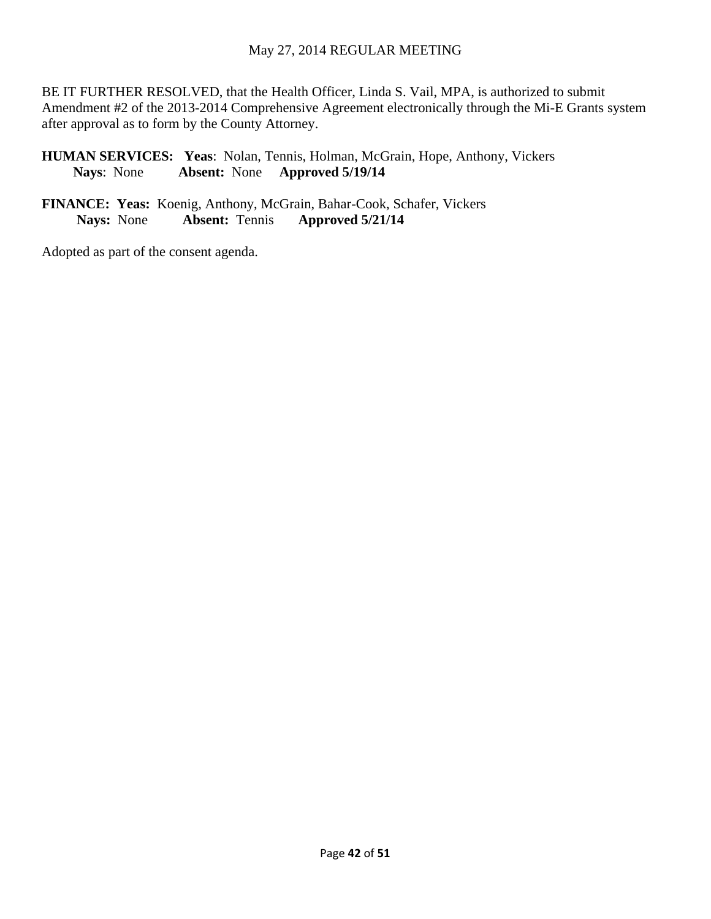### May 27, 2014 REGULAR MEETING

BE IT FURTHER RESOLVED, that the Health Officer, Linda S. Vail, MPA, is authorized to submit Amendment #2 of the 2013-2014 Comprehensive Agreement electronically through the Mi-E Grants system after approval as to form by the County Attorney.

**HUMAN SERVICES: Yeas**: Nolan, Tennis, Holman, McGrain, Hope, Anthony, Vickers **Nays**: None **Absent:** None **Approved 5/19/14** 

**FINANCE: Yeas:** Koenig, Anthony, McGrain, Bahar-Cook, Schafer, Vickers **Nays:** None **Absent:** Tennis **Approved 5/21/14**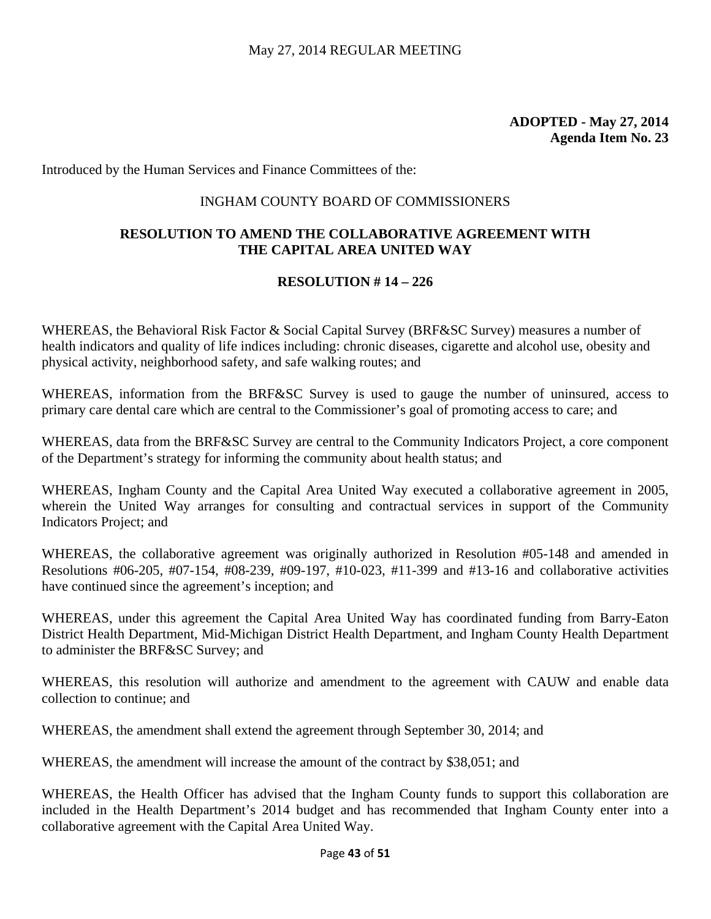Introduced by the Human Services and Finance Committees of the:

### INGHAM COUNTY BOARD OF COMMISSIONERS

# **RESOLUTION TO AMEND THE COLLABORATIVE AGREEMENT WITH THE CAPITAL AREA UNITED WAY**

### **RESOLUTION # 14 – 226**

WHEREAS, the Behavioral Risk Factor & Social Capital Survey (BRF&SC Survey) measures a number of health indicators and quality of life indices including: chronic diseases, cigarette and alcohol use, obesity and physical activity, neighborhood safety, and safe walking routes; and

WHEREAS, information from the BRF&SC Survey is used to gauge the number of uninsured, access to primary care dental care which are central to the Commissioner's goal of promoting access to care; and

WHEREAS, data from the BRF&SC Survey are central to the Community Indicators Project, a core component of the Department's strategy for informing the community about health status; and

WHEREAS, Ingham County and the Capital Area United Way executed a collaborative agreement in 2005, wherein the United Way arranges for consulting and contractual services in support of the Community Indicators Project; and

WHEREAS, the collaborative agreement was originally authorized in Resolution #05-148 and amended in Resolutions #06-205, #07-154, #08-239, #09-197, #10-023, #11-399 and #13-16 and collaborative activities have continued since the agreement's inception; and

WHEREAS, under this agreement the Capital Area United Way has coordinated funding from Barry-Eaton District Health Department, Mid-Michigan District Health Department, and Ingham County Health Department to administer the BRF&SC Survey; and

WHEREAS, this resolution will authorize and amendment to the agreement with CAUW and enable data collection to continue; and

WHEREAS, the amendment shall extend the agreement through September 30, 2014; and

WHEREAS, the amendment will increase the amount of the contract by \$38,051; and

WHEREAS, the Health Officer has advised that the Ingham County funds to support this collaboration are included in the Health Department's 2014 budget and has recommended that Ingham County enter into a collaborative agreement with the Capital Area United Way.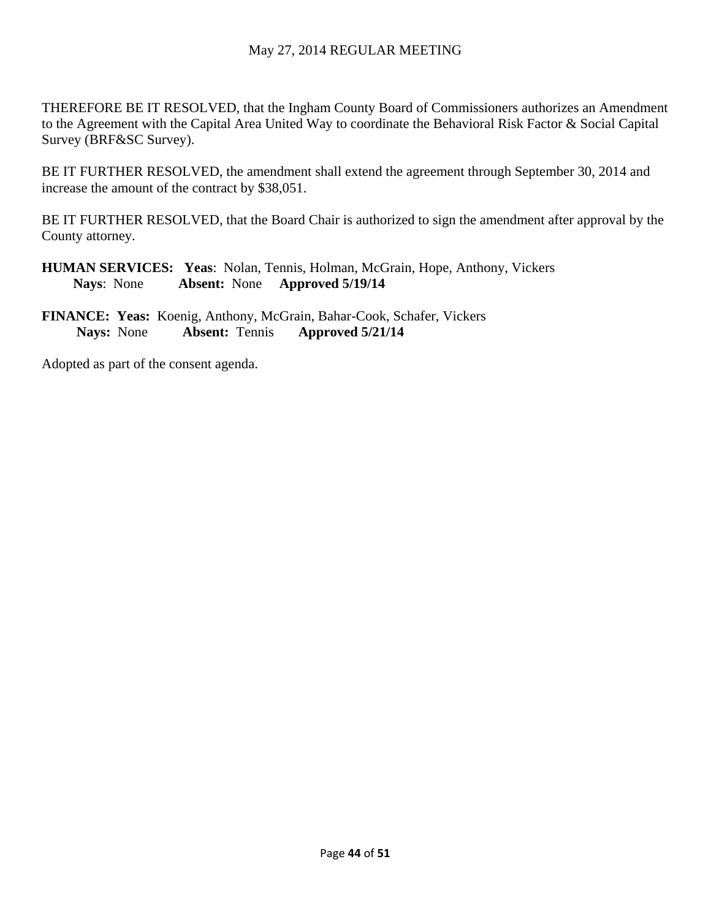# May 27, 2014 REGULAR MEETING

THEREFORE BE IT RESOLVED, that the Ingham County Board of Commissioners authorizes an Amendment to the Agreement with the Capital Area United Way to coordinate the Behavioral Risk Factor & Social Capital Survey (BRF&SC Survey).

BE IT FURTHER RESOLVED, the amendment shall extend the agreement through September 30, 2014 and increase the amount of the contract by \$38,051.

BE IT FURTHER RESOLVED, that the Board Chair is authorized to sign the amendment after approval by the County attorney.

**HUMAN SERVICES: Yeas**: Nolan, Tennis, Holman, McGrain, Hope, Anthony, Vickers **Nays**: None **Absent:** None **Approved 5/19/14** 

**FINANCE: Yeas:** Koenig, Anthony, McGrain, Bahar-Cook, Schafer, Vickers **Nays:** None **Absent:** Tennis **Approved 5/21/14**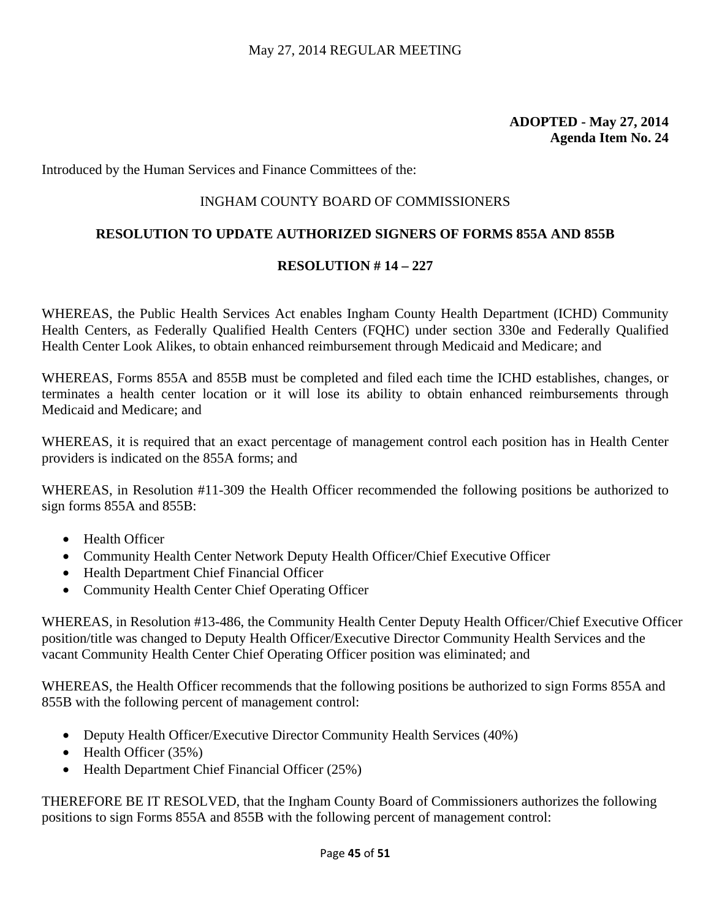# **ADOPTED - May 27, 2014 Agenda Item No. 24**

Introduced by the Human Services and Finance Committees of the:

# INGHAM COUNTY BOARD OF COMMISSIONERS

### **RESOLUTION TO UPDATE AUTHORIZED SIGNERS OF FORMS 855A AND 855B**

### **RESOLUTION # 14 – 227**

WHEREAS, the Public Health Services Act enables Ingham County Health Department (ICHD) Community Health Centers, as Federally Qualified Health Centers (FQHC) under section 330e and Federally Qualified Health Center Look Alikes, to obtain enhanced reimbursement through Medicaid and Medicare; and

WHEREAS, Forms 855A and 855B must be completed and filed each time the ICHD establishes, changes, or terminates a health center location or it will lose its ability to obtain enhanced reimbursements through Medicaid and Medicare; and

WHEREAS, it is required that an exact percentage of management control each position has in Health Center providers is indicated on the 855A forms; and

WHEREAS, in Resolution #11-309 the Health Officer recommended the following positions be authorized to sign forms 855A and 855B:

- Health Officer
- Community Health Center Network Deputy Health Officer/Chief Executive Officer
- Health Department Chief Financial Officer
- Community Health Center Chief Operating Officer

WHEREAS, in Resolution #13-486, the Community Health Center Deputy Health Officer/Chief Executive Officer position/title was changed to Deputy Health Officer/Executive Director Community Health Services and the vacant Community Health Center Chief Operating Officer position was eliminated; and

WHEREAS, the Health Officer recommends that the following positions be authorized to sign Forms 855A and 855B with the following percent of management control:

- Deputy Health Officer/Executive Director Community Health Services (40%)
- Health Officer (35%)
- Health Department Chief Financial Officer (25%)

THEREFORE BE IT RESOLVED, that the Ingham County Board of Commissioners authorizes the following positions to sign Forms 855A and 855B with the following percent of management control: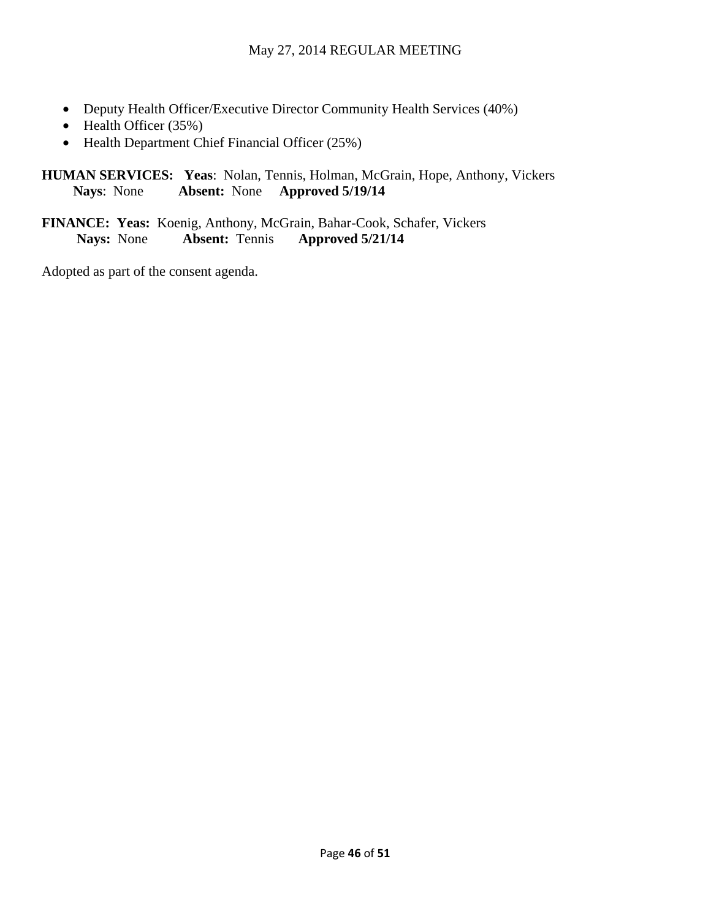- Deputy Health Officer/Executive Director Community Health Services (40%)
- Health Officer (35%)
- Health Department Chief Financial Officer (25%)

**HUMAN SERVICES: Yeas**: Nolan, Tennis, Holman, McGrain, Hope, Anthony, Vickers **Nays**: None **Absent:** None **Approved 5/19/14** 

**FINANCE: Yeas:** Koenig, Anthony, McGrain, Bahar-Cook, Schafer, Vickers **Nays:** None **Absent:** Tennis **Approved 5/21/14**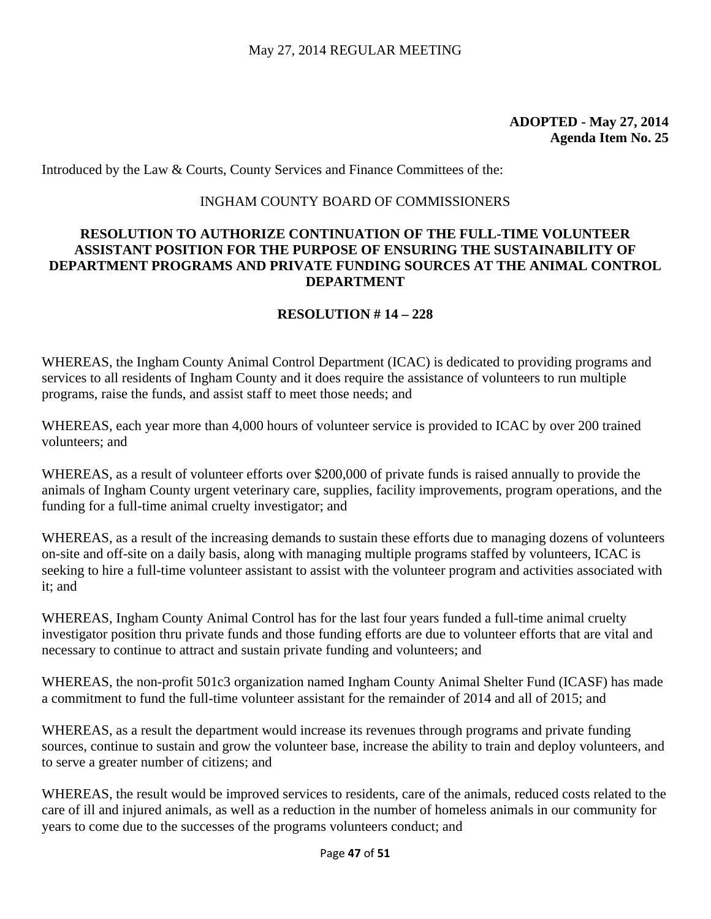# **ADOPTED - May 27, 2014 Agenda Item No. 25**

Introduced by the Law & Courts, County Services and Finance Committees of the:

### INGHAM COUNTY BOARD OF COMMISSIONERS

### **RESOLUTION TO AUTHORIZE CONTINUATION OF THE FULL-TIME VOLUNTEER ASSISTANT POSITION FOR THE PURPOSE OF ENSURING THE SUSTAINABILITY OF DEPARTMENT PROGRAMS AND PRIVATE FUNDING SOURCES AT THE ANIMAL CONTROL DEPARTMENT**

### **RESOLUTION # 14 – 228**

WHEREAS, the Ingham County Animal Control Department (ICAC) is dedicated to providing programs and services to all residents of Ingham County and it does require the assistance of volunteers to run multiple programs, raise the funds, and assist staff to meet those needs; and

WHEREAS, each year more than 4,000 hours of volunteer service is provided to ICAC by over 200 trained volunteers; and

WHEREAS, as a result of volunteer efforts over \$200,000 of private funds is raised annually to provide the animals of Ingham County urgent veterinary care, supplies, facility improvements, program operations, and the funding for a full-time animal cruelty investigator; and

WHEREAS, as a result of the increasing demands to sustain these efforts due to managing dozens of volunteers on-site and off-site on a daily basis, along with managing multiple programs staffed by volunteers, ICAC is seeking to hire a full-time volunteer assistant to assist with the volunteer program and activities associated with it; and

WHEREAS, Ingham County Animal Control has for the last four years funded a full-time animal cruelty investigator position thru private funds and those funding efforts are due to volunteer efforts that are vital and necessary to continue to attract and sustain private funding and volunteers; and

WHEREAS, the non-profit 501c3 organization named Ingham County Animal Shelter Fund (ICASF) has made a commitment to fund the full-time volunteer assistant for the remainder of 2014 and all of 2015; and

WHEREAS, as a result the department would increase its revenues through programs and private funding sources, continue to sustain and grow the volunteer base, increase the ability to train and deploy volunteers, and to serve a greater number of citizens; and

WHEREAS, the result would be improved services to residents, care of the animals, reduced costs related to the care of ill and injured animals, as well as a reduction in the number of homeless animals in our community for years to come due to the successes of the programs volunteers conduct; and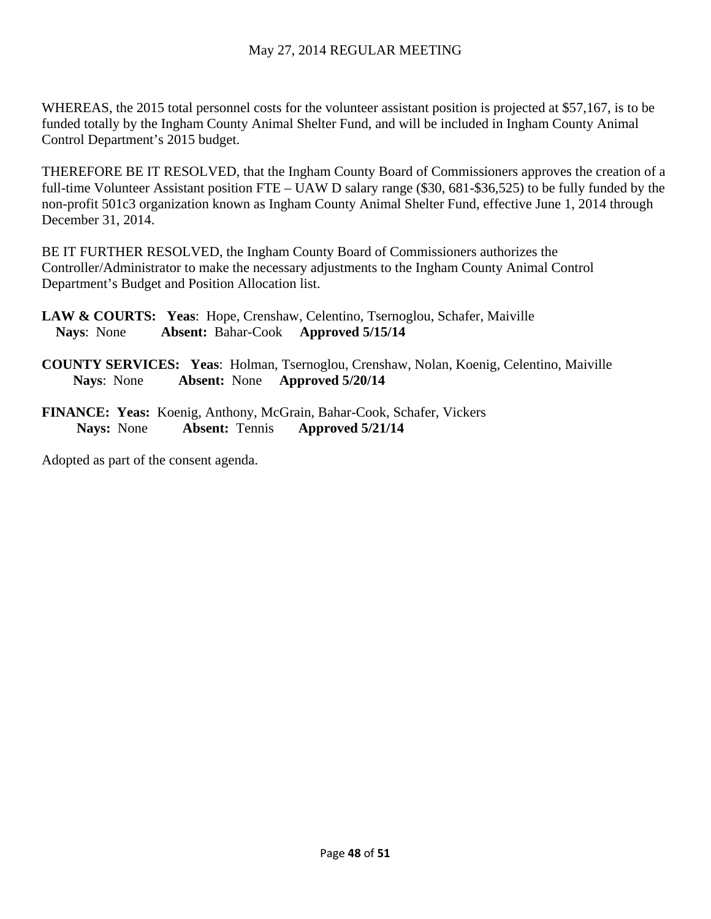WHEREAS, the 2015 total personnel costs for the volunteer assistant position is projected at \$57,167, is to be funded totally by the Ingham County Animal Shelter Fund, and will be included in Ingham County Animal Control Department's 2015 budget.

THEREFORE BE IT RESOLVED, that the Ingham County Board of Commissioners approves the creation of a full-time Volunteer Assistant position FTE – UAW D salary range (\$30, 681-\$36,525) to be fully funded by the non-profit 501c3 organization known as Ingham County Animal Shelter Fund, effective June 1, 2014 through December 31, 2014.

BE IT FURTHER RESOLVED, the Ingham County Board of Commissioners authorizes the Controller/Administrator to make the necessary adjustments to the Ingham County Animal Control Department's Budget and Position Allocation list.

**LAW & COURTS: Yeas**: Hope, Crenshaw, Celentino, Tsernoglou, Schafer, Maiville  **Nays**: None **Absent:** Bahar-Cook **Approved 5/15/14** 

**COUNTY SERVICES: Yeas**: Holman, Tsernoglou, Crenshaw, Nolan, Koenig, Celentino, Maiville **Nays**: None **Absent:** None **Approved 5/20/14** 

**FINANCE: Yeas:** Koenig, Anthony, McGrain, Bahar-Cook, Schafer, Vickers **Nays:** None **Absent:** Tennis **Approved 5/21/14**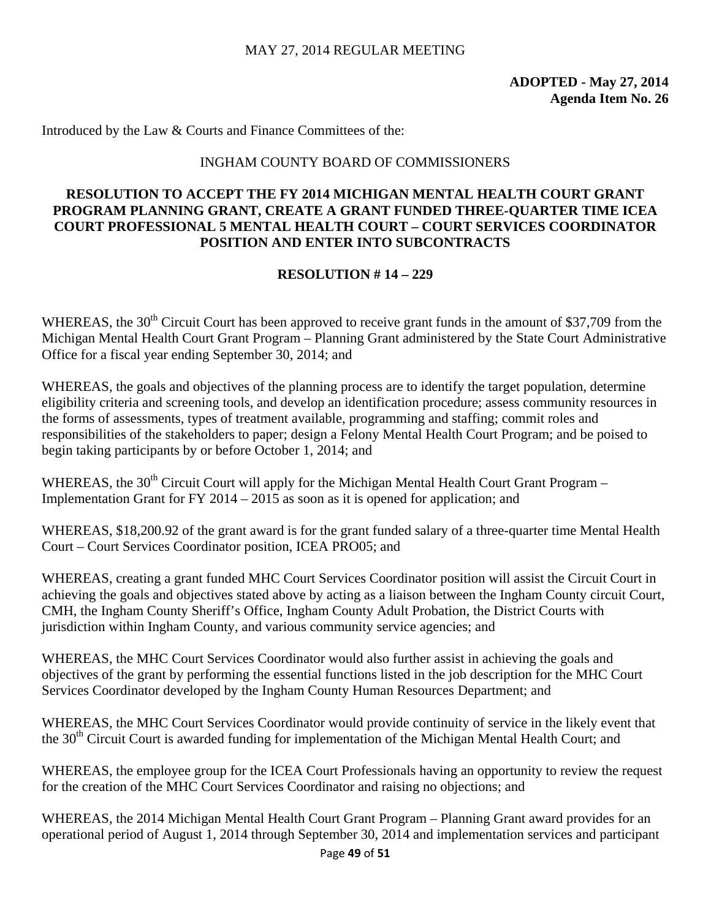### MAY 27, 2014 REGULAR MEETING

**ADOPTED - May 27, 2014 Agenda Item No. 26** 

Introduced by the Law & Courts and Finance Committees of the:

### INGHAM COUNTY BOARD OF COMMISSIONERS

### **RESOLUTION TO ACCEPT THE FY 2014 MICHIGAN MENTAL HEALTH COURT GRANT PROGRAM PLANNING GRANT, CREATE A GRANT FUNDED THREE-QUARTER TIME ICEA COURT PROFESSIONAL 5 MENTAL HEALTH COURT – COURT SERVICES COORDINATOR POSITION AND ENTER INTO SUBCONTRACTS**

### **RESOLUTION # 14 – 229**

WHEREAS, the 30<sup>th</sup> Circuit Court has been approved to receive grant funds in the amount of \$37,709 from the Michigan Mental Health Court Grant Program – Planning Grant administered by the State Court Administrative Office for a fiscal year ending September 30, 2014; and

WHEREAS, the goals and objectives of the planning process are to identify the target population, determine eligibility criteria and screening tools, and develop an identification procedure; assess community resources in the forms of assessments, types of treatment available, programming and staffing; commit roles and responsibilities of the stakeholders to paper; design a Felony Mental Health Court Program; and be poised to begin taking participants by or before October 1, 2014; and

WHEREAS, the 30<sup>th</sup> Circuit Court will apply for the Michigan Mental Health Court Grant Program – Implementation Grant for FY 2014 – 2015 as soon as it is opened for application; and

WHEREAS, \$18,200.92 of the grant award is for the grant funded salary of a three-quarter time Mental Health Court – Court Services Coordinator position, ICEA PRO05; and

WHEREAS, creating a grant funded MHC Court Services Coordinator position will assist the Circuit Court in achieving the goals and objectives stated above by acting as a liaison between the Ingham County circuit Court, CMH, the Ingham County Sheriff's Office, Ingham County Adult Probation, the District Courts with jurisdiction within Ingham County, and various community service agencies; and

WHEREAS, the MHC Court Services Coordinator would also further assist in achieving the goals and objectives of the grant by performing the essential functions listed in the job description for the MHC Court Services Coordinator developed by the Ingham County Human Resources Department; and

WHEREAS, the MHC Court Services Coordinator would provide continuity of service in the likely event that the 30<sup>th</sup> Circuit Court is awarded funding for implementation of the Michigan Mental Health Court; and

WHEREAS, the employee group for the ICEA Court Professionals having an opportunity to review the request for the creation of the MHC Court Services Coordinator and raising no objections; and

WHEREAS, the 2014 Michigan Mental Health Court Grant Program – Planning Grant award provides for an operational period of August 1, 2014 through September 30, 2014 and implementation services and participant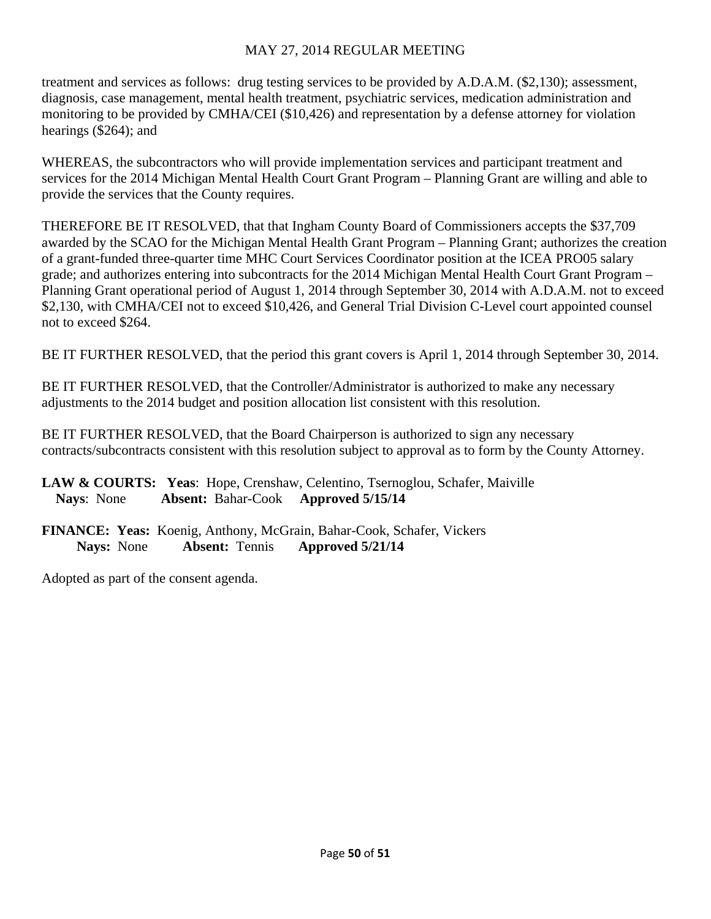# MAY 27, 2014 REGULAR MEETING

treatment and services as follows: drug testing services to be provided by A.D.A.M. (\$2,130); assessment, diagnosis, case management, mental health treatment, psychiatric services, medication administration and monitoring to be provided by CMHA/CEI (\$10,426) and representation by a defense attorney for violation hearings (\$264); and

WHEREAS, the subcontractors who will provide implementation services and participant treatment and services for the 2014 Michigan Mental Health Court Grant Program – Planning Grant are willing and able to provide the services that the County requires.

THEREFORE BE IT RESOLVED, that that Ingham County Board of Commissioners accepts the \$37,709 awarded by the SCAO for the Michigan Mental Health Grant Program – Planning Grant; authorizes the creation of a grant-funded three-quarter time MHC Court Services Coordinator position at the ICEA PRO05 salary grade; and authorizes entering into subcontracts for the 2014 Michigan Mental Health Court Grant Program – Planning Grant operational period of August 1, 2014 through September 30, 2014 with A.D.A.M. not to exceed \$2,130, with CMHA/CEI not to exceed \$10,426, and General Trial Division C-Level court appointed counsel not to exceed \$264.

BE IT FURTHER RESOLVED, that the period this grant covers is April 1, 2014 through September 30, 2014.

BE IT FURTHER RESOLVED, that the Controller/Administrator is authorized to make any necessary adjustments to the 2014 budget and position allocation list consistent with this resolution.

BE IT FURTHER RESOLVED, that the Board Chairperson is authorized to sign any necessary contracts/subcontracts consistent with this resolution subject to approval as to form by the County Attorney.

# **LAW & COURTS: Yeas**: Hope, Crenshaw, Celentino, Tsernoglou, Schafer, Maiville  **Nays**: None **Absent:** Bahar-Cook **Approved 5/15/14**

**FINANCE: Yeas:** Koenig, Anthony, McGrain, Bahar-Cook, Schafer, Vickers **Nays:** None **Absent:** Tennis **Approved 5/21/14**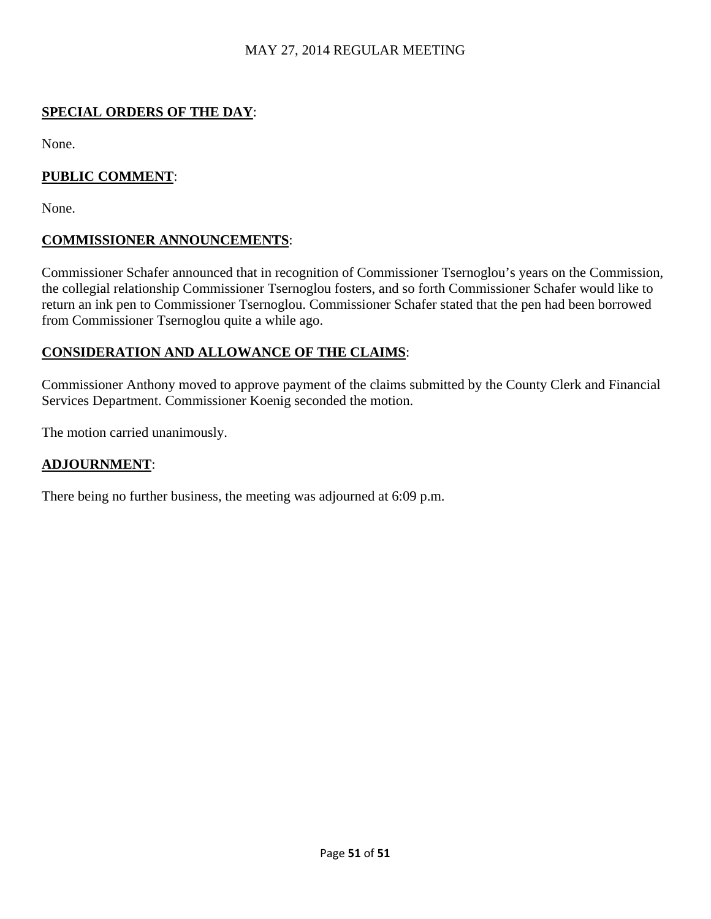# MAY 27, 2014 REGULAR MEETING

# **SPECIAL ORDERS OF THE DAY**:

None.

# **PUBLIC COMMENT**:

None.

# **COMMISSIONER ANNOUNCEMENTS**:

Commissioner Schafer announced that in recognition of Commissioner Tsernoglou's years on the Commission, the collegial relationship Commissioner Tsernoglou fosters, and so forth Commissioner Schafer would like to return an ink pen to Commissioner Tsernoglou. Commissioner Schafer stated that the pen had been borrowed from Commissioner Tsernoglou quite a while ago.

# **CONSIDERATION AND ALLOWANCE OF THE CLAIMS**:

Commissioner Anthony moved to approve payment of the claims submitted by the County Clerk and Financial Services Department. Commissioner Koenig seconded the motion.

The motion carried unanimously.

# **ADJOURNMENT**:

There being no further business, the meeting was adjourned at 6:09 p.m.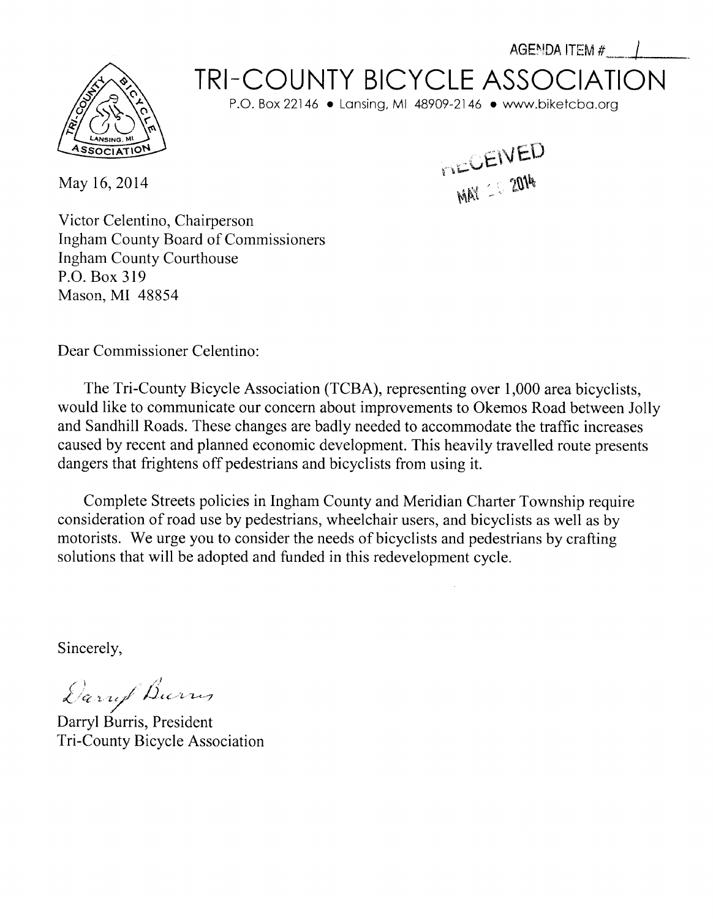# **TRI-COUNTY BICYCLE ASSOCIATION**

P.O. Box 22146 . Lansing, MI 48909-2146 . www.biketcba.org

May 16, 2014

MAY 20 2014

AGENDA ITEM #

Victor Celentino, Chairperson **Ingham County Board of Commissioners Ingham County Courthouse** P.O. Box 319 Mason, MI 48854

Dear Commissioner Celentino:

The Tri-County Bicycle Association (TCBA), representing over 1,000 area bicyclists, would like to communicate our concern about improvements to Okemos Road between Jolly and Sandhill Roads. These changes are badly needed to accommodate the traffic increases caused by recent and planned economic development. This heavily travelled route presents dangers that frightens off pedestrians and bicyclists from using it.

Complete Streets policies in Ingham County and Meridian Charter Township require consideration of road use by pedestrians, wheelchair users, and bicyclists as well as by motorists. We urge you to consider the needs of bicyclists and pedestrians by crafting solutions that will be adopted and funded in this redevelopment cycle.

Sincerely,

Daruf Burns

Darryl Burris, President Tri-County Bicycle Association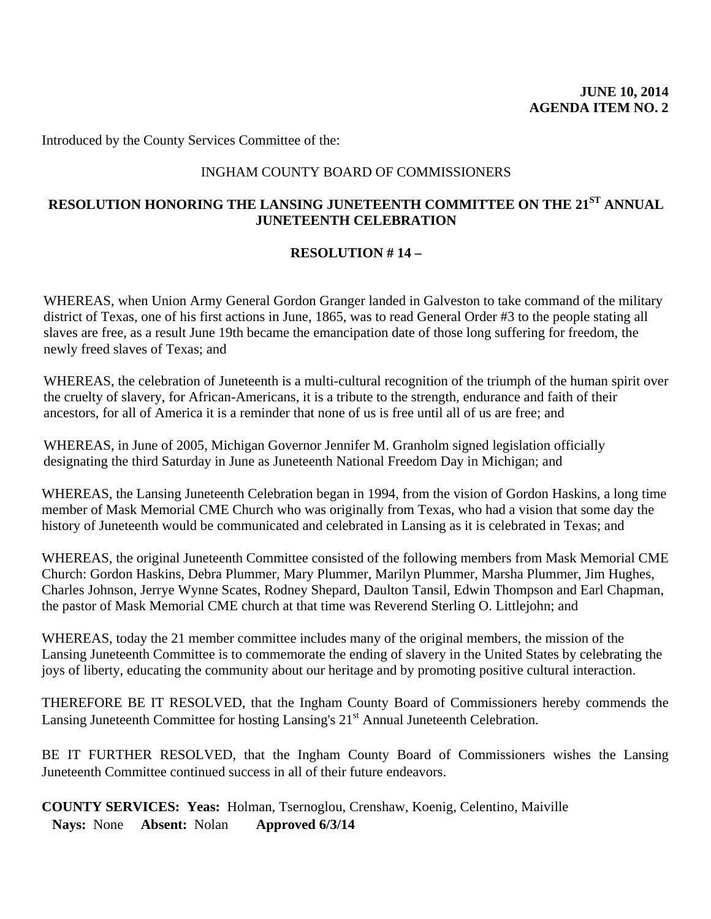Introduced by the County Services Committee of the:

# INGHAM COUNTY BOARD OF COMMISSIONERS

# **RESOLUTION HONORING THE LANSING JUNETEENTH COMMITTEE ON THE 21ST ANNUAL JUNETEENTH CELEBRATION**

### **RESOLUTION # 14 –**

WHEREAS, when Union Army General Gordon Granger landed in Galveston to take command of the military district of Texas, one of his first actions in June, 1865, was to read General Order #3 to the people stating all slaves are free, as a result June 19th became the emancipation date of those long suffering for freedom, the newly freed slaves of Texas; and

WHEREAS, the celebration of Juneteenth is a multi-cultural recognition of the triumph of the human spirit over the cruelty of slavery, for African-Americans, it is a tribute to the strength, endurance and faith of their ancestors, for all of America it is a reminder that none of us is free until all of us are free; and

WHEREAS, in June of 2005, Michigan Governor Jennifer M. Granholm signed legislation officially designating the third Saturday in June as Juneteenth National Freedom Day in Michigan; and

WHEREAS, the Lansing Juneteenth Celebration began in 1994, from the vision of Gordon Haskins, a long time member of Mask Memorial CME Church who was originally from Texas, who had a vision that some day the history of Juneteenth would be communicated and celebrated in Lansing as it is celebrated in Texas; and

WHEREAS, the original Juneteenth Committee consisted of the following members from Mask Memorial CME Church: Gordon Haskins, Debra Plummer, Mary Plummer, Marilyn Plummer, Marsha Plummer, Jim Hughes, Charles Johnson, Jerrye Wynne Scates, Rodney Shepard, Daulton Tansil, Edwin Thompson and Earl Chapman, the pastor of Mask Memorial CME church at that time was Reverend Sterling O. Littlejohn; and

WHEREAS, today the 21 member committee includes many of the original members, the mission of the Lansing Juneteenth Committee is to commemorate the ending of slavery in the United States by celebrating the joys of liberty, educating the community about our heritage and by promoting positive cultural interaction.

THEREFORE BE IT RESOLVED, that the Ingham County Board of Commissioners hereby commends the Lansing Juneteenth Committee for hosting Lansing's 21<sup>st</sup> Annual Juneteenth Celebration.

BE IT FURTHER RESOLVED, that the Ingham County Board of Commissioners wishes the Lansing Juneteenth Committee continued success in all of their future endeavors.

**COUNTY SERVICES: Yeas:** Holman, Tsernoglou, Crenshaw, Koenig, Celentino, Maiville **Nays:** None **Absent:** Nolan **Approved 6/3/14**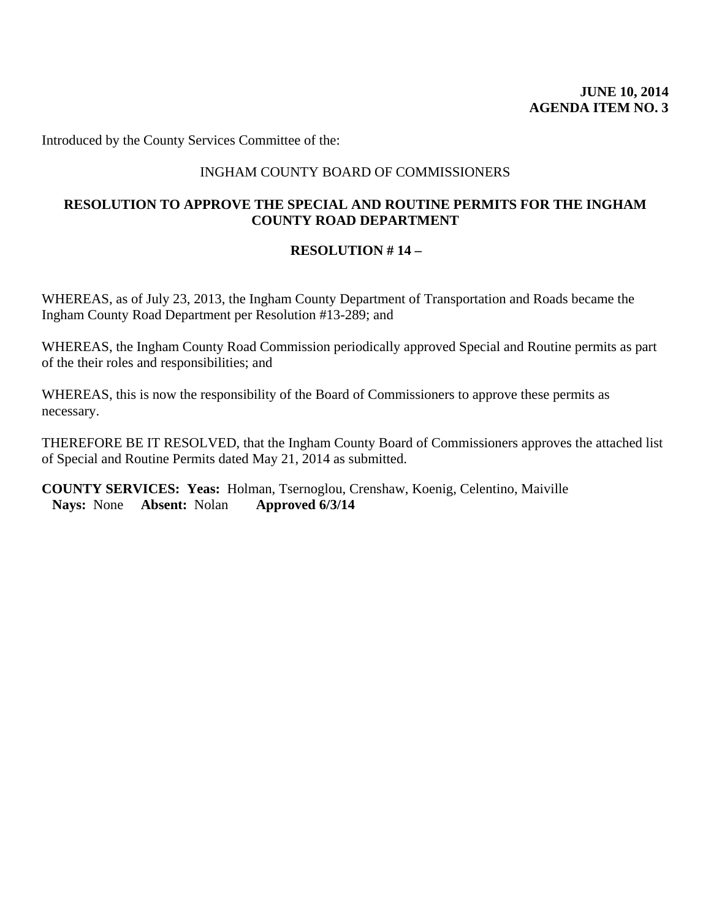Introduced by the County Services Committee of the:

# INGHAM COUNTY BOARD OF COMMISSIONERS

# **RESOLUTION TO APPROVE THE SPECIAL AND ROUTINE PERMITS FOR THE INGHAM COUNTY ROAD DEPARTMENT**

### **RESOLUTION # 14 –**

WHEREAS, as of July 23, 2013, the Ingham County Department of Transportation and Roads became the Ingham County Road Department per Resolution #13-289; and

WHEREAS, the Ingham County Road Commission periodically approved Special and Routine permits as part of the their roles and responsibilities; and

WHEREAS, this is now the responsibility of the Board of Commissioners to approve these permits as necessary.

THEREFORE BE IT RESOLVED, that the Ingham County Board of Commissioners approves the attached list of Special and Routine Permits dated May 21, 2014 as submitted.

**COUNTY SERVICES: Yeas:** Holman, Tsernoglou, Crenshaw, Koenig, Celentino, Maiville **Nays:** None **Absent:** Nolan **Approved 6/3/14**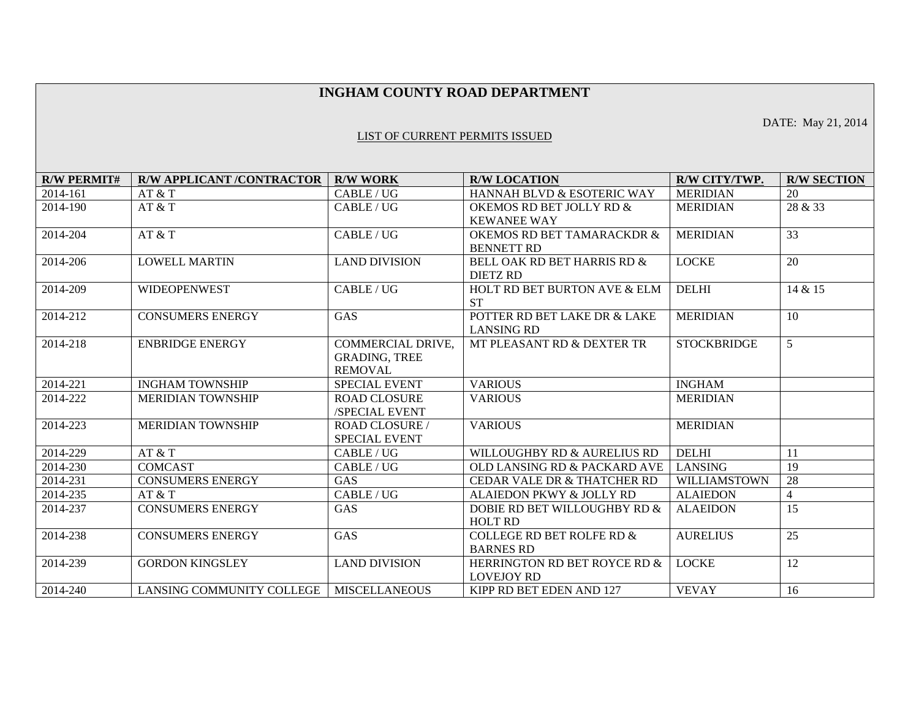### **INGHAM COUNTY ROAD DEPARTMENT**

DATE: May 21, 2014

#### LIST OF CURRENT PERMITS ISSUED

| <b>R/W PERMIT#</b> | <b>R/W APPLICANT /CONTRACTOR</b> | <b>R/W WORK</b>       | <b>R/W LOCATION</b>                                       | R/W CITY/TWP.       | <b>R/W SECTION</b> |
|--------------------|----------------------------------|-----------------------|-----------------------------------------------------------|---------------------|--------------------|
| 2014-161           | AT & T                           | CABLE/UG              | HANNAH BLVD & ESOTERIC WAY                                | <b>MERIDIAN</b>     | 20                 |
| 2014-190           | AT & T                           | CABLE / UG            | OKEMOS RD BET JOLLY RD &                                  | <b>MERIDIAN</b>     | 28 & 33            |
|                    |                                  |                       | <b>KEWANEE WAY</b>                                        |                     |                    |
| 2014-204           | AT & T                           | CABLE / UG            | <b>OKEMOS RD BET TAMARACKDR &amp;</b>                     | <b>MERIDIAN</b>     | 33                 |
|                    |                                  |                       |                                                           |                     |                    |
|                    |                                  |                       | <b>BENNETT RD</b>                                         |                     |                    |
| 2014-206           | <b>LOWELL MARTIN</b>             | <b>LAND DIVISION</b>  | <b>BELL OAK RD BET HARRIS RD &amp;</b><br><b>DIETZ RD</b> | <b>LOCKE</b>        | 20                 |
|                    |                                  |                       |                                                           |                     |                    |
| 2014-209           | <b>WIDEOPENWEST</b>              | CABLE/UG              | <b>HOLT RD BET BURTON AVE &amp; ELM</b>                   | <b>DELHI</b>        | 14 & 15            |
|                    |                                  |                       | <b>ST</b>                                                 |                     |                    |
| 2014-212           | <b>CONSUMERS ENERGY</b>          | GAS                   | POTTER RD BET LAKE DR & LAKE                              | <b>MERIDIAN</b>     | 10                 |
|                    |                                  |                       | <b>LANSING RD</b>                                         |                     |                    |
| 2014-218           | <b>ENBRIDGE ENERGY</b>           | COMMERCIAL DRIVE,     | MT PLEASANT RD & DEXTER TR                                | <b>STOCKBRIDGE</b>  | 5                  |
|                    |                                  | <b>GRADING, TREE</b>  |                                                           |                     |                    |
|                    |                                  | <b>REMOVAL</b>        |                                                           |                     |                    |
| 2014-221           | <b>INGHAM TOWNSHIP</b>           | <b>SPECIAL EVENT</b>  | <b>VARIOUS</b>                                            | <b>INGHAM</b>       |                    |
| 2014-222           | <b>MERIDIAN TOWNSHIP</b>         | <b>ROAD CLOSURE</b>   | <b>VARIOUS</b>                                            | <b>MERIDIAN</b>     |                    |
|                    |                                  | /SPECIAL EVENT        |                                                           |                     |                    |
| 2014-223           | <b>MERIDIAN TOWNSHIP</b>         | <b>ROAD CLOSURE /</b> | <b>VARIOUS</b>                                            | <b>MERIDIAN</b>     |                    |
|                    |                                  | <b>SPECIAL EVENT</b>  |                                                           |                     |                    |
| 2014-229           | AT & T                           | CABLE/UG              | WILLOUGHBY RD & AURELIUS RD                               | <b>DELHI</b>        | 11                 |
| 2014-230           | <b>COMCAST</b>                   | CABLE / UG            | OLD LANSING RD & PACKARD AVE                              | <b>LANSING</b>      | 19                 |
| 2014-231           | <b>CONSUMERS ENERGY</b>          | <b>GAS</b>            | CEDAR VALE DR & THATCHER RD                               | <b>WILLIAMSTOWN</b> | 28                 |
| 2014-235           | AT & T                           | CABLE / UG            | ALAIEDON PKWY & JOLLY RD                                  | <b>ALAIEDON</b>     | $\overline{4}$     |
| 2014-237           | <b>CONSUMERS ENERGY</b>          | GAS                   | DOBIE RD BET WILLOUGHBY RD &                              | <b>ALAEIDON</b>     | 15                 |
|                    |                                  |                       | <b>HOLT RD</b>                                            |                     |                    |
| 2014-238           | <b>CONSUMERS ENERGY</b>          | GAS                   | <b>COLLEGE RD BET ROLFE RD &amp;</b>                      | <b>AURELIUS</b>     | 25                 |
|                    |                                  |                       | <b>BARNES RD</b>                                          |                     |                    |
| 2014-239           | <b>GORDON KINGSLEY</b>           | <b>LAND DIVISION</b>  | HERRINGTON RD BET ROYCE RD &                              | <b>LOCKE</b>        | 12                 |
|                    |                                  |                       | <b>LOVEJOY RD</b>                                         |                     |                    |
| 2014-240           | LANSING COMMUNITY COLLEGE        | <b>MISCELLANEOUS</b>  | KIPP RD BET EDEN AND 127                                  | <b>VEVAY</b>        | 16                 |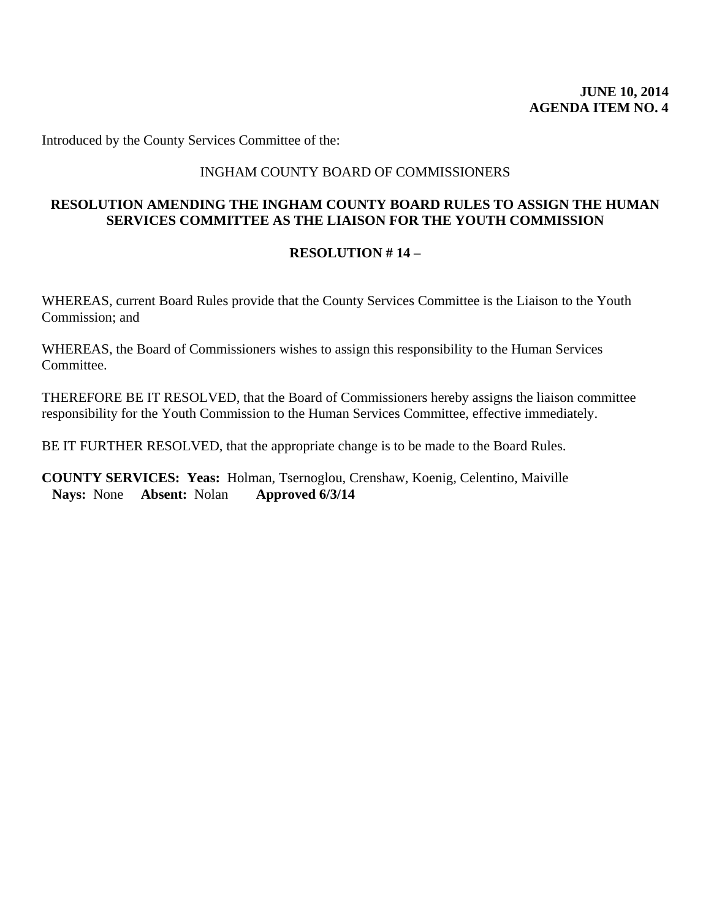Introduced by the County Services Committee of the:

# INGHAM COUNTY BOARD OF COMMISSIONERS

# **RESOLUTION AMENDING THE INGHAM COUNTY BOARD RULES TO ASSIGN THE HUMAN SERVICES COMMITTEE AS THE LIAISON FOR THE YOUTH COMMISSION**

### **RESOLUTION # 14 –**

WHEREAS, current Board Rules provide that the County Services Committee is the Liaison to the Youth Commission; and

WHEREAS, the Board of Commissioners wishes to assign this responsibility to the Human Services Committee.

THEREFORE BE IT RESOLVED, that the Board of Commissioners hereby assigns the liaison committee responsibility for the Youth Commission to the Human Services Committee, effective immediately.

BE IT FURTHER RESOLVED, that the appropriate change is to be made to the Board Rules.

**COUNTY SERVICES: Yeas:** Holman, Tsernoglou, Crenshaw, Koenig, Celentino, Maiville **Nays:** None **Absent:** Nolan **Approved 6/3/14**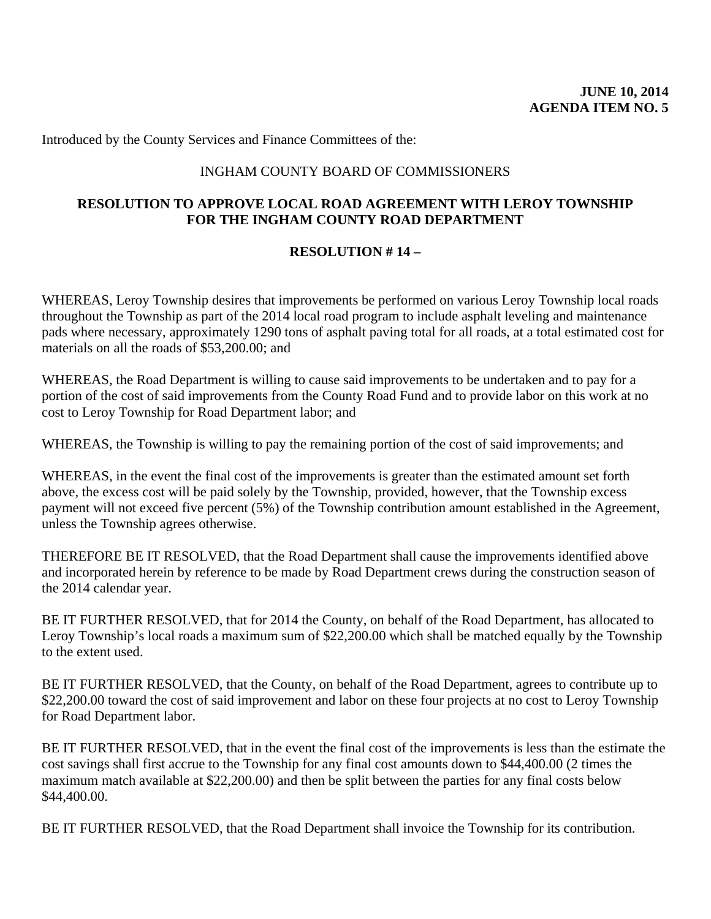Introduced by the County Services and Finance Committees of the:

# INGHAM COUNTY BOARD OF COMMISSIONERS

# **RESOLUTION TO APPROVE LOCAL ROAD AGREEMENT WITH LEROY TOWNSHIP FOR THE INGHAM COUNTY ROAD DEPARTMENT**

### **RESOLUTION # 14 –**

WHEREAS, Leroy Township desires that improvements be performed on various Leroy Township local roads throughout the Township as part of the 2014 local road program to include asphalt leveling and maintenance pads where necessary, approximately 1290 tons of asphalt paving total for all roads, at a total estimated cost for materials on all the roads of \$53,200.00; and

WHEREAS, the Road Department is willing to cause said improvements to be undertaken and to pay for a portion of the cost of said improvements from the County Road Fund and to provide labor on this work at no cost to Leroy Township for Road Department labor; and

WHEREAS, the Township is willing to pay the remaining portion of the cost of said improvements; and

WHEREAS, in the event the final cost of the improvements is greater than the estimated amount set forth above, the excess cost will be paid solely by the Township, provided, however, that the Township excess payment will not exceed five percent (5%) of the Township contribution amount established in the Agreement, unless the Township agrees otherwise.

THEREFORE BE IT RESOLVED, that the Road Department shall cause the improvements identified above and incorporated herein by reference to be made by Road Department crews during the construction season of the 2014 calendar year.

BE IT FURTHER RESOLVED, that for 2014 the County, on behalf of the Road Department, has allocated to Leroy Township's local roads a maximum sum of \$22,200.00 which shall be matched equally by the Township to the extent used.

BE IT FURTHER RESOLVED, that the County, on behalf of the Road Department, agrees to contribute up to \$22,200.00 toward the cost of said improvement and labor on these four projects at no cost to Leroy Township for Road Department labor.

BE IT FURTHER RESOLVED, that in the event the final cost of the improvements is less than the estimate the cost savings shall first accrue to the Township for any final cost amounts down to \$44,400.00 (2 times the maximum match available at \$22,200.00) and then be split between the parties for any final costs below \$44,400.00.

BE IT FURTHER RESOLVED, that the Road Department shall invoice the Township for its contribution.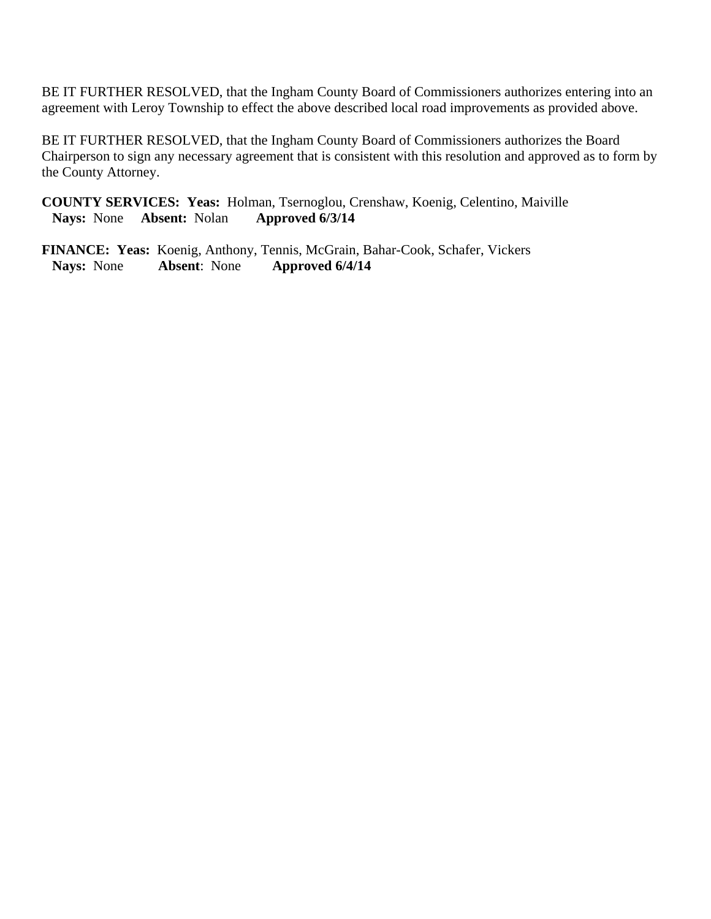BE IT FURTHER RESOLVED, that the Ingham County Board of Commissioners authorizes entering into an agreement with Leroy Township to effect the above described local road improvements as provided above.

BE IT FURTHER RESOLVED, that the Ingham County Board of Commissioners authorizes the Board Chairperson to sign any necessary agreement that is consistent with this resolution and approved as to form by the County Attorney.

**COUNTY SERVICES: Yeas:** Holman, Tsernoglou, Crenshaw, Koenig, Celentino, Maiville **Nays:** None **Absent:** Nolan **Approved 6/3/14** 

**FINANCE: Yeas:** Koenig, Anthony, Tennis, McGrain, Bahar-Cook, Schafer, Vickers **Nays:** None **Absent**: None **Approved 6/4/14**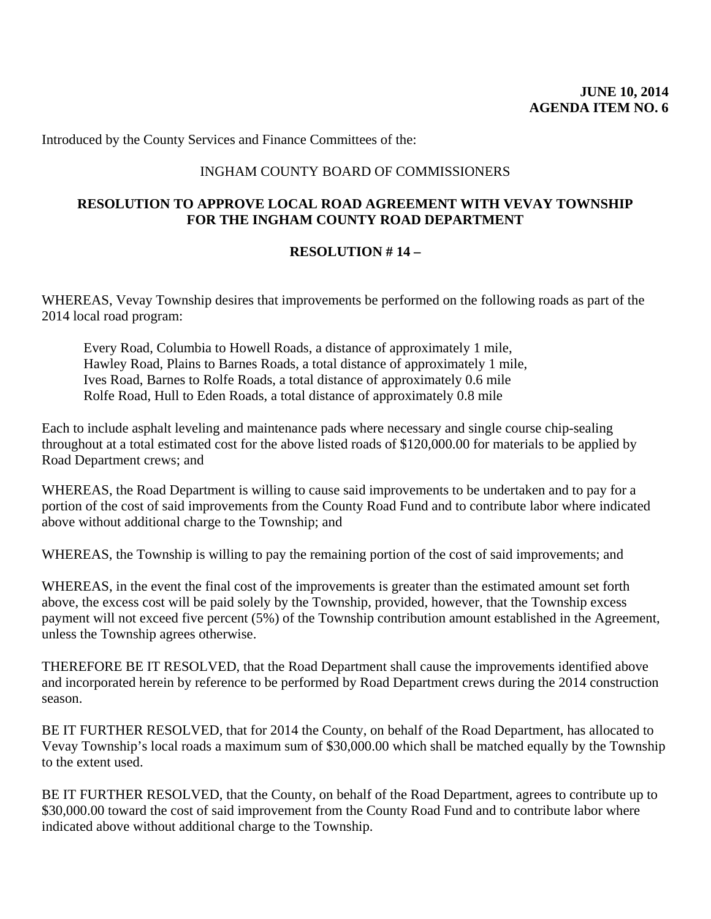Introduced by the County Services and Finance Committees of the:

# INGHAM COUNTY BOARD OF COMMISSIONERS

# **RESOLUTION TO APPROVE LOCAL ROAD AGREEMENT WITH VEVAY TOWNSHIP FOR THE INGHAM COUNTY ROAD DEPARTMENT**

### **RESOLUTION # 14 –**

WHEREAS, Vevay Township desires that improvements be performed on the following roads as part of the 2014 local road program:

Every Road, Columbia to Howell Roads, a distance of approximately 1 mile, Hawley Road, Plains to Barnes Roads, a total distance of approximately 1 mile, Ives Road, Barnes to Rolfe Roads, a total distance of approximately 0.6 mile Rolfe Road, Hull to Eden Roads, a total distance of approximately 0.8 mile

Each to include asphalt leveling and maintenance pads where necessary and single course chip-sealing throughout at a total estimated cost for the above listed roads of \$120,000.00 for materials to be applied by Road Department crews; and

WHEREAS, the Road Department is willing to cause said improvements to be undertaken and to pay for a portion of the cost of said improvements from the County Road Fund and to contribute labor where indicated above without additional charge to the Township; and

WHEREAS, the Township is willing to pay the remaining portion of the cost of said improvements; and

WHEREAS, in the event the final cost of the improvements is greater than the estimated amount set forth above, the excess cost will be paid solely by the Township, provided, however, that the Township excess payment will not exceed five percent (5%) of the Township contribution amount established in the Agreement, unless the Township agrees otherwise.

THEREFORE BE IT RESOLVED, that the Road Department shall cause the improvements identified above and incorporated herein by reference to be performed by Road Department crews during the 2014 construction season.

BE IT FURTHER RESOLVED, that for 2014 the County, on behalf of the Road Department, has allocated to Vevay Township's local roads a maximum sum of \$30,000.00 which shall be matched equally by the Township to the extent used.

BE IT FURTHER RESOLVED, that the County, on behalf of the Road Department, agrees to contribute up to \$30,000.00 toward the cost of said improvement from the County Road Fund and to contribute labor where indicated above without additional charge to the Township.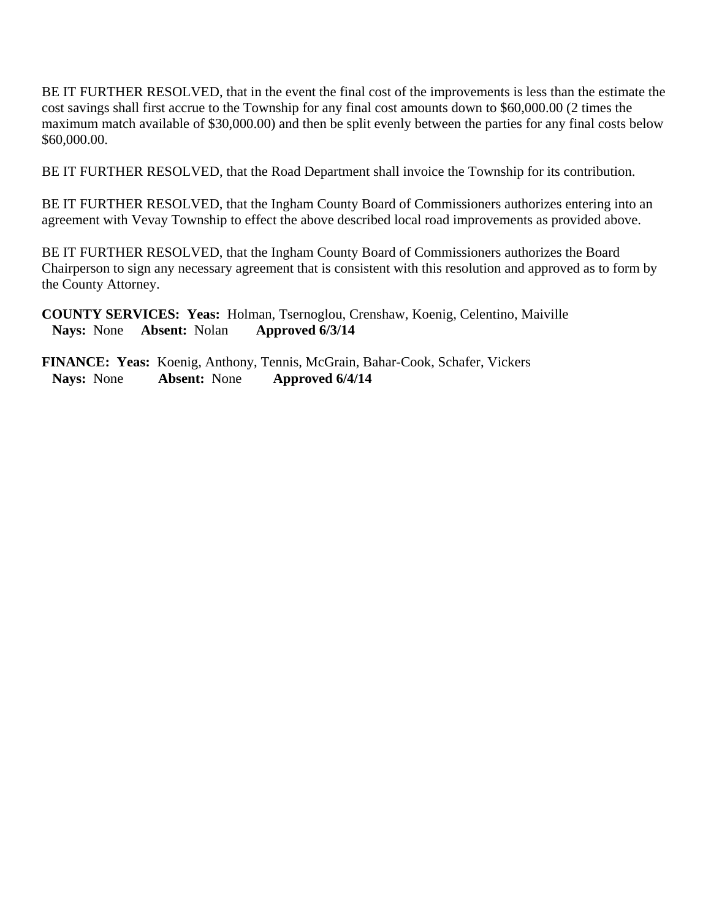BE IT FURTHER RESOLVED, that in the event the final cost of the improvements is less than the estimate the cost savings shall first accrue to the Township for any final cost amounts down to \$60,000.00 (2 times the maximum match available of \$30,000.00) and then be split evenly between the parties for any final costs below \$60,000.00.

BE IT FURTHER RESOLVED, that the Road Department shall invoice the Township for its contribution.

BE IT FURTHER RESOLVED, that the Ingham County Board of Commissioners authorizes entering into an agreement with Vevay Township to effect the above described local road improvements as provided above.

BE IT FURTHER RESOLVED, that the Ingham County Board of Commissioners authorizes the Board Chairperson to sign any necessary agreement that is consistent with this resolution and approved as to form by the County Attorney.

**COUNTY SERVICES: Yeas:** Holman, Tsernoglou, Crenshaw, Koenig, Celentino, Maiville **Nays:** None **Absent:** Nolan **Approved 6/3/14** 

**FINANCE: Yeas:** Koenig, Anthony, Tennis, McGrain, Bahar-Cook, Schafer, Vickers  **Nays:** None **Absent:** None **Approved 6/4/14**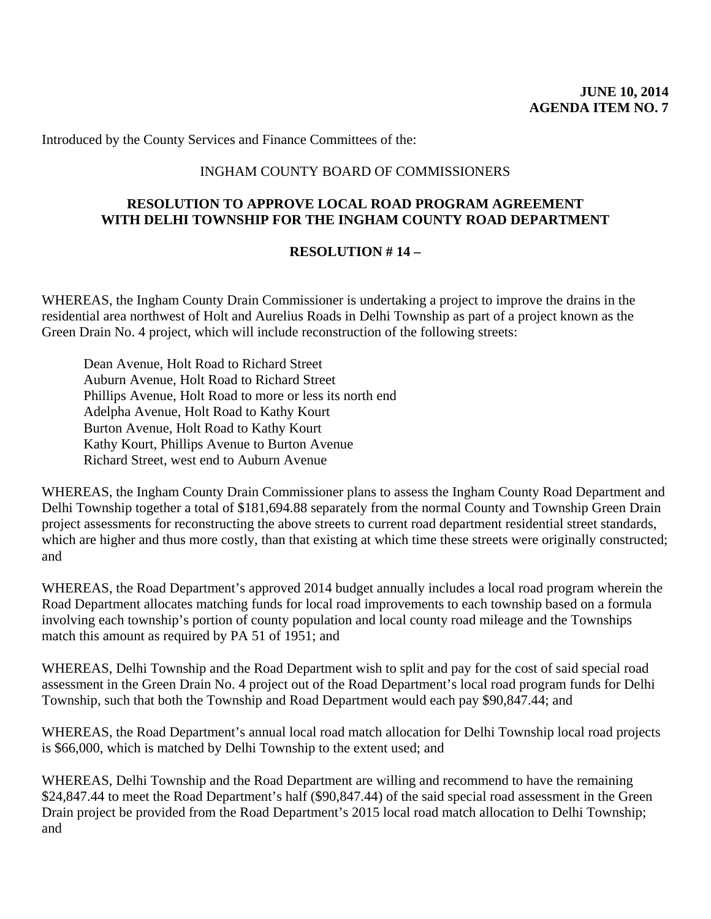Introduced by the County Services and Finance Committees of the:

### INGHAM COUNTY BOARD OF COMMISSIONERS

# **RESOLUTION TO APPROVE LOCAL ROAD PROGRAM AGREEMENT WITH DELHI TOWNSHIP FOR THE INGHAM COUNTY ROAD DEPARTMENT**

### **RESOLUTION # 14 –**

WHEREAS, the Ingham County Drain Commissioner is undertaking a project to improve the drains in the residential area northwest of Holt and Aurelius Roads in Delhi Township as part of a project known as the Green Drain No. 4 project, which will include reconstruction of the following streets:

Dean Avenue, Holt Road to Richard Street Auburn Avenue, Holt Road to Richard Street Phillips Avenue, Holt Road to more or less its north end Adelpha Avenue, Holt Road to Kathy Kourt Burton Avenue, Holt Road to Kathy Kourt Kathy Kourt, Phillips Avenue to Burton Avenue Richard Street, west end to Auburn Avenue

WHEREAS, the Ingham County Drain Commissioner plans to assess the Ingham County Road Department and Delhi Township together a total of \$181,694.88 separately from the normal County and Township Green Drain project assessments for reconstructing the above streets to current road department residential street standards, which are higher and thus more costly, than that existing at which time these streets were originally constructed; and

WHEREAS, the Road Department's approved 2014 budget annually includes a local road program wherein the Road Department allocates matching funds for local road improvements to each township based on a formula involving each township's portion of county population and local county road mileage and the Townships match this amount as required by PA 51 of 1951; and

WHEREAS, Delhi Township and the Road Department wish to split and pay for the cost of said special road assessment in the Green Drain No. 4 project out of the Road Department's local road program funds for Delhi Township, such that both the Township and Road Department would each pay \$90,847.44; and

WHEREAS, the Road Department's annual local road match allocation for Delhi Township local road projects is \$66,000, which is matched by Delhi Township to the extent used; and

WHEREAS, Delhi Township and the Road Department are willing and recommend to have the remaining \$24,847.44 to meet the Road Department's half (\$90,847.44) of the said special road assessment in the Green Drain project be provided from the Road Department's 2015 local road match allocation to Delhi Township; and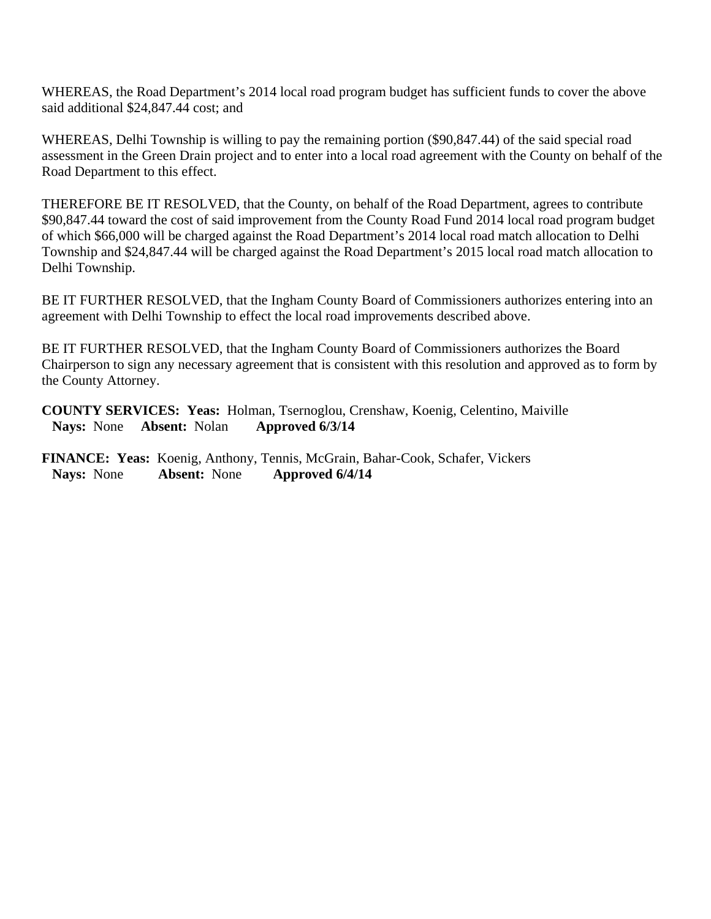WHEREAS, the Road Department's 2014 local road program budget has sufficient funds to cover the above said additional \$24,847.44 cost; and

WHEREAS, Delhi Township is willing to pay the remaining portion (\$90,847.44) of the said special road assessment in the Green Drain project and to enter into a local road agreement with the County on behalf of the Road Department to this effect.

THEREFORE BE IT RESOLVED, that the County, on behalf of the Road Department, agrees to contribute \$90,847.44 toward the cost of said improvement from the County Road Fund 2014 local road program budget of which \$66,000 will be charged against the Road Department's 2014 local road match allocation to Delhi Township and \$24,847.44 will be charged against the Road Department's 2015 local road match allocation to Delhi Township.

BE IT FURTHER RESOLVED, that the Ingham County Board of Commissioners authorizes entering into an agreement with Delhi Township to effect the local road improvements described above.

BE IT FURTHER RESOLVED, that the Ingham County Board of Commissioners authorizes the Board Chairperson to sign any necessary agreement that is consistent with this resolution and approved as to form by the County Attorney.

**COUNTY SERVICES: Yeas:** Holman, Tsernoglou, Crenshaw, Koenig, Celentino, Maiville **Nays:** None **Absent:** Nolan **Approved 6/3/14** 

**FINANCE: Yeas:** Koenig, Anthony, Tennis, McGrain, Bahar-Cook, Schafer, Vickers  **Nays:** None **Absent:** None **Approved 6/4/14**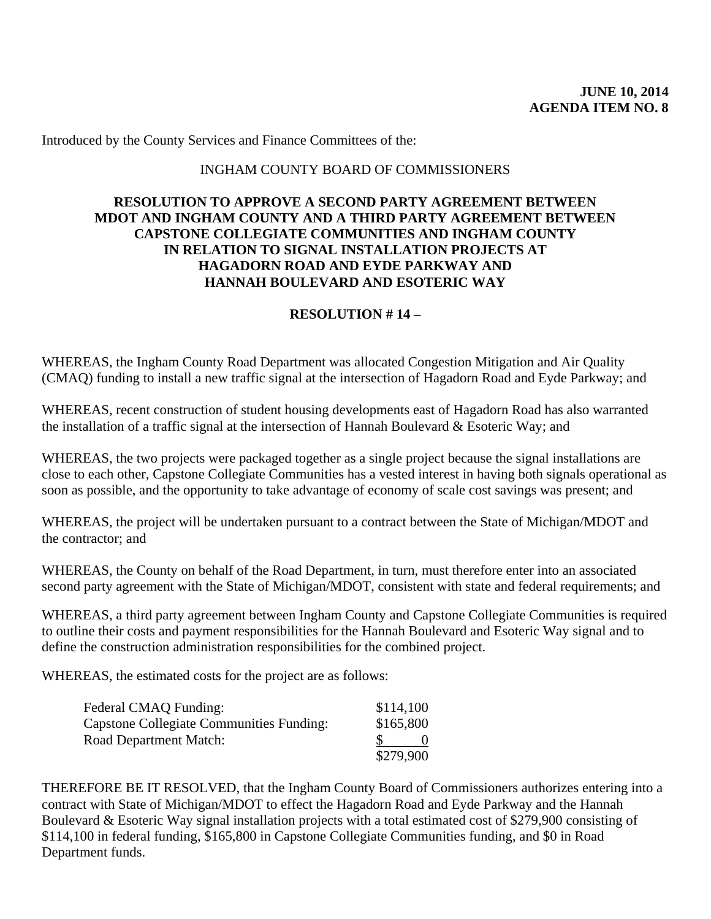Introduced by the County Services and Finance Committees of the:

### INGHAM COUNTY BOARD OF COMMISSIONERS

### **RESOLUTION TO APPROVE A SECOND PARTY AGREEMENT BETWEEN MDOT AND INGHAM COUNTY AND A THIRD PARTY AGREEMENT BETWEEN CAPSTONE COLLEGIATE COMMUNITIES AND INGHAM COUNTY IN RELATION TO SIGNAL INSTALLATION PROJECTS AT HAGADORN ROAD AND EYDE PARKWAY AND HANNAH BOULEVARD AND ESOTERIC WAY**

### **RESOLUTION # 14 –**

WHEREAS, the Ingham County Road Department was allocated Congestion Mitigation and Air Quality (CMAQ) funding to install a new traffic signal at the intersection of Hagadorn Road and Eyde Parkway; and

WHEREAS, recent construction of student housing developments east of Hagadorn Road has also warranted the installation of a traffic signal at the intersection of Hannah Boulevard & Esoteric Way; and

WHEREAS, the two projects were packaged together as a single project because the signal installations are close to each other, Capstone Collegiate Communities has a vested interest in having both signals operational as soon as possible, and the opportunity to take advantage of economy of scale cost savings was present; and

WHEREAS, the project will be undertaken pursuant to a contract between the State of Michigan/MDOT and the contractor; and

WHEREAS, the County on behalf of the Road Department, in turn, must therefore enter into an associated second party agreement with the State of Michigan/MDOT, consistent with state and federal requirements; and

WHEREAS, a third party agreement between Ingham County and Capstone Collegiate Communities is required to outline their costs and payment responsibilities for the Hannah Boulevard and Esoteric Way signal and to define the construction administration responsibilities for the combined project.

WHEREAS, the estimated costs for the project are as follows:

| Federal CMAQ Funding:                           | \$114,100 |
|-------------------------------------------------|-----------|
| <b>Capstone Collegiate Communities Funding:</b> | \$165,800 |
| <b>Road Department Match:</b>                   |           |
|                                                 | \$279,900 |

THEREFORE BE IT RESOLVED, that the Ingham County Board of Commissioners authorizes entering into a contract with State of Michigan/MDOT to effect the Hagadorn Road and Eyde Parkway and the Hannah Boulevard & Esoteric Way signal installation projects with a total estimated cost of \$279,900 consisting of \$114,100 in federal funding, \$165,800 in Capstone Collegiate Communities funding, and \$0 in Road Department funds.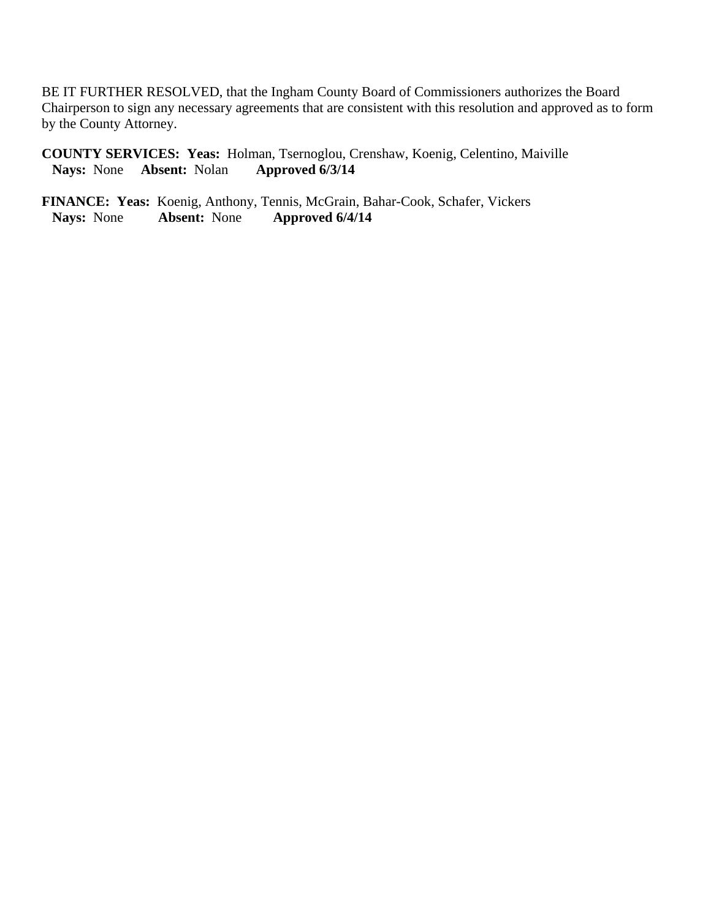BE IT FURTHER RESOLVED, that the Ingham County Board of Commissioners authorizes the Board Chairperson to sign any necessary agreements that are consistent with this resolution and approved as to form by the County Attorney.

**COUNTY SERVICES: Yeas:** Holman, Tsernoglou, Crenshaw, Koenig, Celentino, Maiville **Nays:** None **Absent:** Nolan

**FINANCE: Yeas:** Koenig, Anthony, Tennis, McGrain, Bahar-Cook, Schafer, Vickers  **Nays:** None **Absent:** None **Approved 6/4/14**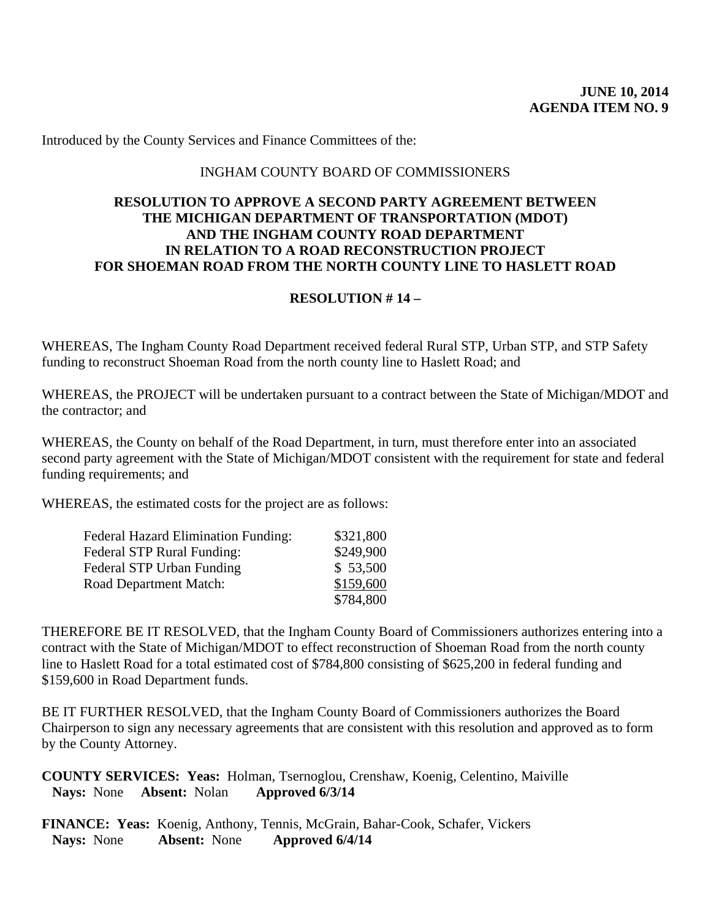Introduced by the County Services and Finance Committees of the:

### INGHAM COUNTY BOARD OF COMMISSIONERS

### **RESOLUTION TO APPROVE A SECOND PARTY AGREEMENT BETWEEN THE MICHIGAN DEPARTMENT OF TRANSPORTATION (MDOT) AND THE INGHAM COUNTY ROAD DEPARTMENT IN RELATION TO A ROAD RECONSTRUCTION PROJECT FOR SHOEMAN ROAD FROM THE NORTH COUNTY LINE TO HASLETT ROAD**

### **RESOLUTION # 14 –**

WHEREAS, The Ingham County Road Department received federal Rural STP, Urban STP, and STP Safety funding to reconstruct Shoeman Road from the north county line to Haslett Road; and

WHEREAS, the PROJECT will be undertaken pursuant to a contract between the State of Michigan/MDOT and the contractor; and

WHEREAS, the County on behalf of the Road Department, in turn, must therefore enter into an associated second party agreement with the State of Michigan/MDOT consistent with the requirement for state and federal funding requirements; and

WHEREAS, the estimated costs for the project are as follows:

| <b>Federal Hazard Elimination Funding:</b> | \$321,800 |
|--------------------------------------------|-----------|
| <b>Federal STP Rural Funding:</b>          | \$249,900 |
| <b>Federal STP Urban Funding</b>           | \$53,500  |
| <b>Road Department Match:</b>              | \$159,600 |
|                                            | \$784,800 |

THEREFORE BE IT RESOLVED, that the Ingham County Board of Commissioners authorizes entering into a contract with the State of Michigan/MDOT to effect reconstruction of Shoeman Road from the north county line to Haslett Road for a total estimated cost of \$784,800 consisting of \$625,200 in federal funding and \$159,600 in Road Department funds.

BE IT FURTHER RESOLVED, that the Ingham County Board of Commissioners authorizes the Board Chairperson to sign any necessary agreements that are consistent with this resolution and approved as to form by the County Attorney.

**COUNTY SERVICES: Yeas:** Holman, Tsernoglou, Crenshaw, Koenig, Celentino, Maiville **Nays:** None **Absent:** Nolan **Approved 6/3/14** 

**FINANCE: Yeas:** Koenig, Anthony, Tennis, McGrain, Bahar-Cook, Schafer, Vickers<br>Navs: None **Absent:** None **Approved 6/4/14 Nays:** None **Absent:** None **Approved 6/4/14**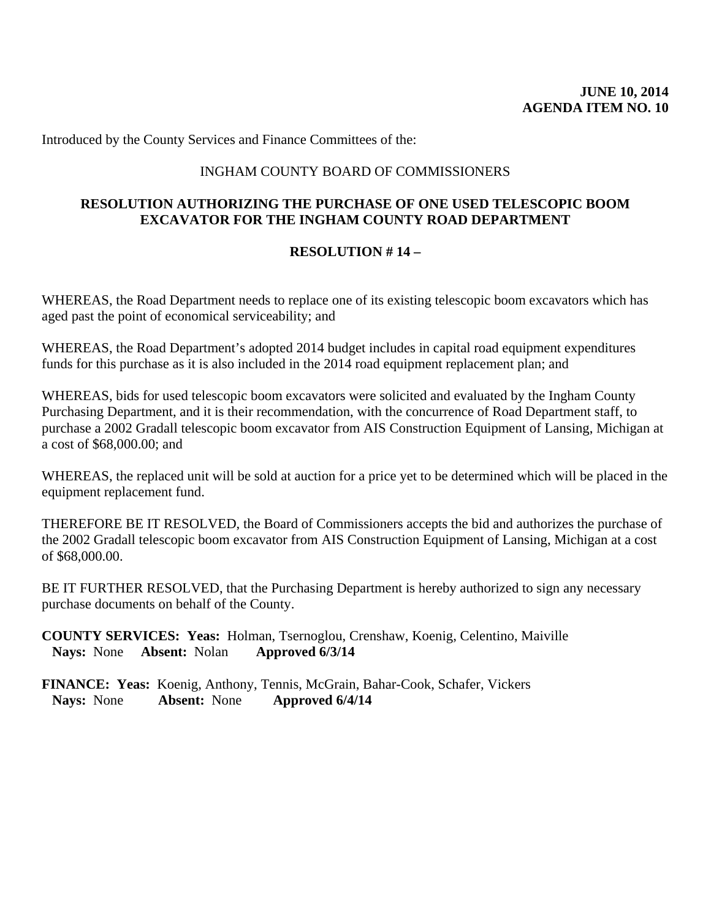Introduced by the County Services and Finance Committees of the:

# INGHAM COUNTY BOARD OF COMMISSIONERS

# **RESOLUTION AUTHORIZING THE PURCHASE OF ONE USED TELESCOPIC BOOM EXCAVATOR FOR THE INGHAM COUNTY ROAD DEPARTMENT**

### **RESOLUTION # 14 –**

WHEREAS, the Road Department needs to replace one of its existing telescopic boom excavators which has aged past the point of economical serviceability; and

WHEREAS, the Road Department's adopted 2014 budget includes in capital road equipment expenditures funds for this purchase as it is also included in the 2014 road equipment replacement plan; and

WHEREAS, bids for used telescopic boom excavators were solicited and evaluated by the Ingham County Purchasing Department, and it is their recommendation, with the concurrence of Road Department staff, to purchase a 2002 Gradall telescopic boom excavator from AIS Construction Equipment of Lansing, Michigan at a cost of \$68,000.00; and

WHEREAS, the replaced unit will be sold at auction for a price yet to be determined which will be placed in the equipment replacement fund.

THEREFORE BE IT RESOLVED, the Board of Commissioners accepts the bid and authorizes the purchase of the 2002 Gradall telescopic boom excavator from AIS Construction Equipment of Lansing, Michigan at a cost of \$68,000.00.

BE IT FURTHER RESOLVED, that the Purchasing Department is hereby authorized to sign any necessary purchase documents on behalf of the County.

**COUNTY SERVICES: Yeas:** Holman, Tsernoglou, Crenshaw, Koenig, Celentino, Maiville **Nays:** None **Absent:** Nolan **Approved 6/3/14** 

**FINANCE: Yeas:** Koenig, Anthony, Tennis, McGrain, Bahar-Cook, Schafer, Vickers  **Nays:** None **Absent:** None **Approved 6/4/14**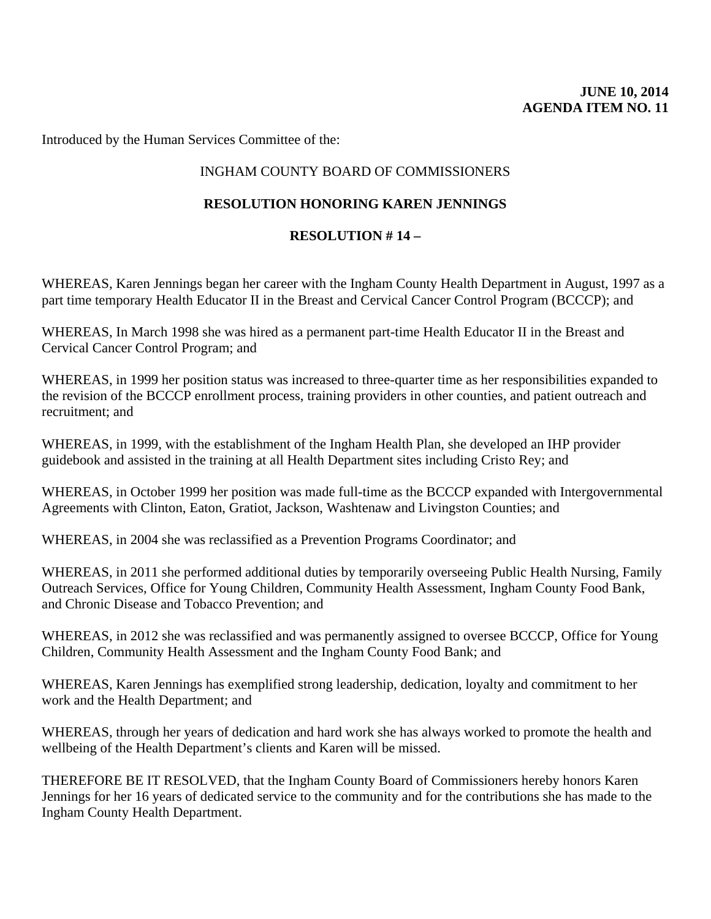Introduced by the Human Services Committee of the:

# INGHAM COUNTY BOARD OF COMMISSIONERS

# **RESOLUTION HONORING KAREN JENNINGS**

# **RESOLUTION # 14 –**

WHEREAS, Karen Jennings began her career with the Ingham County Health Department in August, 1997 as a part time temporary Health Educator II in the Breast and Cervical Cancer Control Program (BCCCP); and

WHEREAS, In March 1998 she was hired as a permanent part-time Health Educator II in the Breast and Cervical Cancer Control Program; and

WHEREAS, in 1999 her position status was increased to three-quarter time as her responsibilities expanded to the revision of the BCCCP enrollment process, training providers in other counties, and patient outreach and recruitment; and

WHEREAS, in 1999, with the establishment of the Ingham Health Plan, she developed an IHP provider guidebook and assisted in the training at all Health Department sites including Cristo Rey; and

WHEREAS, in October 1999 her position was made full-time as the BCCCP expanded with Intergovernmental Agreements with Clinton, Eaton, Gratiot, Jackson, Washtenaw and Livingston Counties; and

WHEREAS, in 2004 she was reclassified as a Prevention Programs Coordinator; and

WHEREAS, in 2011 she performed additional duties by temporarily overseeing Public Health Nursing, Family Outreach Services, Office for Young Children, Community Health Assessment, Ingham County Food Bank, and Chronic Disease and Tobacco Prevention; and

WHEREAS, in 2012 she was reclassified and was permanently assigned to oversee BCCCP, Office for Young Children, Community Health Assessment and the Ingham County Food Bank; and

WHEREAS, Karen Jennings has exemplified strong leadership, dedication, loyalty and commitment to her work and the Health Department; and

WHEREAS, through her years of dedication and hard work she has always worked to promote the health and wellbeing of the Health Department's clients and Karen will be missed.

THEREFORE BE IT RESOLVED, that the Ingham County Board of Commissioners hereby honors Karen Jennings for her 16 years of dedicated service to the community and for the contributions she has made to the Ingham County Health Department.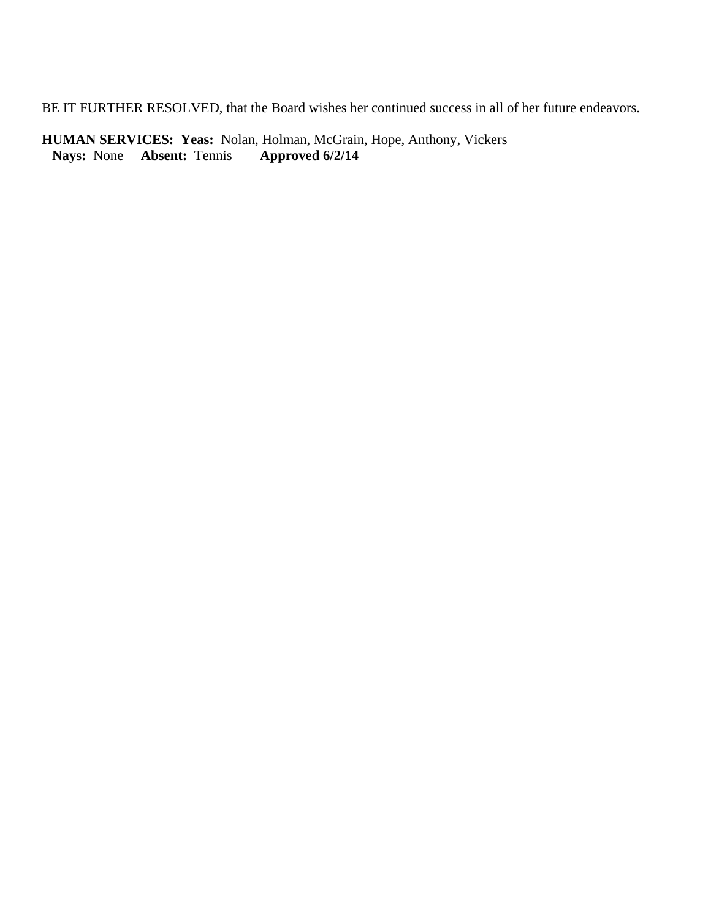BE IT FURTHER RESOLVED, that the Board wishes her continued success in all of her future endeavors.

**HUMAN SERVICES: Yeas:** Nolan, Holman, McGrain, Hope, Anthony, Vickers<br>Nays: None Absent: Tennis Approved 6/2/14 **Nays:** None **Absent:** Tennis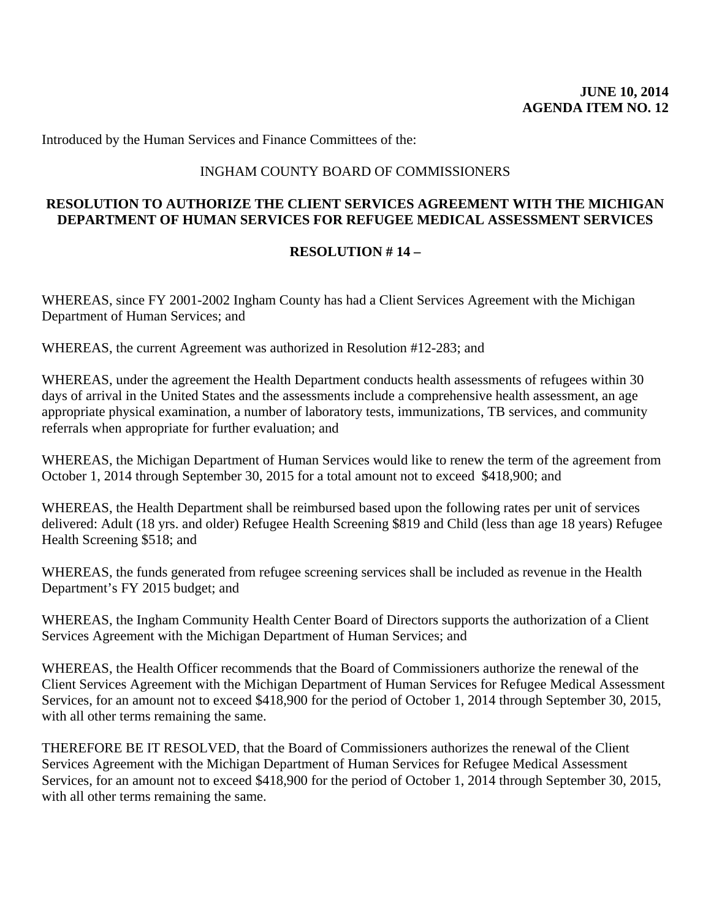Introduced by the Human Services and Finance Committees of the:

### INGHAM COUNTY BOARD OF COMMISSIONERS

### **RESOLUTION TO AUTHORIZE THE CLIENT SERVICES AGREEMENT WITH THE MICHIGAN DEPARTMENT OF HUMAN SERVICES FOR REFUGEE MEDICAL ASSESSMENT SERVICES**

### **RESOLUTION # 14 –**

WHEREAS, since FY 2001-2002 Ingham County has had a Client Services Agreement with the Michigan Department of Human Services; and

WHEREAS, the current Agreement was authorized in Resolution #12-283; and

WHEREAS, under the agreement the Health Department conducts health assessments of refugees within 30 days of arrival in the United States and the assessments include a comprehensive health assessment, an age appropriate physical examination, a number of laboratory tests, immunizations, TB services, and community referrals when appropriate for further evaluation; and

WHEREAS, the Michigan Department of Human Services would like to renew the term of the agreement from October 1, 2014 through September 30, 2015 for a total amount not to exceed \$418,900; and

WHEREAS, the Health Department shall be reimbursed based upon the following rates per unit of services delivered: Adult (18 yrs. and older) Refugee Health Screening \$819 and Child (less than age 18 years) Refugee Health Screening \$518; and

WHEREAS, the funds generated from refugee screening services shall be included as revenue in the Health Department's FY 2015 budget; and

WHEREAS, the Ingham Community Health Center Board of Directors supports the authorization of a Client Services Agreement with the Michigan Department of Human Services; and

WHEREAS, the Health Officer recommends that the Board of Commissioners authorize the renewal of the Client Services Agreement with the Michigan Department of Human Services for Refugee Medical Assessment Services, for an amount not to exceed \$418,900 for the period of October 1, 2014 through September 30, 2015, with all other terms remaining the same.

THEREFORE BE IT RESOLVED, that the Board of Commissioners authorizes the renewal of the Client Services Agreement with the Michigan Department of Human Services for Refugee Medical Assessment Services, for an amount not to exceed \$418,900 for the period of October 1, 2014 through September 30, 2015, with all other terms remaining the same.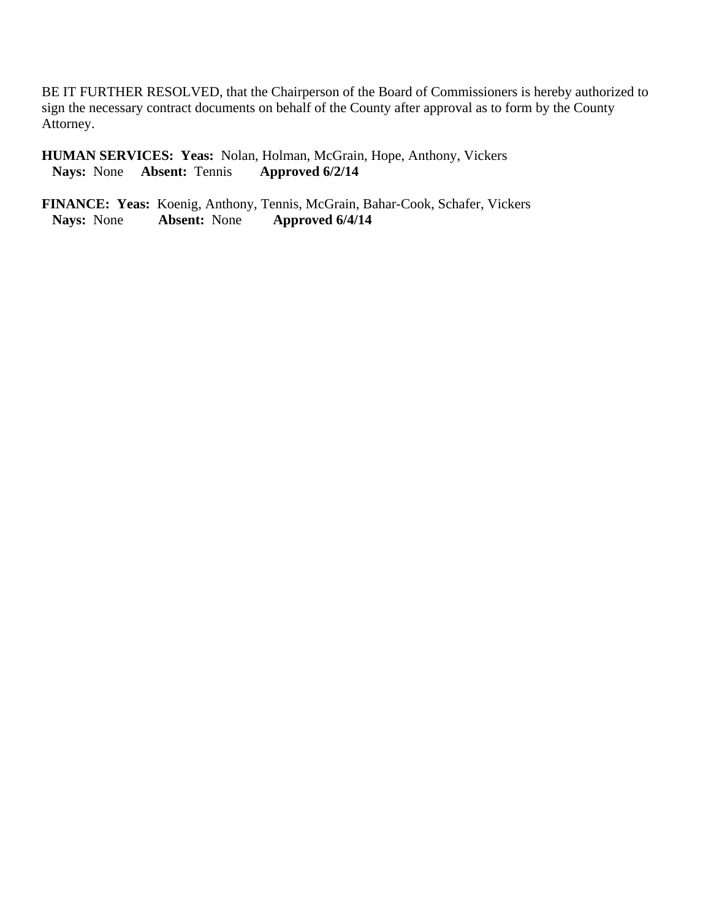BE IT FURTHER RESOLVED, that the Chairperson of the Board of Commissioners is hereby authorized to sign the necessary contract documents on behalf of the County after approval as to form by the County Attorney.

**HUMAN SERVICES: Yeas:** Nolan, Holman, McGrain, Hope, Anthony, Vickers<br>Nays: None Absent: Tennis Approved 6/2/14 **Nays:** None **Absent:** Tennis **Approved 6/2/14** 

**FINANCE: Yeas:** Koenig, Anthony, Tennis, McGrain, Bahar-Cook, Schafer, Vickers<br>Nays: None **Absent:** None **Approved 6/4/14 Nays:** None **Absent:** None **Approved 6/4/14**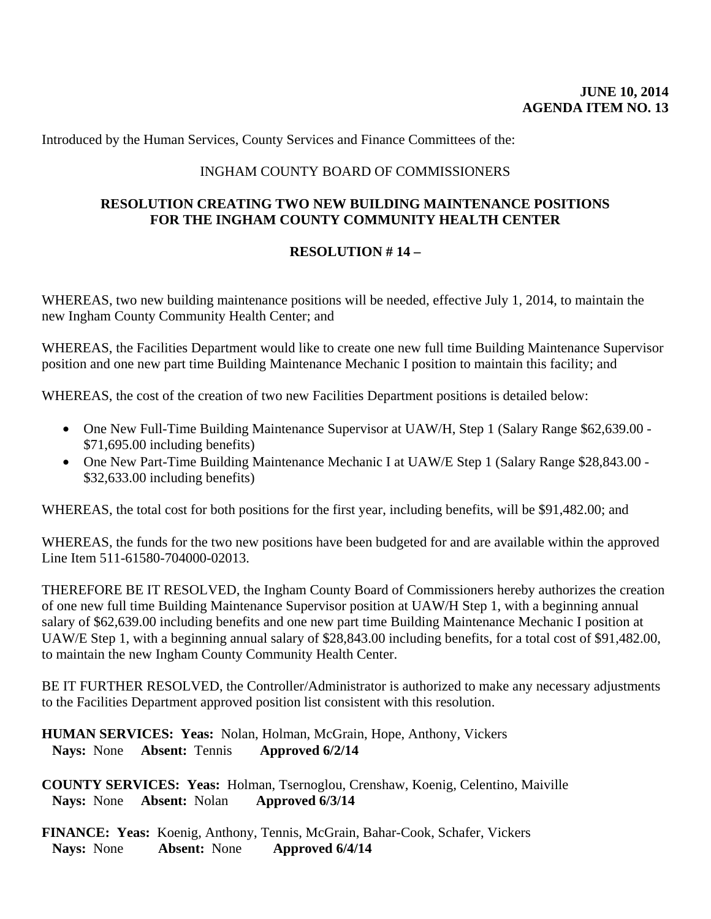Introduced by the Human Services, County Services and Finance Committees of the:

## INGHAM COUNTY BOARD OF COMMISSIONERS

## **RESOLUTION CREATING TWO NEW BUILDING MAINTENANCE POSITIONS FOR THE INGHAM COUNTY COMMUNITY HEALTH CENTER**

# **RESOLUTION # 14 –**

WHEREAS, two new building maintenance positions will be needed, effective July 1, 2014, to maintain the new Ingham County Community Health Center; and

WHEREAS, the Facilities Department would like to create one new full time Building Maintenance Supervisor position and one new part time Building Maintenance Mechanic I position to maintain this facility; and

WHEREAS, the cost of the creation of two new Facilities Department positions is detailed below:

- One New Full-Time Building Maintenance Supervisor at UAW/H, Step 1 (Salary Range \$62,639.00 -\$71,695.00 including benefits)
- One New Part-Time Building Maintenance Mechanic I at UAW/E Step 1 (Salary Range \$28,843.00 -\$32,633.00 including benefits)

WHEREAS, the total cost for both positions for the first year, including benefits, will be \$91,482.00; and

WHEREAS, the funds for the two new positions have been budgeted for and are available within the approved Line Item 511-61580-704000-02013.

THEREFORE BE IT RESOLVED, the Ingham County Board of Commissioners hereby authorizes the creation of one new full time Building Maintenance Supervisor position at UAW/H Step 1, with a beginning annual salary of \$62,639.00 including benefits and one new part time Building Maintenance Mechanic I position at UAW/E Step 1, with a beginning annual salary of \$28,843.00 including benefits, for a total cost of \$91,482.00, to maintain the new Ingham County Community Health Center.

BE IT FURTHER RESOLVED, the Controller/Administrator is authorized to make any necessary adjustments to the Facilities Department approved position list consistent with this resolution.

**HUMAN SERVICES: Yeas:** Nolan, Holman, McGrain, Hope, Anthony, Vickers **Nays:** None **Absent:** Tennis **Approved 6/2/14** 

**COUNTY SERVICES: Yeas:** Holman, Tsernoglou, Crenshaw, Koenig, Celentino, Maiville **Nays:** None **Absent:** Nolan **Approved 6/3/14** 

**FINANCE: Yeas:** Koenig, Anthony, Tennis, McGrain, Bahar-Cook, Schafer, Vickers  **Nays:** None **Absent:** None **Approved 6/4/14**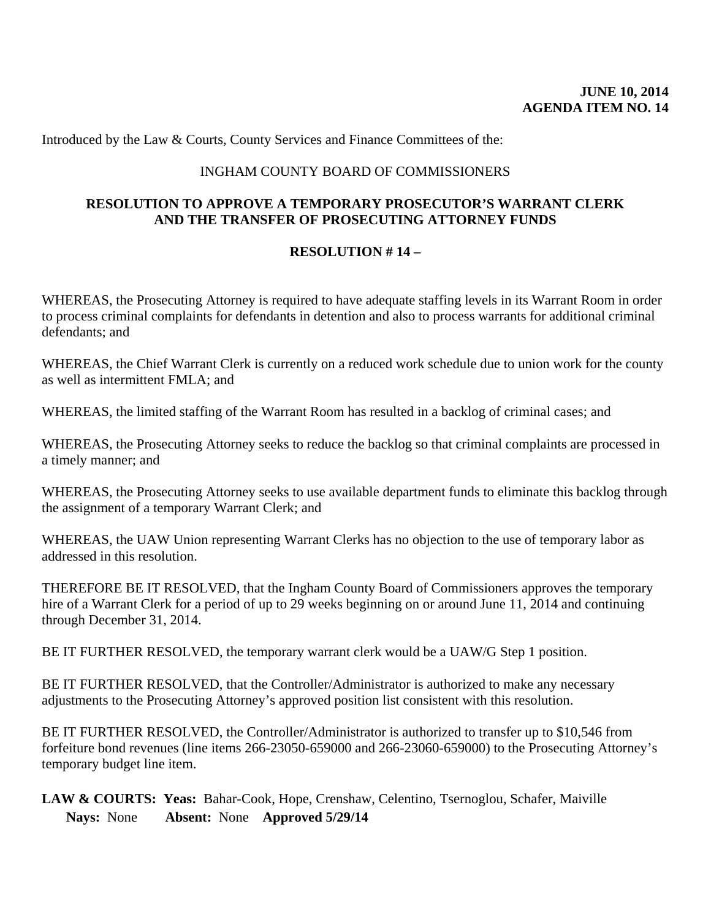Introduced by the Law & Courts, County Services and Finance Committees of the:

## INGHAM COUNTY BOARD OF COMMISSIONERS

## **RESOLUTION TO APPROVE A TEMPORARY PROSECUTOR'S WARRANT CLERK AND THE TRANSFER OF PROSECUTING ATTORNEY FUNDS**

## **RESOLUTION # 14 –**

WHEREAS, the Prosecuting Attorney is required to have adequate staffing levels in its Warrant Room in order to process criminal complaints for defendants in detention and also to process warrants for additional criminal defendants; and

WHEREAS, the Chief Warrant Clerk is currently on a reduced work schedule due to union work for the county as well as intermittent FMLA; and

WHEREAS, the limited staffing of the Warrant Room has resulted in a backlog of criminal cases; and

WHEREAS, the Prosecuting Attorney seeks to reduce the backlog so that criminal complaints are processed in a timely manner; and

WHEREAS, the Prosecuting Attorney seeks to use available department funds to eliminate this backlog through the assignment of a temporary Warrant Clerk; and

WHEREAS, the UAW Union representing Warrant Clerks has no objection to the use of temporary labor as addressed in this resolution.

THEREFORE BE IT RESOLVED, that the Ingham County Board of Commissioners approves the temporary hire of a Warrant Clerk for a period of up to 29 weeks beginning on or around June 11, 2014 and continuing through December 31, 2014.

BE IT FURTHER RESOLVED, the temporary warrant clerk would be a UAW/G Step 1 position.

BE IT FURTHER RESOLVED, that the Controller/Administrator is authorized to make any necessary adjustments to the Prosecuting Attorney's approved position list consistent with this resolution.

BE IT FURTHER RESOLVED, the Controller/Administrator is authorized to transfer up to \$10,546 from forfeiture bond revenues (line items 266-23050-659000 and 266-23060-659000) to the Prosecuting Attorney's temporary budget line item.

LAW & COURTS: Yeas: Bahar-Cook, Hope, Crenshaw, Celentino, Tsernoglou, Schafer, Maiville **Nays:** None **Absent:** None **Approved 5/29/14**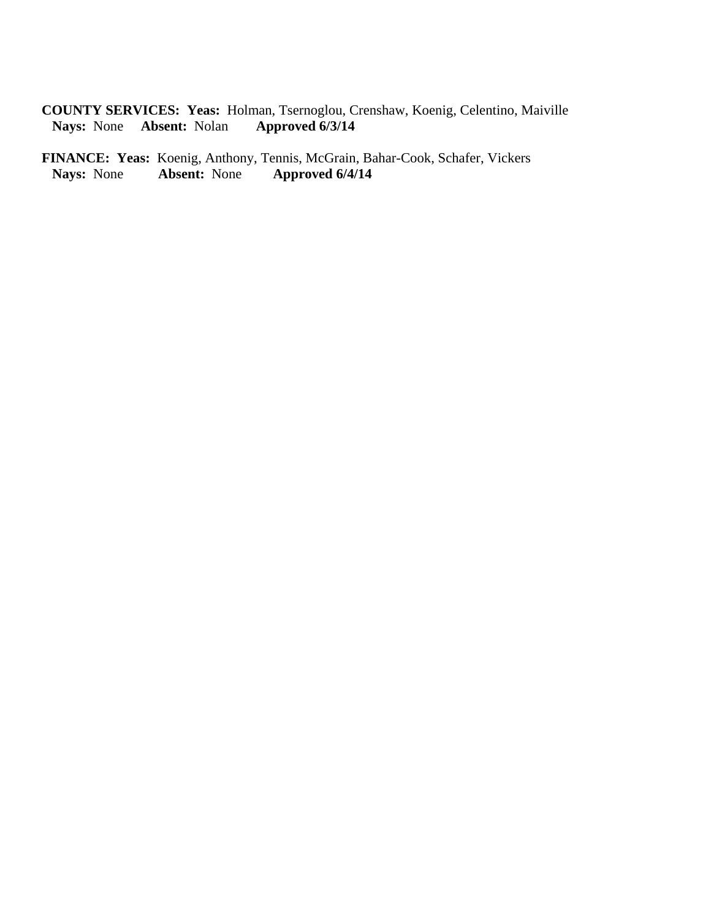**COUNTY SERVICES: Yeas:** Holman, Tsernoglou, Crenshaw, Koenig, Celentino, Maiville **Nays:** None **Absent:** Nolan **Approved 6/3/14** 

**FINANCE: Yeas:** Koenig, Anthony, Tennis, McGrain, Bahar-Cook, Schafer, Vickers<br>Nays: None **Absent:** None **Approved 6/4/14 Nays:** None **Absent:** None **Approved 6/4/14**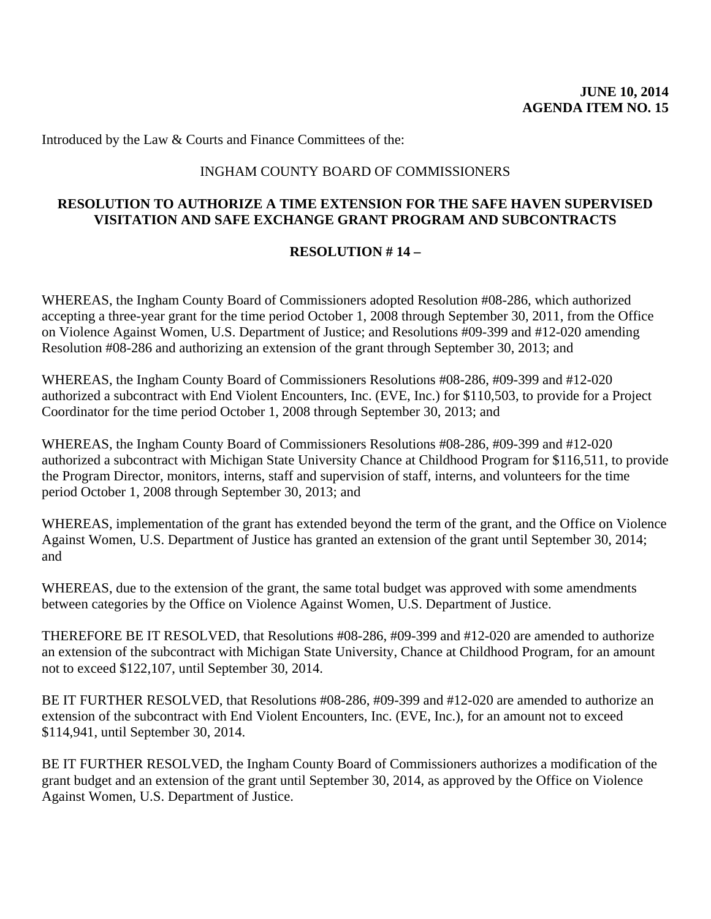Introduced by the Law & Courts and Finance Committees of the:

## INGHAM COUNTY BOARD OF COMMISSIONERS

## **RESOLUTION TO AUTHORIZE A TIME EXTENSION FOR THE SAFE HAVEN SUPERVISED VISITATION AND SAFE EXCHANGE GRANT PROGRAM AND SUBCONTRACTS**

## **RESOLUTION # 14 –**

WHEREAS, the Ingham County Board of Commissioners adopted Resolution #08-286, which authorized accepting a three-year grant for the time period October 1, 2008 through September 30, 2011, from the Office on Violence Against Women, U.S. Department of Justice; and Resolutions #09-399 and #12-020 amending Resolution #08-286 and authorizing an extension of the grant through September 30, 2013; and

WHEREAS, the Ingham County Board of Commissioners Resolutions #08-286, #09-399 and #12-020 authorized a subcontract with End Violent Encounters, Inc. (EVE, Inc.) for \$110,503, to provide for a Project Coordinator for the time period October 1, 2008 through September 30, 2013; and

WHEREAS, the Ingham County Board of Commissioners Resolutions #08-286, #09-399 and #12-020 authorized a subcontract with Michigan State University Chance at Childhood Program for \$116,511, to provide the Program Director, monitors, interns, staff and supervision of staff, interns, and volunteers for the time period October 1, 2008 through September 30, 2013; and

WHEREAS, implementation of the grant has extended beyond the term of the grant, and the Office on Violence Against Women, U.S. Department of Justice has granted an extension of the grant until September 30, 2014; and

WHEREAS, due to the extension of the grant, the same total budget was approved with some amendments between categories by the Office on Violence Against Women, U.S. Department of Justice.

THEREFORE BE IT RESOLVED, that Resolutions #08-286, #09-399 and #12-020 are amended to authorize an extension of the subcontract with Michigan State University, Chance at Childhood Program, for an amount not to exceed \$122,107, until September 30, 2014.

BE IT FURTHER RESOLVED, that Resolutions #08-286, #09-399 and #12-020 are amended to authorize an extension of the subcontract with End Violent Encounters, Inc. (EVE, Inc.), for an amount not to exceed \$114,941, until September 30, 2014.

BE IT FURTHER RESOLVED, the Ingham County Board of Commissioners authorizes a modification of the grant budget and an extension of the grant until September 30, 2014, as approved by the Office on Violence Against Women, U.S. Department of Justice.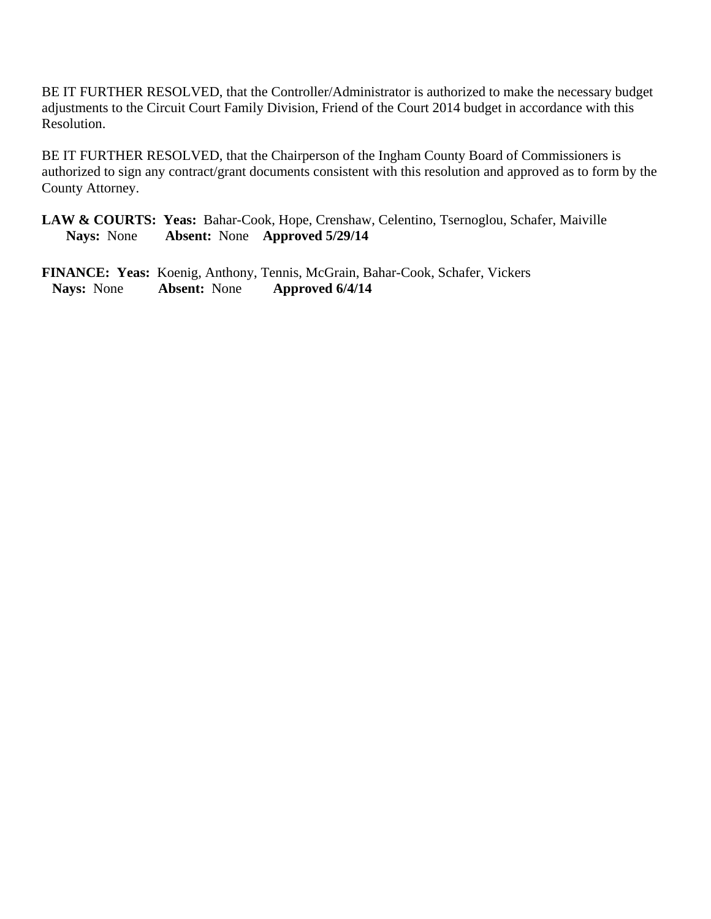BE IT FURTHER RESOLVED, that the Controller/Administrator is authorized to make the necessary budget adjustments to the Circuit Court Family Division, Friend of the Court 2014 budget in accordance with this Resolution.

BE IT FURTHER RESOLVED, that the Chairperson of the Ingham County Board of Commissioners is authorized to sign any contract/grant documents consistent with this resolution and approved as to form by the County Attorney.

LAW & COURTS: Yeas: Bahar-Cook, Hope, Crenshaw, Celentino, Tsernoglou, Schafer, Maiville **Nays:** None **Absent:** None **Approved 5/29/14** 

**FINANCE: Yeas:** Koenig, Anthony, Tennis, McGrain, Bahar-Cook, Schafer, Vickers  **Nays:** None **Absent:** None **Approved 6/4/14**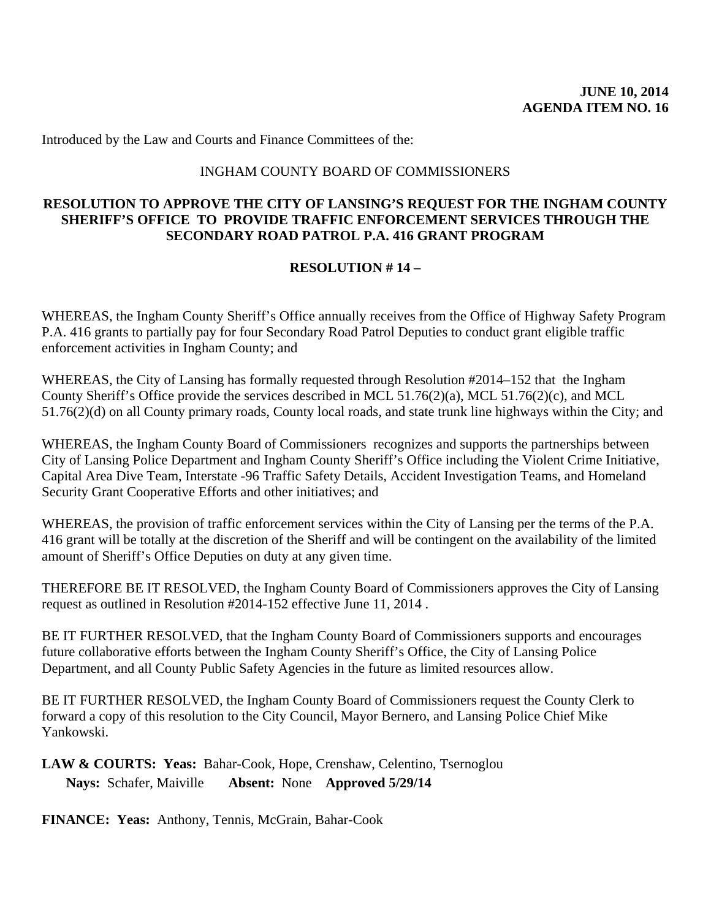Introduced by the Law and Courts and Finance Committees of the:

#### INGHAM COUNTY BOARD OF COMMISSIONERS

#### **RESOLUTION TO APPROVE THE CITY OF LANSING'S REQUEST FOR THE INGHAM COUNTY SHERIFF'S OFFICE TO PROVIDE TRAFFIC ENFORCEMENT SERVICES THROUGH THE SECONDARY ROAD PATROL P.A. 416 GRANT PROGRAM**

## **RESOLUTION # 14 –**

WHEREAS, the Ingham County Sheriff's Office annually receives from the Office of Highway Safety Program P.A. 416 grants to partially pay for four Secondary Road Patrol Deputies to conduct grant eligible traffic enforcement activities in Ingham County; and

WHEREAS, the City of Lansing has formally requested through Resolution #2014–152 that the Ingham County Sheriff's Office provide the services described in MCL 51.76(2)(a), MCL 51.76(2)(c), and MCL 51.76(2)(d) on all County primary roads, County local roads, and state trunk line highways within the City; and

WHEREAS, the Ingham County Board of Commissioners recognizes and supports the partnerships between City of Lansing Police Department and Ingham County Sheriff's Office including the Violent Crime Initiative, Capital Area Dive Team, Interstate -96 Traffic Safety Details, Accident Investigation Teams, and Homeland Security Grant Cooperative Efforts and other initiatives; and

WHEREAS, the provision of traffic enforcement services within the City of Lansing per the terms of the P.A. 416 grant will be totally at the discretion of the Sheriff and will be contingent on the availability of the limited amount of Sheriff's Office Deputies on duty at any given time.

THEREFORE BE IT RESOLVED, the Ingham County Board of Commissioners approves the City of Lansing request as outlined in Resolution #2014-152 effective June 11, 2014 .

BE IT FURTHER RESOLVED, that the Ingham County Board of Commissioners supports and encourages future collaborative efforts between the Ingham County Sheriff's Office, the City of Lansing Police Department, and all County Public Safety Agencies in the future as limited resources allow.

BE IT FURTHER RESOLVED, the Ingham County Board of Commissioners request the County Clerk to forward a copy of this resolution to the City Council, Mayor Bernero, and Lansing Police Chief Mike Yankowski.

**LAW & COURTS: Yeas:** Bahar-Cook, Hope, Crenshaw, Celentino, Tsernoglou **Nays:** Schafer, Maiville **Absent:** None **Approved 5/29/14** 

**FINANCE: Yeas:** Anthony, Tennis, McGrain, Bahar-Cook